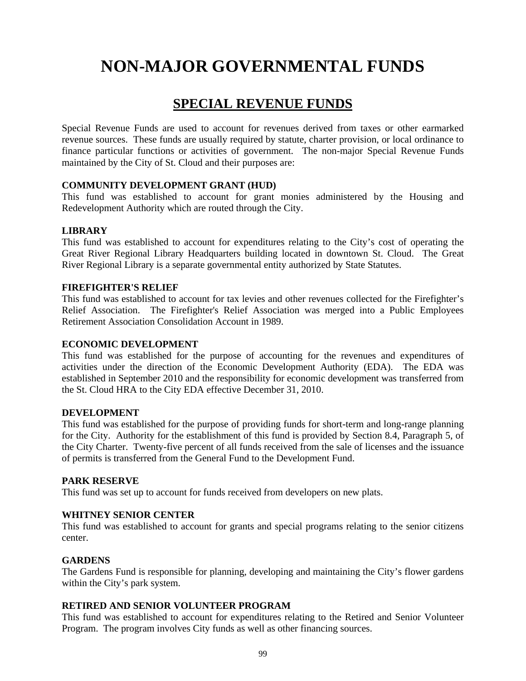## **SPECIAL REVENUE FUNDS**

Special Revenue Funds are used to account for revenues derived from taxes or other earmarked revenue sources. These funds are usually required by statute, charter provision, or local ordinance to finance particular functions or activities of government. The non-major Special Revenue Funds maintained by the City of St. Cloud and their purposes are:

### **COMMUNITY DEVELOPMENT GRANT (HUD)**

This fund was established to account for grant monies administered by the Housing and Redevelopment Authority which are routed through the City.

### **LIBRARY**

This fund was established to account for expenditures relating to the City's cost of operating the Great River Regional Library Headquarters building located in downtown St. Cloud. The Great River Regional Library is a separate governmental entity authorized by State Statutes.

### **FIREFIGHTER'S RELIEF**

This fund was established to account for tax levies and other revenues collected for the Firefighter's Relief Association. The Firefighter's Relief Association was merged into a Public Employees Retirement Association Consolidation Account in 1989.

### **ECONOMIC DEVELOPMENT**

This fund was established for the purpose of accounting for the revenues and expenditures of activities under the direction of the Economic Development Authority (EDA). The EDA was established in September 2010 and the responsibility for economic development was transferred from the St. Cloud HRA to the City EDA effective December 31, 2010.

### **DEVELOPMENT**

This fund was established for the purpose of providing funds for short-term and long-range planning for the City. Authority for the establishment of this fund is provided by Section 8.4, Paragraph 5, of the City Charter. Twenty-five percent of all funds received from the sale of licenses and the issuance of permits is transferred from the General Fund to the Development Fund.

### **PARK RESERVE**

This fund was set up to account for funds received from developers on new plats.

### **WHITNEY SENIOR CENTER**

This fund was established to account for grants and special programs relating to the senior citizens center.

### **GARDENS**

The Gardens Fund is responsible for planning, developing and maintaining the City's flower gardens within the City's park system.

### **RETIRED AND SENIOR VOLUNTEER PROGRAM**

This fund was established to account for expenditures relating to the Retired and Senior Volunteer Program. The program involves City funds as well as other financing sources.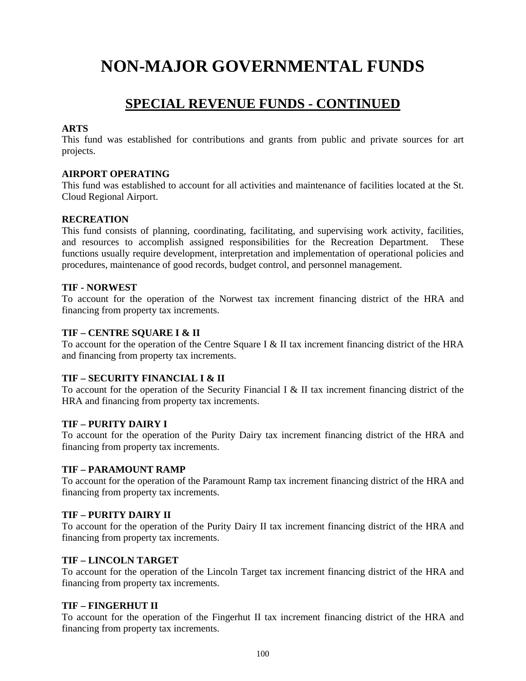## **SPECIAL REVENUE FUNDS - CONTINUED**

### **ARTS**

This fund was established for contributions and grants from public and private sources for art projects.

### **AIRPORT OPERATING**

This fund was established to account for all activities and maintenance of facilities located at the St. Cloud Regional Airport.

### **RECREATION**

This fund consists of planning, coordinating, facilitating, and supervising work activity, facilities, and resources to accomplish assigned responsibilities for the Recreation Department. These functions usually require development, interpretation and implementation of operational policies and procedures, maintenance of good records, budget control, and personnel management.

### **TIF - NORWEST**

To account for the operation of the Norwest tax increment financing district of the HRA and financing from property tax increments.

### **TIF – CENTRE SQUARE I & II**

To account for the operation of the Centre Square I & II tax increment financing district of the HRA and financing from property tax increments.

### **TIF – SECURITY FINANCIAL I & II**

To account for the operation of the Security Financial I & II tax increment financing district of the HRA and financing from property tax increments.

### **TIF – PURITY DAIRY I**

To account for the operation of the Purity Dairy tax increment financing district of the HRA and financing from property tax increments.

### **TIF – PARAMOUNT RAMP**

To account for the operation of the Paramount Ramp tax increment financing district of the HRA and financing from property tax increments.

### **TIF – PURITY DAIRY II**

To account for the operation of the Purity Dairy II tax increment financing district of the HRA and financing from property tax increments.

### **TIF – LINCOLN TARGET**

To account for the operation of the Lincoln Target tax increment financing district of the HRA and financing from property tax increments.

### **TIF – FINGERHUT II**

To account for the operation of the Fingerhut II tax increment financing district of the HRA and financing from property tax increments.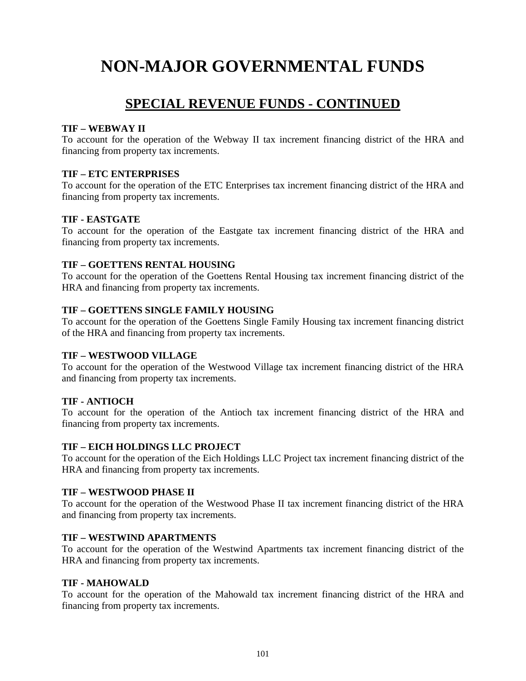## **SPECIAL REVENUE FUNDS - CONTINUED**

### **TIF – WEBWAY II**

To account for the operation of the Webway II tax increment financing district of the HRA and financing from property tax increments.

### **TIF – ETC ENTERPRISES**

To account for the operation of the ETC Enterprises tax increment financing district of the HRA and financing from property tax increments.

### **TIF - EASTGATE**

To account for the operation of the Eastgate tax increment financing district of the HRA and financing from property tax increments.

### **TIF – GOETTENS RENTAL HOUSING**

To account for the operation of the Goettens Rental Housing tax increment financing district of the HRA and financing from property tax increments.

### **TIF – GOETTENS SINGLE FAMILY HOUSING**

To account for the operation of the Goettens Single Family Housing tax increment financing district of the HRA and financing from property tax increments.

### **TIF – WESTWOOD VILLAGE**

To account for the operation of the Westwood Village tax increment financing district of the HRA and financing from property tax increments.

### **TIF - ANTIOCH**

To account for the operation of the Antioch tax increment financing district of the HRA and financing from property tax increments.

### **TIF – EICH HOLDINGS LLC PROJECT**

To account for the operation of the Eich Holdings LLC Project tax increment financing district of the HRA and financing from property tax increments.

### **TIF – WESTWOOD PHASE II**

To account for the operation of the Westwood Phase II tax increment financing district of the HRA and financing from property tax increments.

### **TIF – WESTWIND APARTMENTS**

To account for the operation of the Westwind Apartments tax increment financing district of the HRA and financing from property tax increments.

### **TIF - MAHOWALD**

To account for the operation of the Mahowald tax increment financing district of the HRA and financing from property tax increments.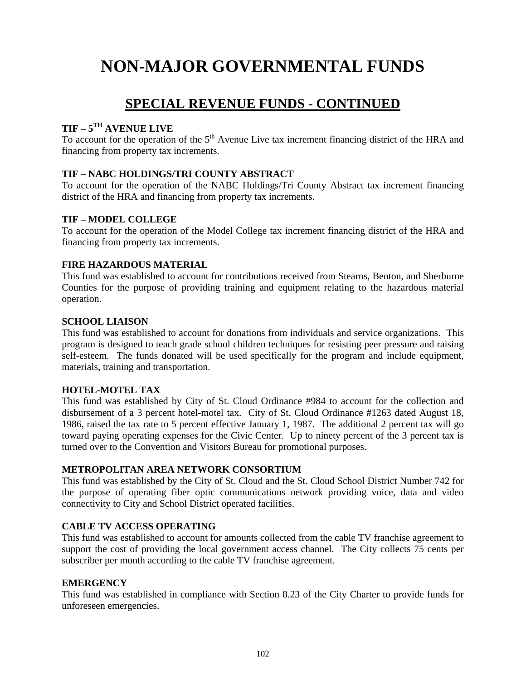## **SPECIAL REVENUE FUNDS - CONTINUED**

### **TIF – 5TH AVENUE LIVE**

To account for the operation of the  $5<sup>th</sup>$  Avenue Live tax increment financing district of the HRA and financing from property tax increments.

### **TIF – NABC HOLDINGS/TRI COUNTY ABSTRACT**

To account for the operation of the NABC Holdings/Tri County Abstract tax increment financing district of the HRA and financing from property tax increments.

### **TIF – MODEL COLLEGE**

To account for the operation of the Model College tax increment financing district of the HRA and financing from property tax increments.

### **FIRE HAZARDOUS MATERIAL**

This fund was established to account for contributions received from Stearns, Benton, and Sherburne Counties for the purpose of providing training and equipment relating to the hazardous material operation.

### **SCHOOL LIAISON**

This fund was established to account for donations from individuals and service organizations. This program is designed to teach grade school children techniques for resisting peer pressure and raising self-esteem. The funds donated will be used specifically for the program and include equipment, materials, training and transportation.

### **HOTEL-MOTEL TAX**

This fund was established by City of St. Cloud Ordinance #984 to account for the collection and disbursement of a 3 percent hotel-motel tax. City of St. Cloud Ordinance #1263 dated August 18, 1986, raised the tax rate to 5 percent effective January 1, 1987. The additional 2 percent tax will go toward paying operating expenses for the Civic Center. Up to ninety percent of the 3 percent tax is turned over to the Convention and Visitors Bureau for promotional purposes.

### **METROPOLITAN AREA NETWORK CONSORTIUM**

This fund was established by the City of St. Cloud and the St. Cloud School District Number 742 for the purpose of operating fiber optic communications network providing voice, data and video connectivity to City and School District operated facilities.

### **CABLE TV ACCESS OPERATING**

This fund was established to account for amounts collected from the cable TV franchise agreement to support the cost of providing the local government access channel. The City collects 75 cents per subscriber per month according to the cable TV franchise agreement.

### **EMERGENCY**

This fund was established in compliance with Section 8.23 of the City Charter to provide funds for unforeseen emergencies.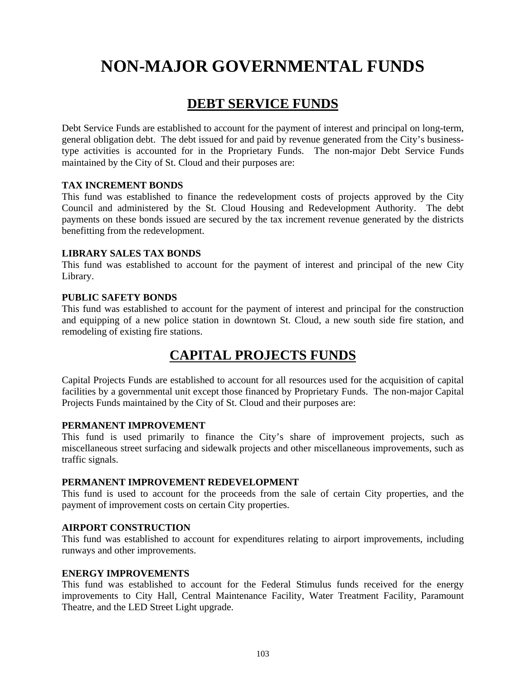## **DEBT SERVICE FUNDS**

Debt Service Funds are established to account for the payment of interest and principal on long-term, general obligation debt. The debt issued for and paid by revenue generated from the City's businesstype activities is accounted for in the Proprietary Funds. The non-major Debt Service Funds maintained by the City of St. Cloud and their purposes are:

### **TAX INCREMENT BONDS**

This fund was established to finance the redevelopment costs of projects approved by the City Council and administered by the St. Cloud Housing and Redevelopment Authority. The debt payments on these bonds issued are secured by the tax increment revenue generated by the districts benefitting from the redevelopment.

### **LIBRARY SALES TAX BONDS**

This fund was established to account for the payment of interest and principal of the new City Library.

### **PUBLIC SAFETY BONDS**

This fund was established to account for the payment of interest and principal for the construction and equipping of a new police station in downtown St. Cloud, a new south side fire station, and remodeling of existing fire stations.

## **CAPITAL PROJECTS FUNDS**

Capital Projects Funds are established to account for all resources used for the acquisition of capital facilities by a governmental unit except those financed by Proprietary Funds. The non-major Capital Projects Funds maintained by the City of St. Cloud and their purposes are:

### **PERMANENT IMPROVEMENT**

This fund is used primarily to finance the City's share of improvement projects, such as miscellaneous street surfacing and sidewalk projects and other miscellaneous improvements, such as traffic signals.

### **PERMANENT IMPROVEMENT REDEVELOPMENT**

This fund is used to account for the proceeds from the sale of certain City properties, and the payment of improvement costs on certain City properties.

### **AIRPORT CONSTRUCTION**

This fund was established to account for expenditures relating to airport improvements, including runways and other improvements.

### **ENERGY IMPROVEMENTS**

This fund was established to account for the Federal Stimulus funds received for the energy improvements to City Hall, Central Maintenance Facility, Water Treatment Facility, Paramount Theatre, and the LED Street Light upgrade.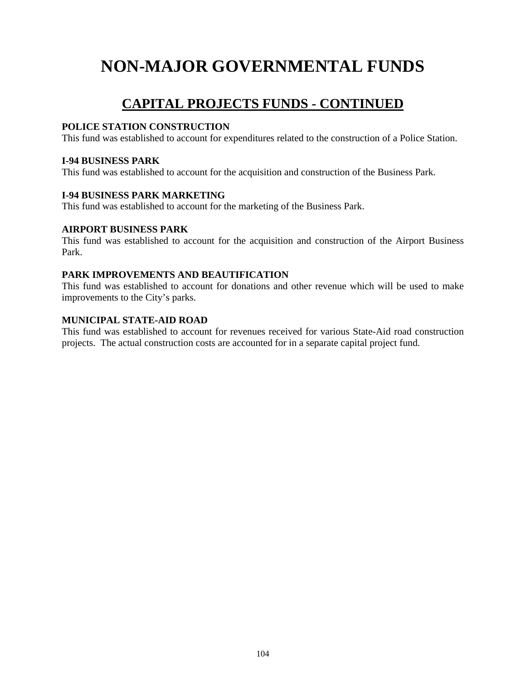# **CAPITAL PROJECTS FUNDS - CONTINUED**

### **POLICE STATION CONSTRUCTION**

This fund was established to account for expenditures related to the construction of a Police Station.

### **I-94 BUSINESS PARK**

This fund was established to account for the acquisition and construction of the Business Park.

### **I-94 BUSINESS PARK MARKETING**

This fund was established to account for the marketing of the Business Park.

### **AIRPORT BUSINESS PARK**

This fund was established to account for the acquisition and construction of the Airport Business Park.

### **PARK IMPROVEMENTS AND BEAUTIFICATION**

This fund was established to account for donations and other revenue which will be used to make improvements to the City's parks.

### **MUNICIPAL STATE-AID ROAD**

This fund was established to account for revenues received for various State-Aid road construction projects. The actual construction costs are accounted for in a separate capital project fund.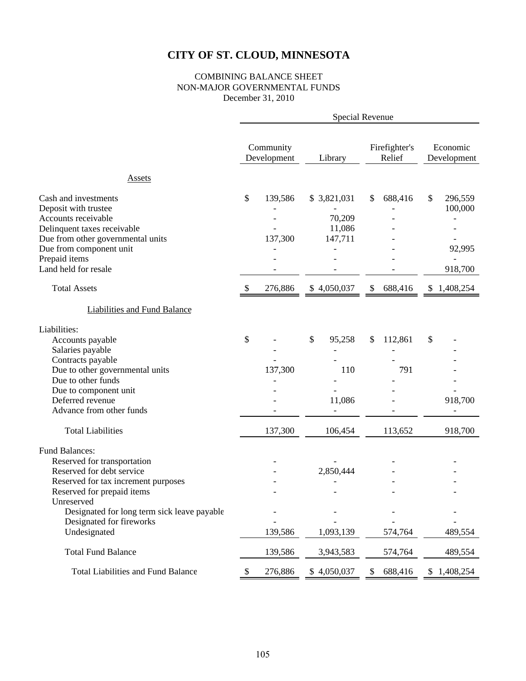### COMBINING BALANCE SHEET NON-MAJOR GOVERNMENTAL FUNDS December 31, 2010

|                                                                                                                                                                                                                                                                 | Special Revenue           |                          |                                            |    |                           |    |                                         |
|-----------------------------------------------------------------------------------------------------------------------------------------------------------------------------------------------------------------------------------------------------------------|---------------------------|--------------------------|--------------------------------------------|----|---------------------------|----|-----------------------------------------|
|                                                                                                                                                                                                                                                                 |                           | Community<br>Development | Library                                    |    | Firefighter's<br>Relief   |    | Economic<br>Development                 |
| <b>Assets</b>                                                                                                                                                                                                                                                   |                           |                          |                                            |    |                           |    |                                         |
| Cash and investments<br>Deposit with trustee<br>Accounts receivable<br>Delinquent taxes receivable<br>Due from other governmental units<br>Due from component unit<br>Prepaid items<br>Land held for resale                                                     | \$                        | 139,586<br>137,300       | \$3,821,031<br>70,209<br>11,086<br>147,711 | \$ | 688,416                   | \$ | 296,559<br>100,000<br>92,995<br>918,700 |
| <b>Total Assets</b>                                                                                                                                                                                                                                             | $\boldsymbol{\mathsf{S}}$ | 276,886                  | \$4,050,037                                | \$ | 688,416                   |    | \$1,408,254                             |
| <b>Liabilities and Fund Balance</b>                                                                                                                                                                                                                             |                           |                          |                                            |    |                           |    |                                         |
| Liabilities:<br>Accounts payable<br>Salaries payable<br>Contracts payable<br>Due to other governmental units<br>Due to other funds<br>Due to component unit<br>Deferred revenue<br>Advance from other funds<br><b>Total Liabilities</b>                         | \$                        | 137,300<br>137,300       | \$<br>95,258<br>110<br>11,086<br>106,454   | \$ | 112,861<br>791<br>113,652 | \$ | 918,700<br>918,700                      |
| <b>Fund Balances:</b><br>Reserved for transportation<br>Reserved for debt service<br>Reserved for tax increment purposes<br>Reserved for prepaid items<br>Unreserved<br>Designated for long term sick leave payable<br>Designated for fireworks<br>Undesignated |                           | 139,586                  | 2,850,444<br>1,093,139                     |    | 574,764                   |    | 489,554                                 |
| <b>Total Fund Balance</b>                                                                                                                                                                                                                                       |                           | 139,586                  | 3,943,583                                  |    | 574,764                   |    | 489,554                                 |
| <b>Total Liabilities and Fund Balance</b>                                                                                                                                                                                                                       | \$                        | 276,886                  | \$4,050,037                                | \$ | 688,416                   |    | \$1,408,254                             |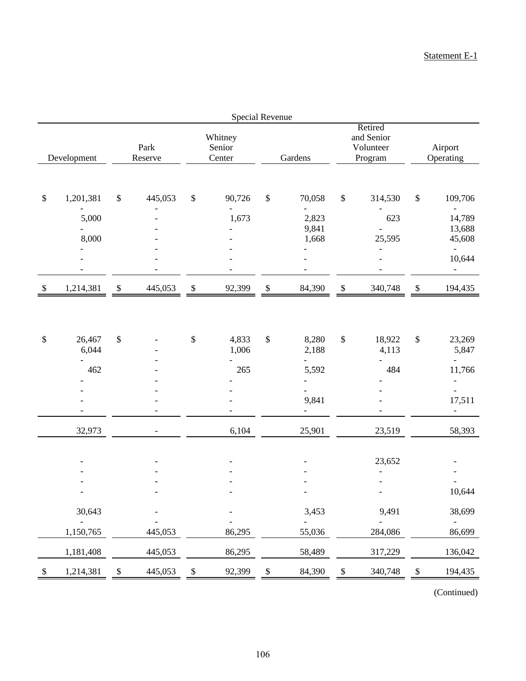|               | <b>Special Revenue</b>          |    |                          |              |                             |      |                                                               |                           |                                               |                           |                                                                    |
|---------------|---------------------------------|----|--------------------------|--------------|-----------------------------|------|---------------------------------------------------------------|---------------------------|-----------------------------------------------|---------------------------|--------------------------------------------------------------------|
|               | Development                     |    | Park<br>Reserve          |              | Whitney<br>Senior<br>Center |      | Gardens                                                       |                           | Retired<br>and Senior<br>Volunteer<br>Program |                           | Airport<br>Operating                                               |
|               |                                 |    |                          |              |                             |      |                                                               |                           |                                               |                           |                                                                    |
| $\$$          | 1,201,381                       | \$ | 445,053                  | $\$$         | 90,726<br>$\overline{a}$    | \$   | 70,058<br>$\overline{\phantom{a}}$                            | $\boldsymbol{\$}$         | 314,530                                       | $\$\,$                    | 109,706<br>$\overline{\phantom{0}}$                                |
|               | 5,000<br>8,000                  |    |                          |              | 1,673                       |      | 2,823<br>9,841<br>1,668                                       |                           | 623<br>25,595                                 |                           | 14,789<br>13,688<br>45,608                                         |
|               |                                 |    |                          |              |                             |      |                                                               |                           | $\overline{\phantom{a}}$                      |                           | $\overline{\phantom{a}}$<br>10,644<br>$\overline{\phantom{a}}$     |
| $\mathbb{S}$  | 1,214,381                       | \$ | 445,053                  | $\mathbb{S}$ | 92,399                      | \$   | 84,390                                                        | $\boldsymbol{\mathbb{S}}$ | 340,748                                       | $\boldsymbol{\mathsf{S}}$ | 194,435                                                            |
|               |                                 |    |                          |              |                             |      |                                                               |                           |                                               |                           |                                                                    |
| \$            | 26,467<br>6,044                 | \$ |                          | \$           | 4,833<br>1,006              | $\$$ | 8,280<br>2,188                                                | $\boldsymbol{\mathsf{S}}$ | 18,922<br>4,113                               | $\$\,$                    | 23,269<br>5,847                                                    |
|               | $\overline{\phantom{0}}$<br>462 |    |                          |              | 265                         |      | $\overline{\phantom{0}}$<br>5,592<br>$\overline{\phantom{0}}$ |                           | 484                                           |                           | $\qquad \qquad \blacksquare$<br>11,766<br>$\overline{\phantom{a}}$ |
|               |                                 |    |                          |              |                             |      | $\overline{\phantom{0}}$<br>9,841<br>$\overline{\phantom{a}}$ |                           |                                               |                           | $\overline{\phantom{0}}$<br>17,511<br>$\qquad \qquad -$            |
|               | 32,973                          |    | $\overline{\phantom{a}}$ |              | 6,104                       |      | 25,901                                                        |                           | 23,519                                        |                           | 58,393                                                             |
|               |                                 |    |                          |              |                             |      |                                                               |                           | 23,652                                        |                           |                                                                    |
|               |                                 |    |                          |              |                             |      |                                                               |                           |                                               |                           | 10,644                                                             |
|               | 30,643                          |    |                          |              |                             |      | 3,453                                                         |                           | 9,491                                         |                           | 38,699                                                             |
|               | 1,150,765                       |    | 445,053                  |              | 86,295                      |      | 55,036                                                        |                           | 284,086                                       |                           | $\overline{\phantom{a}}$<br>86,699                                 |
|               | 1,181,408                       |    | 445,053                  |              | 86,295                      |      | 58,489                                                        |                           | 317,229                                       |                           | 136,042                                                            |
| $\mathcal{S}$ | 1,214,381                       | P  | 445,053                  | \$           | 92,399                      | P    | 84,390                                                        | \$                        | 340,748                                       | $\boldsymbol{\mathsf{S}}$ | 194,435                                                            |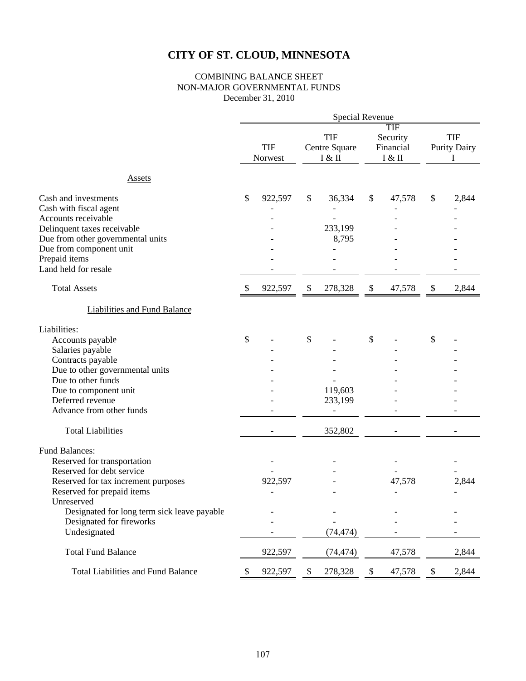### COMBINING BALANCE SHEET NON-MAJOR GOVERNMENTAL FUNDS December 31, 2010

|                                                                                                                                                                                                                                                                 | Special Revenue |                       |               |                                       |                           |                                        |    |                                   |  |  |
|-----------------------------------------------------------------------------------------------------------------------------------------------------------------------------------------------------------------------------------------------------------------|-----------------|-----------------------|---------------|---------------------------------------|---------------------------|----------------------------------------|----|-----------------------------------|--|--|
|                                                                                                                                                                                                                                                                 |                 | <b>TIF</b><br>Norwest |               | <b>TIF</b><br>Centre Square<br>I & II |                           | TIF<br>Security<br>Financial<br>I & II |    | <b>TIF</b><br><b>Purity Dairy</b> |  |  |
| <b>Assets</b>                                                                                                                                                                                                                                                   |                 |                       |               |                                       |                           |                                        |    |                                   |  |  |
| Cash and investments<br>Cash with fiscal agent<br>Accounts receivable<br>Delinquent taxes receivable<br>Due from other governmental units<br>Due from component unit<br>Prepaid items<br>Land held for resale                                                   | \$              | 922,597               | \$            | 36,334<br>233,199<br>8,795            | \$                        | 47,578                                 | \$ | 2,844                             |  |  |
| <b>Total Assets</b>                                                                                                                                                                                                                                             | \$              | 922,597               | \$            | 278,328                               | $\mathbb{S}$              | 47,578                                 | \$ | 2,844                             |  |  |
| <b>Liabilities and Fund Balance</b>                                                                                                                                                                                                                             |                 |                       |               |                                       |                           |                                        |    |                                   |  |  |
| Liabilities:<br>Accounts payable<br>Salaries payable<br>Contracts payable<br>Due to other governmental units<br>Due to other funds<br>Due to component unit<br>Deferred revenue<br>Advance from other funds<br><b>Total Liabilities</b>                         | \$              |                       | $\mathcal{S}$ | 119,603<br>233,199<br>352,802         | \$                        |                                        | \$ |                                   |  |  |
| <b>Fund Balances:</b><br>Reserved for transportation<br>Reserved for debt service<br>Reserved for tax increment purposes<br>Reserved for prepaid items<br>Unreserved<br>Designated for long term sick leave payable<br>Designated for fireworks<br>Undesignated |                 | 922,597               |               | (74, 474)                             |                           | 47,578<br>$\overline{\phantom{a}}$     |    | 2,844                             |  |  |
| <b>Total Fund Balance</b>                                                                                                                                                                                                                                       |                 | 922,597               |               | (74, 474)                             |                           | 47,578                                 |    | 2,844                             |  |  |
| <b>Total Liabilities and Fund Balance</b>                                                                                                                                                                                                                       | \$              | 922,597               | \$            | 278,328                               | $\boldsymbol{\mathsf{S}}$ | 47,578                                 | \$ | 2,844                             |  |  |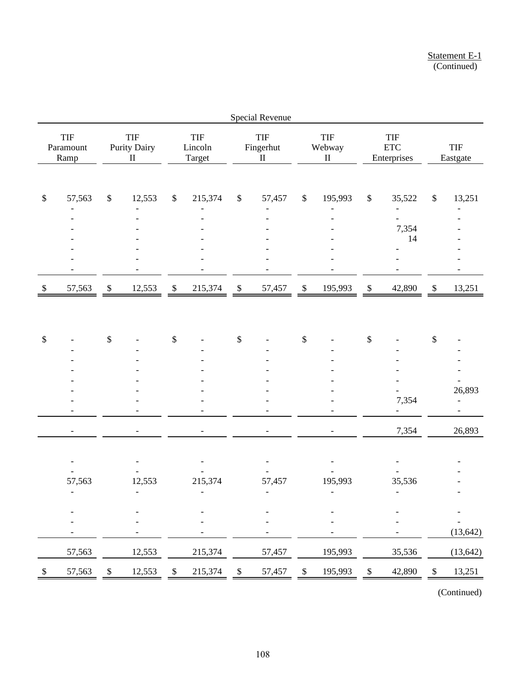|              | <b>Special Revenue</b>             |                           |                                        |                           |                                     |                           |                                     |                           |                                     |                           |                                    |               |                          |
|--------------|------------------------------------|---------------------------|----------------------------------------|---------------------------|-------------------------------------|---------------------------|-------------------------------------|---------------------------|-------------------------------------|---------------------------|------------------------------------|---------------|--------------------------|
|              | TIF<br>Paramount<br>Ramp           |                           | <b>TIF</b><br>Purity Dairy<br>$\rm II$ |                           | TIF<br>Lincoln<br>Target            |                           | <b>TIF</b><br>Fingerhut<br>$\rm II$ |                           | TIF<br>Webway<br>$\rm II$           |                           | TIF<br>$ETC$<br>Enterprises        |               | TIF<br>Eastgate          |
|              |                                    |                           |                                        |                           |                                     |                           |                                     |                           |                                     |                           |                                    |               |                          |
| $\$$         | 57,563                             | $\mathbb{S}$              | 12,553                                 | $\mathbb{S}$              | 215,374                             | $\boldsymbol{\$}$         | 57,457                              | \$                        | 195,993                             | $\mathbb{S}$              | 35,522<br>$\overline{\phantom{0}}$ | $\$\,$        | 13,251                   |
|              |                                    |                           |                                        |                           |                                     |                           |                                     |                           |                                     |                           |                                    |               |                          |
|              |                                    |                           |                                        |                           |                                     |                           |                                     |                           |                                     |                           | 7,354                              |               |                          |
|              |                                    |                           |                                        |                           |                                     |                           |                                     |                           |                                     |                           | 14                                 |               |                          |
|              |                                    |                           |                                        |                           |                                     |                           |                                     |                           |                                     |                           |                                    |               |                          |
|              |                                    |                           |                                        |                           |                                     |                           |                                     |                           |                                     |                           |                                    |               |                          |
| $\mathbb{S}$ | 57,563                             | $\mathbb{S}$              | 12,553                                 | $\mathbb{S}$              | 215,374                             | $\boldsymbol{\mathsf{S}}$ | 57,457                              | $\mathbb S$               | 195,993                             | $\boldsymbol{\mathbb{S}}$ | 42,890                             | $\mathbb{S}$  | 13,251                   |
|              |                                    |                           |                                        |                           |                                     |                           |                                     |                           |                                     |                           |                                    |               |                          |
|              |                                    |                           |                                        |                           |                                     |                           |                                     |                           |                                     |                           |                                    |               |                          |
|              |                                    | $\boldsymbol{\mathsf{S}}$ |                                        |                           |                                     |                           |                                     | $\boldsymbol{\mathsf{S}}$ |                                     |                           |                                    |               |                          |
| \$           |                                    |                           |                                        | \$                        |                                     | \$                        |                                     |                           |                                     | \$                        |                                    | $\$$          |                          |
|              |                                    |                           |                                        |                           |                                     |                           |                                     |                           |                                     |                           |                                    |               |                          |
|              |                                    |                           |                                        |                           |                                     |                           |                                     |                           |                                     |                           |                                    |               |                          |
|              |                                    |                           |                                        |                           |                                     |                           |                                     |                           |                                     |                           |                                    |               | 26,893                   |
|              |                                    |                           |                                        |                           |                                     |                           |                                     |                           |                                     |                           | 7,354                              |               | $\overline{\phantom{0}}$ |
|              |                                    |                           |                                        |                           |                                     |                           |                                     |                           |                                     |                           |                                    |               |                          |
|              |                                    |                           |                                        |                           |                                     |                           |                                     |                           | $\overline{\phantom{a}}$            |                           | 7,354                              |               | 26,893                   |
|              |                                    |                           |                                        |                           |                                     |                           |                                     |                           |                                     |                           |                                    |               |                          |
|              |                                    |                           |                                        |                           |                                     |                           |                                     |                           |                                     |                           |                                    |               |                          |
|              |                                    |                           |                                        |                           |                                     |                           |                                     |                           |                                     |                           |                                    |               |                          |
|              | 57,563<br>$\overline{\phantom{a}}$ |                           | 12,553<br>$\overline{\phantom{a}}$     |                           | 215,374<br>$\overline{\phantom{a}}$ |                           | 57,457<br>$\overline{\phantom{a}}$  |                           | 195,993<br>$\overline{\phantom{a}}$ |                           | 35,536<br>$\overline{\phantom{a}}$ |               |                          |
|              |                                    |                           |                                        |                           |                                     |                           |                                     |                           |                                     |                           |                                    |               |                          |
|              |                                    |                           |                                        |                           |                                     |                           |                                     |                           |                                     |                           |                                    |               |                          |
|              |                                    |                           |                                        |                           |                                     |                           |                                     |                           |                                     |                           |                                    |               | (13, 642)                |
|              | 57,563                             |                           | 12,553                                 |                           | 215,374                             |                           | 57,457                              |                           | 195,993                             |                           | 35,536                             |               | (13, 642)                |
| \$           | 57,563                             | $\mathcal{S}$             | 12,553                                 | $\boldsymbol{\mathsf{S}}$ | 215,374                             | \$                        | 57,457                              | \$                        | 195,993                             | \$                        | 42,890                             | $\frac{1}{2}$ | 13,251                   |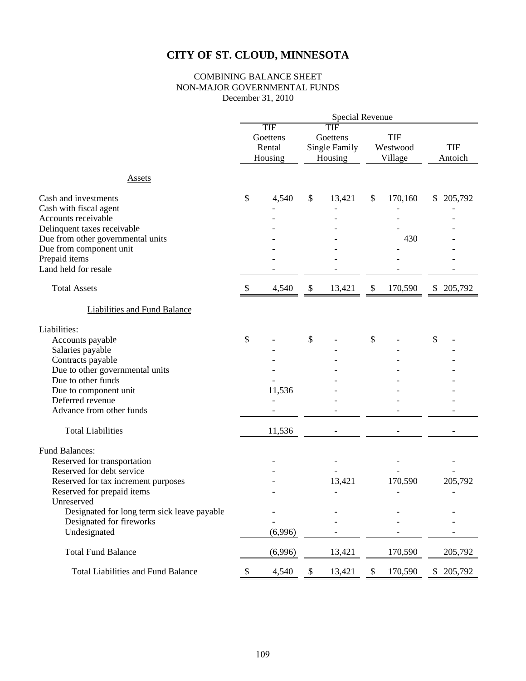### COMBINING BALANCE SHEET NON-MAJOR GOVERNMENTAL FUNDS December 31, 2010

|                                                                                                                                                                                                                                                          | <b>Special Revenue</b>               |                  |                           |                                                    |                           |                                     |                                     |  |  |
|----------------------------------------------------------------------------------------------------------------------------------------------------------------------------------------------------------------------------------------------------------|--------------------------------------|------------------|---------------------------|----------------------------------------------------|---------------------------|-------------------------------------|-------------------------------------|--|--|
|                                                                                                                                                                                                                                                          | TIF<br>Goettens<br>Rental<br>Housing |                  |                           | TIF<br>Goettens<br><b>Single Family</b><br>Housing |                           | <b>TIF</b><br>Westwood<br>Village   | <b>TIF</b><br>Antoich               |  |  |
| <b>Assets</b>                                                                                                                                                                                                                                            |                                      |                  |                           |                                                    |                           |                                     |                                     |  |  |
| Cash and investments<br>Cash with fiscal agent<br>Accounts receivable<br>Delinquent taxes receivable<br>Due from other governmental units<br>Due from component unit<br>Prepaid items<br>Land held for resale                                            | \$                                   | 4,540            | \$                        | 13,421                                             | $\frac{1}{2}$             | 170,160<br>430                      | 205,792<br>\$                       |  |  |
| <b>Total Assets</b>                                                                                                                                                                                                                                      | \$                                   | 4,540            | $\boldsymbol{\mathsf{S}}$ | 13,421                                             | $\boldsymbol{\mathsf{S}}$ | 170,590                             | 205,792<br>\$                       |  |  |
| <b>Liabilities and Fund Balance</b>                                                                                                                                                                                                                      |                                      |                  |                           |                                                    |                           |                                     |                                     |  |  |
| Liabilities:<br>Accounts payable<br>Salaries payable<br>Contracts payable<br>Due to other governmental units<br>Due to other funds<br>Due to component unit<br>Deferred revenue<br>Advance from other funds<br><b>Total Liabilities</b>                  | \$                                   | 11,536<br>11,536 | \$                        |                                                    | \$                        |                                     | \$                                  |  |  |
| Fund Balances:<br>Reserved for transportation<br>Reserved for debt service<br>Reserved for tax increment purposes<br>Reserved for prepaid items<br>Unreserved<br>Designated for long term sick leave payable<br>Designated for fireworks<br>Undesignated |                                      | (6,996)          |                           | 13,421<br>$\overline{\phantom{a}}$                 |                           | 170,590<br>$\overline{\phantom{a}}$ | 205,792<br>$\overline{\phantom{a}}$ |  |  |
| <b>Total Fund Balance</b>                                                                                                                                                                                                                                |                                      | (6,996)          |                           | 13,421                                             |                           | 170,590                             | 205,792                             |  |  |
| <b>Total Liabilities and Fund Balance</b>                                                                                                                                                                                                                | \$                                   | 4,540            | \$                        | 13,421                                             | $\mathbb{S}$              | 170,590                             | 205,792<br>\$                       |  |  |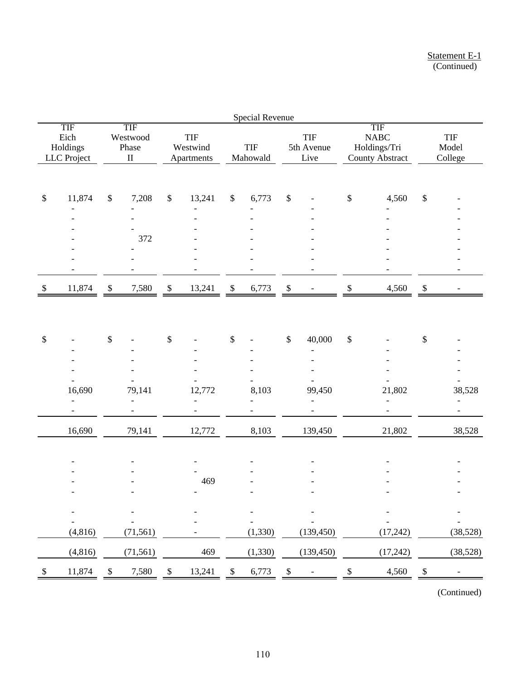|                           |                                        |              |                                             |              |                                      |               | <b>Special Revenue</b> |                           |                                  |              |                                                              |              |                          |
|---------------------------|----------------------------------------|--------------|---------------------------------------------|--------------|--------------------------------------|---------------|------------------------|---------------------------|----------------------------------|--------------|--------------------------------------------------------------|--------------|--------------------------|
|                           | TIF<br>Eich<br>Holdings<br>LLC Project |              | <b>TIF</b><br>Westwood<br>Phase<br>$\rm II$ |              | <b>TIF</b><br>Westwind<br>Apartments |               | <b>TIF</b><br>Mahowald |                           | <b>TIF</b><br>5th Avenue<br>Live |              | TIF<br><b>NABC</b><br>Holdings/Tri<br><b>County Abstract</b> |              | TIF<br>Model<br>College  |
|                           |                                        |              |                                             |              |                                      |               |                        |                           |                                  |              |                                                              |              |                          |
| $\$$                      | 11,874                                 | $\$$         | 7,208                                       | $\$\,$       | 13,241                               | $\mathcal{S}$ | 6,773                  | $\boldsymbol{\$}$         |                                  | $\$$         | 4,560                                                        | $\$\,$       |                          |
|                           |                                        |              |                                             |              |                                      |               |                        |                           |                                  |              |                                                              |              |                          |
|                           |                                        |              | 372                                         |              |                                      |               |                        |                           |                                  |              |                                                              |              |                          |
|                           |                                        |              |                                             |              |                                      |               |                        |                           |                                  |              |                                                              |              |                          |
|                           |                                        |              |                                             |              |                                      |               |                        |                           |                                  |              |                                                              |              |                          |
| $\boldsymbol{\mathsf{S}}$ | 11,874                                 | $\mathbb{S}$ | 7,580                                       | $\mathbb{S}$ | 13,241                               | $\mathbb{S}$  | 6,773                  | $\mathbb{S}$              |                                  | $\mathbb{S}$ | 4,560                                                        | $\mathbb{S}$ |                          |
|                           |                                        |              |                                             |              |                                      |               |                        |                           |                                  |              |                                                              |              |                          |
| $\$$                      |                                        | $\mathbb{S}$ |                                             | $\mathbb{S}$ |                                      | $\$$          |                        | $\mathbb{S}$              | 40,000                           | $\mathbb{S}$ |                                                              | $\$\,$       |                          |
|                           |                                        |              |                                             |              |                                      |               |                        |                           |                                  |              |                                                              |              |                          |
|                           |                                        |              |                                             |              |                                      |               |                        |                           |                                  |              |                                                              |              |                          |
|                           | 16,690                                 |              |                                             |              |                                      |               |                        |                           |                                  |              |                                                              |              |                          |
|                           |                                        |              | 79,141                                      |              | 12,772<br>$\overline{a}$             |               | 8,103                  |                           | 99,450                           |              | 21,802<br>$\overline{\phantom{a}}$                           |              | 38,528<br>$\overline{a}$ |
|                           |                                        |              |                                             |              |                                      |               |                        |                           |                                  |              |                                                              |              |                          |
|                           | 16,690                                 |              | 79,141                                      |              | 12,772                               |               | 8,103                  |                           | 139,450                          |              | 21,802                                                       |              | 38,528                   |
|                           |                                        |              |                                             |              |                                      |               |                        |                           |                                  |              |                                                              |              |                          |
|                           |                                        |              |                                             |              |                                      |               |                        |                           |                                  |              |                                                              |              |                          |
|                           |                                        |              |                                             |              | 469                                  |               |                        |                           |                                  |              |                                                              |              |                          |
|                           |                                        |              |                                             |              |                                      |               |                        |                           |                                  |              |                                                              |              |                          |
|                           |                                        |              |                                             |              |                                      |               |                        |                           |                                  |              |                                                              |              |                          |
|                           | (4, 816)                               |              | (71, 561)                                   |              |                                      |               | (1, 330)               |                           | (139, 450)                       |              | (17,242)                                                     |              | (38,528)                 |
|                           | (4,816)                                |              | (71, 561)                                   |              | 469                                  |               | (1, 330)               |                           | (139, 450)                       |              | (17,242)                                                     |              | (38,528)                 |
| \$                        | 11,874                                 | \$           | 7,580                                       | \$           | 13,241                               | \$            | 6,773                  | $\boldsymbol{\mathsf{S}}$ |                                  |              | 4,560                                                        | \$           |                          |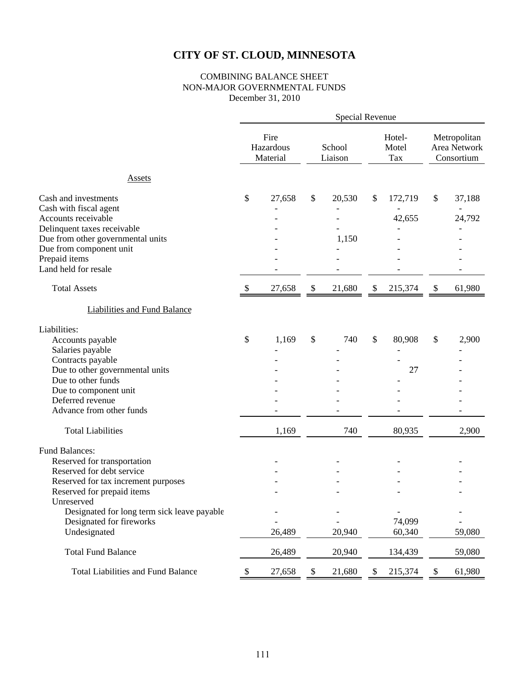### COMBINING BALANCE SHEET NON-MAJOR GOVERNMENTAL FUNDS December 31, 2010

|                                                           |                           |                               |                           |                   | Special Revenue        |         |                           |                                            |
|-----------------------------------------------------------|---------------------------|-------------------------------|---------------------------|-------------------|------------------------|---------|---------------------------|--------------------------------------------|
|                                                           |                           | Fire<br>Hazardous<br>Material |                           | School<br>Liaison | Hotel-<br>Motel<br>Tax |         |                           | Metropolitan<br>Area Network<br>Consortium |
| <b>Assets</b>                                             |                           |                               |                           |                   |                        |         |                           |                                            |
| Cash and investments                                      | \$                        | 27,658                        | \$                        | 20,530            | \$                     | 172,719 | \$                        | 37,188                                     |
| Cash with fiscal agent                                    |                           |                               |                           |                   |                        |         |                           |                                            |
| Accounts receivable                                       |                           |                               |                           |                   |                        | 42,655  |                           | 24,792                                     |
| Delinquent taxes receivable                               |                           |                               |                           |                   |                        |         |                           |                                            |
| Due from other governmental units                         |                           |                               |                           | 1,150             |                        |         |                           |                                            |
| Due from component unit                                   |                           |                               |                           |                   |                        |         |                           |                                            |
| Prepaid items<br>Land held for resale                     |                           |                               |                           |                   |                        |         |                           |                                            |
| <b>Total Assets</b>                                       | $\boldsymbol{\mathsf{S}}$ | 27,658                        | $\boldsymbol{\mathsf{S}}$ | 21,680            | \$                     | 215,374 | \$                        | 61,980                                     |
| Liabilities and Fund Balance                              |                           |                               |                           |                   |                        |         |                           |                                            |
| Liabilities:                                              |                           |                               |                           |                   |                        |         |                           |                                            |
| Accounts payable                                          | \$                        | 1,169                         | \$                        | 740               | \$                     | 80,908  | \$                        | 2,900                                      |
| Salaries payable                                          |                           |                               |                           |                   |                        |         |                           |                                            |
| Contracts payable                                         |                           |                               |                           |                   |                        |         |                           |                                            |
| Due to other governmental units                           |                           |                               |                           |                   |                        | 27      |                           |                                            |
| Due to other funds                                        |                           |                               |                           |                   |                        |         |                           |                                            |
| Due to component unit                                     |                           |                               |                           |                   |                        |         |                           |                                            |
| Deferred revenue                                          |                           |                               |                           |                   |                        |         |                           |                                            |
| Advance from other funds                                  |                           |                               |                           |                   |                        |         |                           |                                            |
| <b>Total Liabilities</b>                                  |                           | 1,169                         |                           | 740               |                        | 80,935  |                           | 2,900                                      |
| <b>Fund Balances:</b>                                     |                           |                               |                           |                   |                        |         |                           |                                            |
| Reserved for transportation                               |                           |                               |                           |                   |                        |         |                           |                                            |
| Reserved for debt service                                 |                           |                               |                           |                   |                        |         |                           |                                            |
| Reserved for tax increment purposes                       |                           |                               |                           |                   |                        |         |                           |                                            |
| Reserved for prepaid items                                |                           |                               |                           |                   |                        |         |                           |                                            |
| Unreserved<br>Designated for long term sick leave payable |                           |                               |                           |                   |                        |         |                           |                                            |
| Designated for fireworks                                  |                           |                               |                           |                   |                        | 74,099  |                           |                                            |
| Undesignated                                              |                           | 26,489                        |                           | 20,940            |                        | 60,340  |                           | 59,080                                     |
| <b>Total Fund Balance</b>                                 |                           | 26,489                        |                           | 20,940            |                        | 134,439 |                           | 59,080                                     |
| <b>Total Liabilities and Fund Balance</b>                 | \$                        | 27,658                        | $\mathbb{S}$              | 21,680            | $\mathbb{S}$           | 215,374 | $\boldsymbol{\mathsf{S}}$ | 61,980                                     |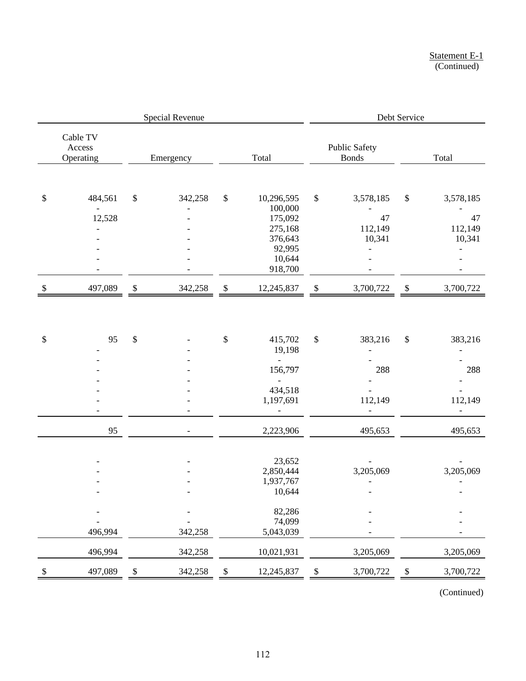| <b>Special Revenue</b>    |                                 |              |                    |              |                                                                                           | Debt Service              |                                                        |                            |                                      |  |  |
|---------------------------|---------------------------------|--------------|--------------------|--------------|-------------------------------------------------------------------------------------------|---------------------------|--------------------------------------------------------|----------------------------|--------------------------------------|--|--|
|                           | Cable TV<br>Access<br>Operating |              | Emergency          |              | Total                                                                                     |                           | <b>Public Safety</b><br><b>Bonds</b>                   |                            | Total                                |  |  |
| \$                        | 484,561<br>12,528               | \$           | 342,258            | $\$\,$       | 10,296,595<br>100,000<br>175,092<br>275,168<br>376,643<br>92,995<br>10,644<br>918,700     | $\boldsymbol{\mathsf{S}}$ | 3,578,185<br>47<br>112,149<br>10,341<br>$\overline{a}$ | $\$$                       | 3,578,185<br>47<br>112,149<br>10,341 |  |  |
| $\boldsymbol{\mathsf{S}}$ | 497,089                         | $\mathbb{S}$ | 342,258            | $\mathbb{S}$ | 12,245,837                                                                                | \$                        | 3,700,722                                              | \$                         | 3,700,722                            |  |  |
| \$                        | 95                              | $\$$         |                    | \$           | 415,702<br>19,198<br>$\blacksquare$<br>156,797<br>$\overline{a}$<br>434,518<br>1,197,691  | $\$\,$                    | 383,216<br>288<br>112,149                              | \$                         | 383,216<br>288<br>112,149            |  |  |
|                           | 95                              |              | $\overline{a}$     |              | 2,223,906                                                                                 |                           | 495,653                                                |                            | 495,653                              |  |  |
|                           | 496,994<br>496,994              |              | 342,258<br>342,258 |              | 23,652<br>2,850,444<br>1,937,767<br>10,644<br>82,286<br>74,099<br>5,043,039<br>10,021,931 |                           | 3,205,069<br>3,205,069                                 |                            | 3,205,069<br>3,205,069               |  |  |
| $\boldsymbol{\mathsf{S}}$ | 497,089                         | \$           | 342,258            | \$           | 12,245,837                                                                                | $\frac{1}{2}$             | 3,700,722                                              | $\boldsymbol{\mathcal{S}}$ | 3,700,722                            |  |  |
|                           |                                 |              |                    |              |                                                                                           |                           |                                                        |                            |                                      |  |  |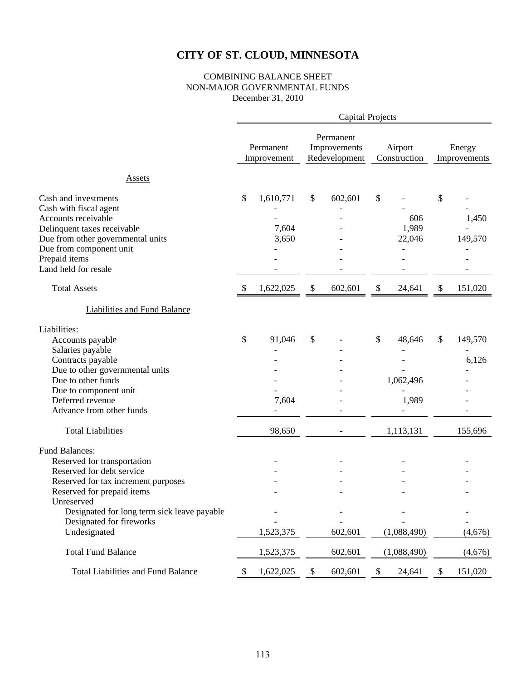### COMBINING BALANCE SHEET NON-MAJOR GOVERNMENTAL FUNDS December 31, 2010

|                                                                                                                                                                                                                                                 |    |                             |    |                                            | <b>Capital Projects</b> |                         |              |                        |  |
|-------------------------------------------------------------------------------------------------------------------------------------------------------------------------------------------------------------------------------------------------|----|-----------------------------|----|--------------------------------------------|-------------------------|-------------------------|--------------|------------------------|--|
|                                                                                                                                                                                                                                                 |    | Permanent<br>Improvement    |    | Permanent<br>Improvements<br>Redevelopment |                         | Airport<br>Construction |              | Energy<br>Improvements |  |
| <b>Assets</b>                                                                                                                                                                                                                                   |    |                             |    |                                            |                         |                         |              |                        |  |
| Cash and investments<br>Cash with fiscal agent<br>Accounts receivable<br>Delinquent taxes receivable<br>Due from other governmental units<br>Due from component unit<br>Prepaid items<br>Land held for resale                                   | \$ | 1,610,771<br>7,604<br>3,650 | \$ | 602,601                                    | \$                      | 606<br>1,989<br>22,046  | \$           | 1,450<br>149,570       |  |
| <b>Total Assets</b>                                                                                                                                                                                                                             | \$ | 1,622,025                   | \$ | 602,601                                    | \$                      | 24,641                  | \$           | 151,020                |  |
| <b>Liabilities and Fund Balance</b>                                                                                                                                                                                                             |    |                             |    |                                            |                         |                         |              |                        |  |
| Liabilities:<br>Accounts payable                                                                                                                                                                                                                | \$ | 91,046                      | \$ |                                            | \$                      | 48,646                  | \$           | 149,570                |  |
| Salaries payable<br>Contracts payable<br>Due to other governmental units<br>Due to other funds<br>Due to component unit<br>Deferred revenue<br>Advance from other funds                                                                         |    | $\overline{a}$<br>7,604     |    |                                            |                         | 1,062,496<br>1,989      |              | 6,126                  |  |
| <b>Total Liabilities</b>                                                                                                                                                                                                                        |    | 98,650                      |    |                                            |                         | 1,113,131               |              | 155,696                |  |
| <b>Fund Balances:</b><br>Reserved for transportation<br>Reserved for debt service<br>Reserved for tax increment purposes<br>Reserved for prepaid items<br>Unreserved<br>Designated for long term sick leave payable<br>Designated for fireworks |    |                             |    |                                            |                         |                         |              |                        |  |
| Undesignated                                                                                                                                                                                                                                    |    | 1,523,375                   |    | 602,601                                    |                         | (1,088,490)             |              | (4,676)                |  |
| <b>Total Fund Balance</b>                                                                                                                                                                                                                       |    | 1,523,375                   |    | 602,601                                    |                         | (1,088,490)             |              | (4,676)                |  |
| <b>Total Liabilities and Fund Balance</b>                                                                                                                                                                                                       | \$ | 1,622,025                   | \$ | 602,601                                    | $\mathbb S$             | 24,641                  | $\mathbb{S}$ | 151,020                |  |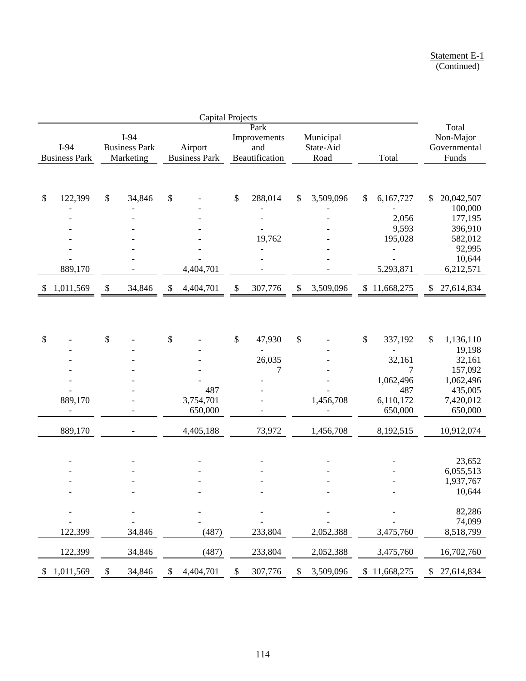| <b>Capital Projects</b> |                              |              |                                           |              |                                 |               |                                               |                           |                                |              |                             |                                                   |
|-------------------------|------------------------------|--------------|-------------------------------------------|--------------|---------------------------------|---------------|-----------------------------------------------|---------------------------|--------------------------------|--------------|-----------------------------|---------------------------------------------------|
|                         | I-94<br><b>Business Park</b> |              | I-94<br><b>Business Park</b><br>Marketing |              | Airport<br><b>Business Park</b> |               | Park<br>Improvements<br>and<br>Beautification |                           | Municipal<br>State-Aid<br>Road |              | Total                       | Total<br>Non-Major<br>Governmental<br>Funds       |
|                         |                              |              |                                           |              |                                 |               |                                               |                           |                                |              |                             |                                                   |
| \$                      | 122,399                      | \$           | 34,846                                    | \$           |                                 | $\mathcal{S}$ | 288,014                                       | \$                        | 3,509,096                      | $\mathbb{S}$ | 6,167,727<br>2,056<br>9,593 | \$<br>20,042,507<br>100,000<br>177,195<br>396,910 |
|                         |                              |              |                                           |              |                                 |               | 19,762                                        |                           |                                |              | 195,028                     | 582,012                                           |
|                         | 889,170                      |              |                                           |              | 4,404,701                       |               |                                               |                           |                                |              | -<br>5,293,871              | 92,995<br>10,644<br>6,212,571                     |
| S.                      | 1,011,569                    | $\mathbb{S}$ | 34,846                                    | $\mathbb{S}$ | 4,404,701                       | $\mathbb{S}$  | 307,776                                       | $\boldsymbol{\mathsf{S}}$ | 3,509,096                      |              | \$11,668,275                | \$<br>27,614,834                                  |
| \$                      |                              | \$           |                                           | \$           |                                 | $\$\,$        | 47,930                                        | \$                        |                                | \$           | 337,192                     | \$<br>1,136,110                                   |
|                         |                              |              |                                           |              |                                 |               |                                               |                           |                                |              |                             | 19,198                                            |
|                         |                              |              |                                           |              |                                 |               | 26,035                                        |                           |                                |              | 32,161                      | 32,161                                            |
|                         |                              |              |                                           |              |                                 |               | 7                                             |                           |                                |              | 7                           | 157,092                                           |
|                         |                              |              |                                           |              | 487                             |               |                                               |                           |                                |              | 1,062,496<br>487            | 1,062,496<br>435,005                              |
|                         | 889,170                      |              |                                           |              | 3,754,701                       |               |                                               |                           | 1,456,708                      |              | 6,110,172                   | 7,420,012                                         |
|                         |                              |              |                                           |              | 650,000                         |               |                                               |                           |                                |              | 650,000                     | 650,000                                           |
|                         | 889,170                      |              |                                           |              | 4,405,188                       |               | 73,972                                        |                           | 1,456,708                      |              | 8,192,515                   | 10,912,074                                        |
|                         |                              |              |                                           |              |                                 |               |                                               |                           |                                |              |                             |                                                   |
|                         |                              |              |                                           |              |                                 |               |                                               |                           |                                |              |                             | 23,652                                            |
|                         |                              |              |                                           |              |                                 |               |                                               |                           |                                |              |                             | 6,055,513                                         |
|                         |                              |              |                                           |              |                                 |               |                                               |                           |                                |              |                             | 1,937,767<br>10,644                               |
|                         |                              |              |                                           |              |                                 |               |                                               |                           |                                |              |                             |                                                   |
|                         |                              |              |                                           |              |                                 |               |                                               |                           |                                |              |                             | 82,286                                            |
|                         | 122,399                      |              | 34,846                                    |              | (487)                           |               | 233,804                                       |                           | 2,052,388                      |              | 3,475,760                   | 74,099<br>8,518,799                               |
|                         | 122,399                      |              | 34,846                                    |              | (487)                           |               | 233,804                                       |                           | 2,052,388                      |              | 3,475,760                   | 16,702,760                                        |
| ≯                       | 1,011,569                    | \$           | 34,846                                    | \$           | 4,404,701                       | \$            | 307,776                                       | \$                        | 3,509,096                      |              | \$11,668,275                | \$<br>27,614,834                                  |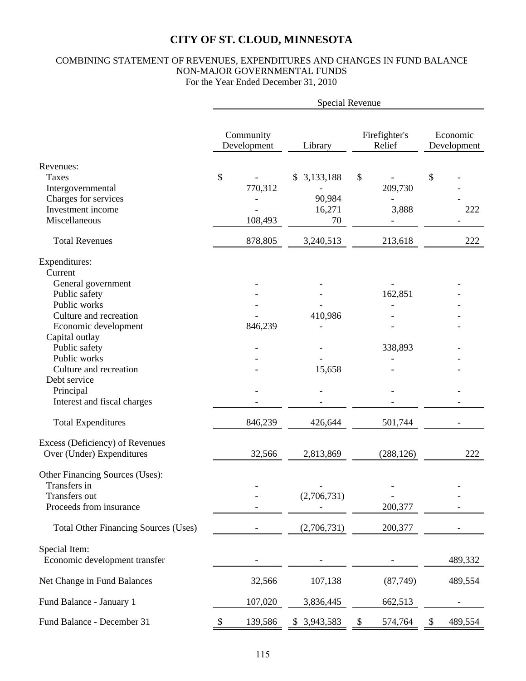### COMBINING STATEMENT OF REVENUES, EXPENDITURES AND CHANGES IN FUND BALANCE NON-MAJOR GOVERNMENTAL FUNDS For the Year Ended December 31, 2010

|                                                                  | Special Revenue          |                        |                         |                         |  |  |  |  |  |  |  |
|------------------------------------------------------------------|--------------------------|------------------------|-------------------------|-------------------------|--|--|--|--|--|--|--|
|                                                                  | Community<br>Development | Library                | Firefighter's<br>Relief | Economic<br>Development |  |  |  |  |  |  |  |
| Revenues:<br><b>Taxes</b><br>Intergovernmental                   | \$<br>770,312            | 3,133,188<br>\$        | \$<br>209,730           | \$                      |  |  |  |  |  |  |  |
| Charges for services<br>Investment income<br>Miscellaneous       | 108,493                  | 90,984<br>16,271<br>70 | 3,888                   | 222                     |  |  |  |  |  |  |  |
| <b>Total Revenues</b>                                            | 878,805                  | 3,240,513              | 213,618                 | 222                     |  |  |  |  |  |  |  |
| Expenditures:<br>Current                                         |                          |                        |                         |                         |  |  |  |  |  |  |  |
| General government<br>Public safety<br>Public works              |                          |                        | 162,851                 |                         |  |  |  |  |  |  |  |
| Culture and recreation<br>Economic development<br>Capital outlay | 846,239                  | 410,986                |                         |                         |  |  |  |  |  |  |  |
| Public safety<br>Public works<br>Culture and recreation          |                          | 15,658                 | 338,893                 |                         |  |  |  |  |  |  |  |
| Debt service<br>Principal<br>Interest and fiscal charges         |                          |                        |                         |                         |  |  |  |  |  |  |  |
| <b>Total Expenditures</b>                                        | 846,239                  | 426,644                | 501,744                 |                         |  |  |  |  |  |  |  |
| Excess (Deficiency) of Revenues<br>Over (Under) Expenditures     | 32,566                   | 2,813,869              | (288, 126)              | 222                     |  |  |  |  |  |  |  |
| Other Financing Sources (Uses):<br>Transfers in<br>Transfers out |                          | (2,706,731)            |                         |                         |  |  |  |  |  |  |  |
| Proceeds from insurance                                          |                          |                        | 200,377                 |                         |  |  |  |  |  |  |  |
| <b>Total Other Financing Sources (Uses)</b>                      |                          | (2,706,731)            | 200,377                 |                         |  |  |  |  |  |  |  |
| Special Item:<br>Economic development transfer                   |                          |                        |                         | 489,332                 |  |  |  |  |  |  |  |
| Net Change in Fund Balances                                      | 32,566                   | 107,138                | (87, 749)               | 489,554                 |  |  |  |  |  |  |  |
| Fund Balance - January 1                                         | 107,020                  | 3,836,445              | 662,513                 |                         |  |  |  |  |  |  |  |
| Fund Balance - December 31                                       | 139,586<br>\$            | \$ 3,943,583           | \$<br>574,764           | 489,554<br>\$           |  |  |  |  |  |  |  |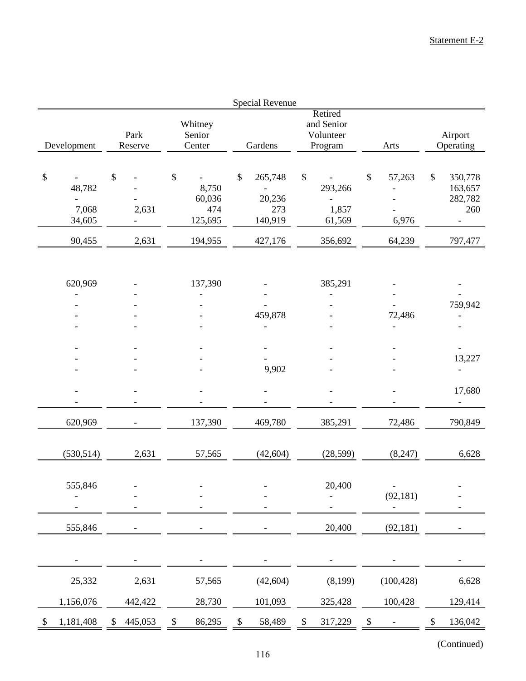|                                           |                      |                                                    | <b>Special Revenue</b>                                                 |                                                                                   |                                                      |                                                       |  |
|-------------------------------------------|----------------------|----------------------------------------------------|------------------------------------------------------------------------|-----------------------------------------------------------------------------------|------------------------------------------------------|-------------------------------------------------------|--|
| Development                               | Park<br>Reserve      | Whitney<br>Senior<br>Center                        | Gardens                                                                | Retired<br>and Senior<br>Volunteer<br>Program                                     | Arts                                                 | Airport<br>Operating                                  |  |
| \$<br>48,782<br>7,068<br>34,605<br>90,455 | \$<br>2,631<br>2,631 | \$<br>8,750<br>60,036<br>474<br>125,695<br>194,955 | \$<br>265,748<br>$\blacksquare$<br>20,236<br>273<br>140,919<br>427,176 | $\mathbb{S}$<br>293,266<br>$\overline{\phantom{a}}$<br>1,857<br>61,569<br>356,692 | 57,263<br>\$<br>$\qquad \qquad -$<br>6,976<br>64,239 | \$<br>350,778<br>163,657<br>282,782<br>260<br>797,477 |  |
| 620,969<br>$\overline{a}$                 |                      | 137,390<br>$\overline{a}$                          | 459,878                                                                | 385,291<br>$\overline{\phantom{m}}$                                               | 72,486                                               | 759,942                                               |  |
|                                           |                      |                                                    | 9,902                                                                  |                                                                                   |                                                      | 13,227<br>17,680                                      |  |
| 620,969                                   |                      | 137,390                                            | 469,780                                                                | 385,291                                                                           | 72,486                                               | Ξ.<br>790,849                                         |  |
| (530, 514)                                | 2,631                | 57,565                                             | (42, 604)                                                              | (28, 599)                                                                         | (8,247)                                              | 6,628                                                 |  |
| 555,846                                   |                      |                                                    |                                                                        | 20,400                                                                            | $\overline{\phantom{a}}$<br>(92, 181)                |                                                       |  |
| 555,846                                   |                      |                                                    |                                                                        | 20,400                                                                            | (92, 181)                                            |                                                       |  |
|                                           |                      |                                                    |                                                                        |                                                                                   |                                                      |                                                       |  |
| 25,332                                    | 2,631                | 57,565                                             | (42, 604)                                                              | (8,199)                                                                           | (100, 428)                                           | 6,628                                                 |  |
| 1,156,076                                 | 442,422              | 28,730                                             | 101,093                                                                | 325,428                                                                           | 100,428                                              | 129,414                                               |  |
| 1,181,408<br>\$                           | 445,053<br>\$        | 86,295<br>\$                                       | 58,489<br>\$                                                           | \$<br>317,229                                                                     | \$                                                   | \$<br>136,042                                         |  |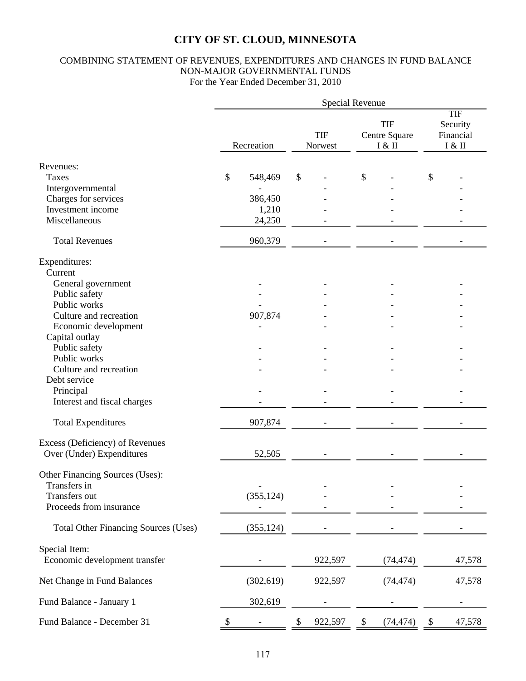### COMBINING STATEMENT OF REVENUES, EXPENDITURES AND CHANGES IN FUND BALANCE NON-MAJOR GOVERNMENTAL FUNDS For the Year Ended December 31, 2010

|                                             | Special Revenue           |            |    |                       |                                       |           |    |                                           |
|---------------------------------------------|---------------------------|------------|----|-----------------------|---------------------------------------|-----------|----|-------------------------------------------|
|                                             | Recreation                |            |    | <b>TIF</b><br>Norwest | <b>TIF</b><br>Centre Square<br>I & II |           |    | TIF<br>Security<br>Financial<br>$I \& II$ |
| Revenues:                                   |                           |            |    |                       |                                       |           |    |                                           |
| Taxes                                       | $\boldsymbol{\mathsf{S}}$ | 548,469    | \$ |                       | \$                                    |           | \$ |                                           |
| Intergovernmental                           |                           |            |    |                       |                                       |           |    |                                           |
| Charges for services                        |                           | 386,450    |    |                       |                                       |           |    |                                           |
| Investment income                           |                           | 1,210      |    |                       |                                       |           |    |                                           |
| Miscellaneous                               |                           | 24,250     |    |                       |                                       |           |    |                                           |
|                                             |                           |            |    |                       |                                       |           |    |                                           |
| <b>Total Revenues</b>                       |                           | 960,379    |    |                       |                                       |           |    |                                           |
| Expenditures:                               |                           |            |    |                       |                                       |           |    |                                           |
| Current                                     |                           |            |    |                       |                                       |           |    |                                           |
| General government                          |                           |            |    |                       |                                       |           |    |                                           |
| Public safety                               |                           |            |    |                       |                                       |           |    |                                           |
| Public works                                |                           |            |    |                       |                                       |           |    |                                           |
| Culture and recreation                      |                           | 907,874    |    |                       |                                       |           |    |                                           |
| Economic development                        |                           |            |    |                       |                                       |           |    |                                           |
| Capital outlay                              |                           |            |    |                       |                                       |           |    |                                           |
| Public safety                               |                           |            |    |                       |                                       |           |    |                                           |
| Public works                                |                           |            |    |                       |                                       |           |    |                                           |
| Culture and recreation                      |                           |            |    |                       |                                       |           |    |                                           |
| Debt service                                |                           |            |    |                       |                                       |           |    |                                           |
| Principal                                   |                           |            |    |                       |                                       |           |    |                                           |
| Interest and fiscal charges                 |                           |            |    |                       |                                       |           |    |                                           |
| <b>Total Expenditures</b>                   |                           | 907,874    |    |                       |                                       |           |    |                                           |
| Excess (Deficiency) of Revenues             |                           |            |    |                       |                                       |           |    |                                           |
| Over (Under) Expenditures                   |                           | 52,505     |    |                       |                                       |           |    |                                           |
| Other Financing Sources (Uses):             |                           |            |    |                       |                                       |           |    |                                           |
| Transfers in                                |                           |            |    |                       |                                       |           |    |                                           |
| Transfers out                               |                           | (355, 124) |    |                       |                                       |           |    |                                           |
| Proceeds from insurance                     |                           |            |    |                       |                                       |           |    |                                           |
| <b>Total Other Financing Sources (Uses)</b> |                           | (355, 124) |    |                       |                                       |           |    |                                           |
| Special Item:                               |                           |            |    |                       |                                       |           |    |                                           |
| Economic development transfer               |                           |            |    | 922,597               |                                       | (74, 474) |    | 47,578                                    |
| Net Change in Fund Balances                 |                           | (302, 619) |    | 922,597               |                                       | (74, 474) |    | 47,578                                    |
| Fund Balance - January 1                    |                           | 302,619    |    |                       |                                       |           |    |                                           |
| Fund Balance - December 31                  | $\mathcal{P}$             |            | S  | 922,597               | $\boldsymbol{\mathsf{S}}$             | (74, 474) | \$ | 47,578                                    |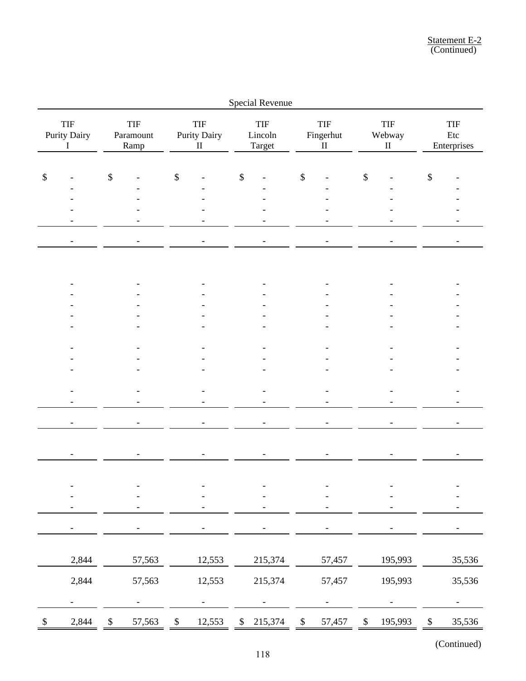|                            |                                           |               |                                 |              |                                                                |                           | Special Revenue                 |                              |        |        |                                  |              |                           |  |
|----------------------------|-------------------------------------------|---------------|---------------------------------|--------------|----------------------------------------------------------------|---------------------------|---------------------------------|------------------------------|--------|--------|----------------------------------|--------------|---------------------------|--|
|                            | <b>TIF</b><br>Purity Dairy<br>$\mathbf I$ |               | <b>TIF</b><br>Paramount<br>Ramp |              | $\ensuremath{\mathsf{TIF}}$<br><b>Purity Dairy</b><br>$\rm II$ |                           | <b>TIF</b><br>Lincoln<br>Target | TIF<br>Fingerhut<br>$\rm II$ |        |        | <b>TIF</b><br>Webway<br>$\rm II$ |              | TIF<br>Etc<br>Enterprises |  |
| \$                         |                                           | $\mathcal{S}$ |                                 | \$           |                                                                | $\boldsymbol{\mathsf{S}}$ |                                 | $\mathcal{S}$                |        | $\$\,$ |                                  | \$           |                           |  |
|                            |                                           |               |                                 |              |                                                                |                           |                                 |                              |        |        |                                  |              |                           |  |
|                            |                                           |               |                                 |              |                                                                |                           |                                 |                              |        |        |                                  |              |                           |  |
|                            | -                                         |               |                                 |              |                                                                |                           |                                 |                              |        |        |                                  |              |                           |  |
|                            |                                           |               |                                 |              |                                                                |                           |                                 |                              |        |        |                                  |              |                           |  |
|                            |                                           |               |                                 |              |                                                                |                           |                                 |                              |        |        |                                  |              |                           |  |
|                            |                                           |               |                                 |              |                                                                |                           |                                 |                              |        |        |                                  |              |                           |  |
|                            |                                           |               |                                 |              |                                                                |                           |                                 |                              |        |        |                                  |              |                           |  |
|                            |                                           |               |                                 |              |                                                                |                           |                                 |                              |        |        |                                  |              |                           |  |
|                            |                                           |               |                                 |              |                                                                |                           |                                 |                              |        |        |                                  |              |                           |  |
|                            |                                           |               |                                 |              |                                                                |                           |                                 |                              |        |        |                                  |              |                           |  |
|                            |                                           |               |                                 |              |                                                                |                           |                                 |                              |        |        |                                  |              |                           |  |
|                            |                                           |               |                                 |              |                                                                |                           |                                 |                              |        |        |                                  |              |                           |  |
|                            |                                           |               |                                 |              |                                                                |                           |                                 |                              |        |        |                                  |              |                           |  |
|                            |                                           |               |                                 |              |                                                                |                           |                                 |                              |        |        |                                  |              |                           |  |
|                            |                                           |               |                                 |              |                                                                |                           |                                 |                              |        |        |                                  |              |                           |  |
|                            |                                           |               |                                 |              |                                                                |                           |                                 |                              |        |        |                                  |              |                           |  |
|                            |                                           |               |                                 |              |                                                                |                           |                                 |                              |        |        |                                  |              |                           |  |
|                            |                                           |               |                                 |              |                                                                |                           |                                 |                              |        |        |                                  |              |                           |  |
|                            |                                           |               |                                 |              |                                                                |                           |                                 |                              |        |        |                                  |              |                           |  |
|                            |                                           |               |                                 |              |                                                                |                           |                                 |                              |        |        |                                  |              |                           |  |
|                            |                                           |               |                                 |              |                                                                |                           |                                 |                              |        |        |                                  |              |                           |  |
|                            |                                           |               |                                 |              |                                                                |                           |                                 |                              |        |        |                                  |              |                           |  |
|                            | 2,844                                     |               | 57,563                          |              | 12,553                                                         |                           | 215,374                         |                              | 57,457 |        | 195,993                          |              | 35,536                    |  |
|                            | 2,844                                     |               | 57,563                          |              | 12,553                                                         |                           | 215,374                         |                              | 57,457 |        | 195,993                          |              | 35,536                    |  |
|                            | $\overline{\phantom{0}}$                  |               |                                 |              |                                                                |                           |                                 |                              |        |        |                                  |              | $\overline{\phantom{a}}$  |  |
| $\boldsymbol{\mathcal{S}}$ | 2,844                                     | $\mathbb{S}$  | 57,563                          | $\mathbb{S}$ | 12,553                                                         | $\mathbb{S}$              | 215,374                         | $\boldsymbol{\$}$            | 57,457 | $\,$   | 195,993                          | $\mathbb{S}$ | 35,536                    |  |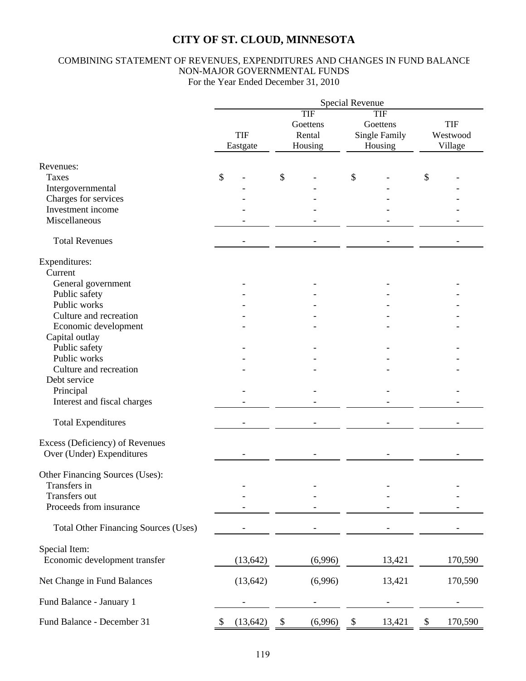### COMBINING STATEMENT OF REVENUES, EXPENDITURES AND CHANGES IN FUND BALANCE NON-MAJOR GOVERNMENTAL FUNDS For the Year Ended December 31, 2010

|                                             | <b>Special Revenue</b> |                                      |                                                    |                                   |  |  |  |  |  |
|---------------------------------------------|------------------------|--------------------------------------|----------------------------------------------------|-----------------------------------|--|--|--|--|--|
|                                             | <b>TIF</b><br>Eastgate | TIF<br>Goettens<br>Rental<br>Housing | TIF<br>Goettens<br><b>Single Family</b><br>Housing | <b>TIF</b><br>Westwood<br>Village |  |  |  |  |  |
| Revenues:                                   |                        |                                      |                                                    |                                   |  |  |  |  |  |
| Taxes                                       | $\mathcal{S}$          | \$                                   | \$                                                 | \$                                |  |  |  |  |  |
| Intergovernmental                           |                        |                                      |                                                    |                                   |  |  |  |  |  |
| Charges for services                        |                        |                                      |                                                    |                                   |  |  |  |  |  |
| Investment income                           |                        |                                      |                                                    |                                   |  |  |  |  |  |
| Miscellaneous                               |                        |                                      |                                                    |                                   |  |  |  |  |  |
| <b>Total Revenues</b>                       |                        |                                      |                                                    |                                   |  |  |  |  |  |
| Expenditures:                               |                        |                                      |                                                    |                                   |  |  |  |  |  |
| Current                                     |                        |                                      |                                                    |                                   |  |  |  |  |  |
| General government                          |                        |                                      |                                                    |                                   |  |  |  |  |  |
| Public safety                               |                        |                                      |                                                    |                                   |  |  |  |  |  |
| Public works                                |                        |                                      |                                                    |                                   |  |  |  |  |  |
| Culture and recreation                      |                        |                                      |                                                    |                                   |  |  |  |  |  |
| Economic development                        |                        |                                      |                                                    |                                   |  |  |  |  |  |
| Capital outlay                              |                        |                                      |                                                    |                                   |  |  |  |  |  |
| Public safety                               |                        |                                      |                                                    |                                   |  |  |  |  |  |
| Public works                                |                        |                                      |                                                    |                                   |  |  |  |  |  |
| Culture and recreation                      |                        |                                      |                                                    |                                   |  |  |  |  |  |
| Debt service                                |                        |                                      |                                                    |                                   |  |  |  |  |  |
| Principal                                   |                        |                                      |                                                    |                                   |  |  |  |  |  |
| Interest and fiscal charges                 |                        |                                      |                                                    |                                   |  |  |  |  |  |
| <b>Total Expenditures</b>                   |                        |                                      |                                                    |                                   |  |  |  |  |  |
| Excess (Deficiency) of Revenues             |                        |                                      |                                                    |                                   |  |  |  |  |  |
| Over (Under) Expenditures                   |                        |                                      |                                                    |                                   |  |  |  |  |  |
| Other Financing Sources (Uses):             |                        |                                      |                                                    |                                   |  |  |  |  |  |
| Transfers in                                |                        |                                      |                                                    |                                   |  |  |  |  |  |
| Transfers out                               |                        |                                      |                                                    |                                   |  |  |  |  |  |
| Proceeds from insurance                     |                        |                                      |                                                    |                                   |  |  |  |  |  |
| <b>Total Other Financing Sources (Uses)</b> |                        |                                      |                                                    |                                   |  |  |  |  |  |
| Special Item:                               |                        |                                      |                                                    |                                   |  |  |  |  |  |
| Economic development transfer               | (13, 642)              | (6,996)                              | 13,421                                             | 170,590                           |  |  |  |  |  |
| Net Change in Fund Balances                 | (13, 642)              | (6,996)                              | 13,421                                             | 170,590                           |  |  |  |  |  |
| Fund Balance - January 1                    |                        |                                      |                                                    |                                   |  |  |  |  |  |
| Fund Balance - December 31                  | (13, 642)<br>P         | (6,996)<br>\$                        | 13,421<br>\$                                       | 170,590<br>\$                     |  |  |  |  |  |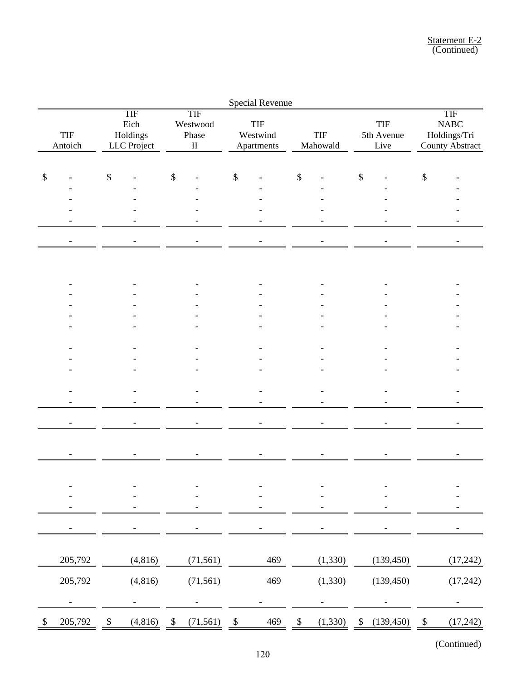|        |                |                   |                                               |                           |                                             |                   | Special Revenue                      |              |                        |                   |                                  |      |                                                                               |
|--------|----------------|-------------------|-----------------------------------------------|---------------------------|---------------------------------------------|-------------------|--------------------------------------|--------------|------------------------|-------------------|----------------------------------|------|-------------------------------------------------------------------------------|
|        | TIF<br>Antoich |                   | <b>TIF</b><br>Eich<br>Holdings<br>LLC Project |                           | <b>TIF</b><br>Westwood<br>Phase<br>$\rm II$ |                   | <b>TIF</b><br>Westwind<br>Apartments |              | <b>TIF</b><br>Mahowald |                   | <b>TIF</b><br>5th Avenue<br>Live |      | <b>TIF</b><br>$\ensuremath{\mathsf{NABC}}$<br>Holdings/Tri<br>County Abstract |
| $\$\,$ |                | $\boldsymbol{\$}$ |                                               | $\$\,$                    |                                             | \$                |                                      | \$           |                        | \$                |                                  | $\$$ |                                                                               |
|        |                |                   |                                               |                           |                                             |                   |                                      |              |                        |                   |                                  |      |                                                                               |
|        |                |                   |                                               |                           |                                             |                   |                                      |              |                        |                   |                                  |      |                                                                               |
|        |                |                   |                                               |                           |                                             |                   |                                      |              |                        |                   |                                  |      |                                                                               |
|        |                |                   |                                               |                           |                                             |                   |                                      |              |                        |                   |                                  |      |                                                                               |
|        |                |                   |                                               |                           |                                             |                   |                                      |              |                        |                   |                                  |      |                                                                               |
|        |                |                   |                                               |                           |                                             |                   |                                      |              |                        |                   |                                  |      |                                                                               |
|        |                |                   |                                               |                           |                                             |                   |                                      |              |                        |                   |                                  |      |                                                                               |
|        |                |                   |                                               |                           |                                             |                   |                                      |              |                        |                   |                                  |      |                                                                               |
|        |                |                   |                                               |                           |                                             |                   |                                      |              |                        |                   |                                  |      |                                                                               |
|        |                |                   |                                               |                           |                                             |                   |                                      |              |                        |                   |                                  |      |                                                                               |
|        |                |                   |                                               |                           |                                             |                   |                                      |              |                        |                   |                                  |      |                                                                               |
|        |                |                   |                                               |                           |                                             |                   |                                      |              |                        |                   |                                  |      |                                                                               |
|        |                |                   |                                               |                           |                                             |                   |                                      |              |                        |                   |                                  |      |                                                                               |
|        |                |                   |                                               |                           |                                             |                   |                                      |              |                        |                   |                                  |      |                                                                               |
|        |                |                   |                                               |                           |                                             |                   |                                      |              |                        |                   |                                  |      |                                                                               |
|        |                |                   |                                               |                           |                                             |                   |                                      |              |                        |                   |                                  |      |                                                                               |
|        |                |                   |                                               |                           |                                             |                   |                                      |              |                        |                   |                                  |      |                                                                               |
|        |                |                   |                                               |                           |                                             |                   |                                      |              |                        |                   |                                  |      |                                                                               |
|        |                |                   |                                               |                           |                                             |                   |                                      |              |                        |                   |                                  |      |                                                                               |
|        |                |                   |                                               |                           |                                             |                   |                                      |              |                        |                   |                                  |      |                                                                               |
|        |                |                   |                                               |                           |                                             |                   |                                      |              |                        |                   |                                  |      |                                                                               |
|        | 205,792        |                   | (4, 816)                                      |                           | (71, 561)                                   |                   | 469                                  |              | (1, 330)               |                   | (139, 450)                       |      | (17,242)                                                                      |
|        | 205,792        |                   | (4, 816)                                      |                           | (71, 561)                                   |                   | 469                                  |              | (1, 330)               |                   | (139, 450)                       |      | (17,242)                                                                      |
|        |                |                   |                                               |                           |                                             |                   |                                      |              |                        |                   |                                  |      |                                                                               |
|        | 205,792        | \$                | (4,816)                                       | $\boldsymbol{\mathsf{S}}$ | (71, 561)                                   | $\boldsymbol{\$}$ | 469                                  | $\mathbb{S}$ | (1,330)                | $\boldsymbol{\$}$ | (139, 450)                       | \$   | (17, 242)                                                                     |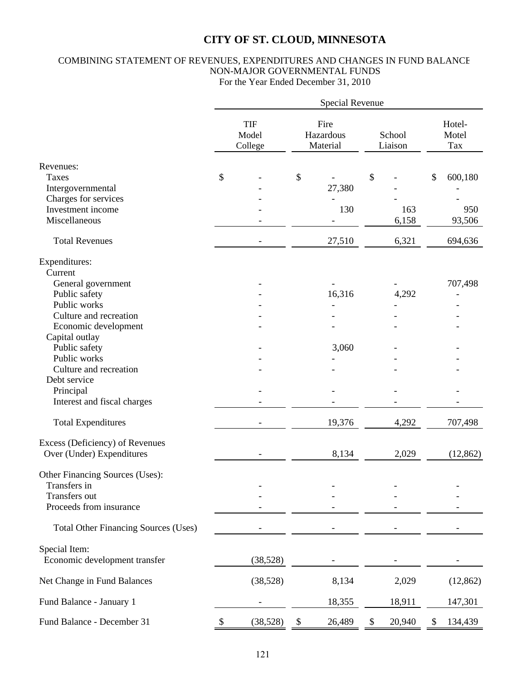### COMBINING STATEMENT OF REVENUES, EXPENDITURES AND CHANGES IN FUND BALANCE NON-MAJOR GOVERNMENTAL FUNDS For the Year Ended December 31, 2010

|                                             | Special Revenue |                                |                               |        |                   |        |    |                        |  |
|---------------------------------------------|-----------------|--------------------------------|-------------------------------|--------|-------------------|--------|----|------------------------|--|
|                                             |                 | <b>TIF</b><br>Model<br>College | Fire<br>Hazardous<br>Material |        | School<br>Liaison |        |    | Hotel-<br>Motel<br>Tax |  |
| Revenues:                                   |                 |                                |                               |        |                   |        |    |                        |  |
| Taxes                                       | \$              |                                | \$                            |        | \$                |        | \$ | 600,180                |  |
| Intergovernmental                           |                 |                                |                               | 27,380 |                   |        |    |                        |  |
| Charges for services                        |                 |                                |                               |        |                   |        |    |                        |  |
| Investment income                           |                 |                                |                               | 130    |                   | 163    |    | 950                    |  |
| Miscellaneous                               |                 |                                |                               |        |                   | 6,158  |    | 93,506                 |  |
| <b>Total Revenues</b>                       |                 |                                |                               | 27,510 |                   | 6,321  |    | 694,636                |  |
| Expenditures:                               |                 |                                |                               |        |                   |        |    |                        |  |
| Current                                     |                 |                                |                               |        |                   |        |    |                        |  |
| General government                          |                 |                                |                               |        |                   |        |    | 707,498                |  |
| Public safety                               |                 |                                |                               | 16,316 |                   | 4,292  |    |                        |  |
| Public works                                |                 |                                |                               |        |                   |        |    |                        |  |
| Culture and recreation                      |                 |                                |                               |        |                   |        |    |                        |  |
| Economic development                        |                 |                                |                               |        |                   |        |    |                        |  |
| Capital outlay                              |                 |                                |                               |        |                   |        |    |                        |  |
| Public safety                               |                 |                                |                               | 3,060  |                   |        |    |                        |  |
| Public works                                |                 |                                |                               |        |                   |        |    |                        |  |
| Culture and recreation                      |                 |                                |                               |        |                   |        |    |                        |  |
| Debt service                                |                 |                                |                               |        |                   |        |    |                        |  |
| Principal                                   |                 |                                |                               |        |                   |        |    |                        |  |
| Interest and fiscal charges                 |                 |                                |                               |        |                   |        |    |                        |  |
|                                             |                 |                                |                               |        |                   |        |    |                        |  |
| <b>Total Expenditures</b>                   |                 |                                |                               | 19,376 |                   | 4,292  |    | 707,498                |  |
| Excess (Deficiency) of Revenues             |                 |                                |                               |        |                   |        |    |                        |  |
| Over (Under) Expenditures                   |                 |                                |                               | 8,134  |                   | 2,029  |    | (12, 862)              |  |
| Other Financing Sources (Uses):             |                 |                                |                               |        |                   |        |    |                        |  |
| Transfers in                                |                 |                                |                               |        |                   |        |    |                        |  |
| Transfers out                               |                 |                                |                               |        |                   |        |    |                        |  |
| Proceeds from insurance                     |                 |                                |                               |        |                   |        |    |                        |  |
| <b>Total Other Financing Sources (Uses)</b> |                 |                                |                               |        |                   |        |    |                        |  |
| Special Item:                               |                 |                                |                               |        |                   |        |    |                        |  |
| Economic development transfer               |                 | (38, 528)                      |                               |        |                   |        |    |                        |  |
| Net Change in Fund Balances                 |                 | (38, 528)                      |                               | 8,134  |                   | 2,029  |    | (12, 862)              |  |
| Fund Balance - January 1                    |                 |                                |                               | 18,355 |                   | 18,911 |    | 147,301                |  |
| Fund Balance - December 31                  |                 | (38, 528)                      | \$                            | 26,489 | $\$\$             | 20,940 | \$ | 134,439                |  |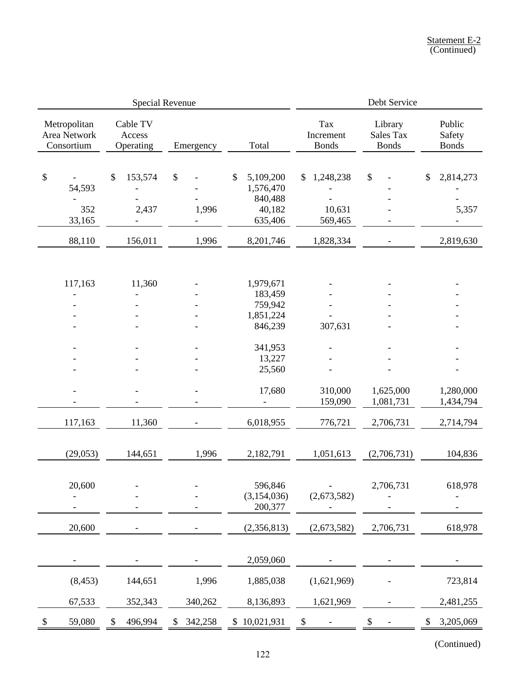|                                                                | Special Revenue                                               |                                                                         | Debt Service                                                              |                                                   |                                      |                                                                   |  |
|----------------------------------------------------------------|---------------------------------------------------------------|-------------------------------------------------------------------------|---------------------------------------------------------------------------|---------------------------------------------------|--------------------------------------|-------------------------------------------------------------------|--|
| Metropolitan<br>Area Network<br>Consortium                     | Cable TV<br>Access<br>Operating                               | Emergency                                                               | Total                                                                     | Tax<br>Increment<br><b>Bonds</b>                  | Library<br>Sales Tax<br><b>Bonds</b> | Public<br>Safety<br><b>Bonds</b>                                  |  |
| $\boldsymbol{\mathsf{S}}$<br>54,593<br>352<br>33,165<br>88,110 | \$<br>153,574<br>2,437<br>$\overline{\phantom{a}}$<br>156,011 | $\boldsymbol{\mathsf{S}}$<br>1,996<br>$\overline{\phantom{0}}$<br>1,996 | \$<br>5,109,200<br>1,576,470<br>840,488<br>40,182<br>635,406<br>8,201,746 | 1,248,238<br>\$<br>10,631<br>569,465<br>1,828,334 | \$                                   | \$<br>2,814,273<br>5,357<br>$\overline{\phantom{0}}$<br>2,819,630 |  |
|                                                                |                                                               |                                                                         |                                                                           |                                                   | $\overline{\phantom{a}}$             |                                                                   |  |
| 117,163<br>$\overline{a}$                                      | 11,360<br>$\overline{\phantom{0}}$                            |                                                                         | 1,979,671<br>183,459<br>759,942<br>1,851,224<br>846,239                   | 307,631                                           |                                      |                                                                   |  |
|                                                                |                                                               |                                                                         | 341,953<br>13,227<br>25,560                                               |                                                   |                                      |                                                                   |  |
|                                                                |                                                               |                                                                         | 17,680                                                                    | 310,000<br>159,090                                | 1,625,000<br>1,081,731               | 1,280,000<br>1,434,794                                            |  |
| 117,163                                                        | 11,360                                                        |                                                                         | 6,018,955                                                                 | 776,721                                           | 2,706,731                            | 2,714,794                                                         |  |
| (29, 053)                                                      | 144,651                                                       | 1,996                                                                   | 2,182,791                                                                 | 1,051,613                                         | (2,706,731)                          | 104,836                                                           |  |
| 20,600                                                         |                                                               |                                                                         | 596,846<br>(3,154,036)<br>200,377                                         | (2,673,582)                                       | 2,706,731                            | 618,978                                                           |  |
| 20,600                                                         |                                                               |                                                                         | (2,356,813)                                                               | (2,673,582)                                       | 2,706,731                            | 618,978                                                           |  |
|                                                                |                                                               |                                                                         | 2,059,060                                                                 |                                                   |                                      |                                                                   |  |
| (8, 453)                                                       | 144,651                                                       | 1,996                                                                   | 1,885,038                                                                 | (1,621,969)                                       |                                      | 723,814                                                           |  |
| 67,533                                                         | 352,343                                                       | 340,262                                                                 | 8,136,893                                                                 | 1,621,969                                         |                                      | 2,481,255                                                         |  |
| 59,080<br>S                                                    | 496,994                                                       | 342,258                                                                 | \$10,021,931                                                              | \$                                                |                                      | 3,205,069<br>\$                                                   |  |
|                                                                |                                                               |                                                                         |                                                                           |                                                   |                                      |                                                                   |  |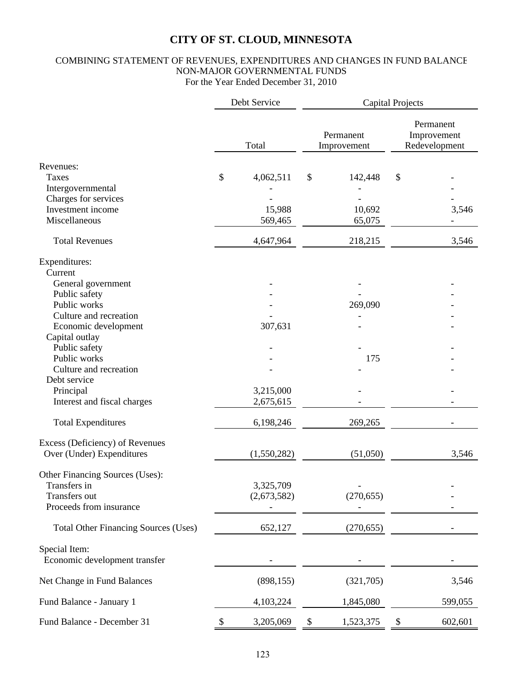### COMBINING STATEMENT OF REVENUES, EXPENDITURES AND CHANGES IN FUND BALANCE NON-MAJOR GOVERNMENTAL FUNDS For the Year Ended December 31, 2010

|                                             | Debt Service    |        | <b>Capital Projects</b>  |    |                                           |  |  |  |
|---------------------------------------------|-----------------|--------|--------------------------|----|-------------------------------------------|--|--|--|
|                                             | Total           |        | Permanent<br>Improvement |    | Permanent<br>Improvement<br>Redevelopment |  |  |  |
| Revenues:                                   |                 |        |                          |    |                                           |  |  |  |
| <b>Taxes</b>                                | \$<br>4,062,511 | \$     | 142,448                  | \$ |                                           |  |  |  |
| Intergovernmental                           |                 |        |                          |    |                                           |  |  |  |
| Charges for services                        |                 |        |                          |    |                                           |  |  |  |
| Investment income                           | 15,988          |        | 10,692                   |    | 3,546                                     |  |  |  |
| Miscellaneous                               | 569,465         |        | 65,075                   |    |                                           |  |  |  |
| <b>Total Revenues</b>                       | 4,647,964       |        | 218,215                  |    | 3,546                                     |  |  |  |
| Expenditures:                               |                 |        |                          |    |                                           |  |  |  |
| Current                                     |                 |        |                          |    |                                           |  |  |  |
| General government                          |                 |        |                          |    |                                           |  |  |  |
| Public safety                               |                 |        |                          |    |                                           |  |  |  |
| Public works                                |                 |        | 269,090                  |    |                                           |  |  |  |
| Culture and recreation                      |                 |        |                          |    |                                           |  |  |  |
| Economic development                        | 307,631         |        |                          |    |                                           |  |  |  |
| Capital outlay                              |                 |        |                          |    |                                           |  |  |  |
| Public safety                               |                 |        |                          |    |                                           |  |  |  |
| Public works                                |                 |        | 175                      |    |                                           |  |  |  |
| Culture and recreation                      |                 |        |                          |    |                                           |  |  |  |
| Debt service                                |                 |        |                          |    |                                           |  |  |  |
| Principal                                   | 3,215,000       |        |                          |    |                                           |  |  |  |
| Interest and fiscal charges                 | 2,675,615       |        |                          |    |                                           |  |  |  |
| <b>Total Expenditures</b>                   | 6,198,246       |        | 269,265                  |    |                                           |  |  |  |
| Excess (Deficiency) of Revenues             |                 |        |                          |    |                                           |  |  |  |
| Over (Under) Expenditures                   | (1,550,282)     |        | (51,050)                 |    | 3,546                                     |  |  |  |
| Other Financing Sources (Uses):             |                 |        |                          |    |                                           |  |  |  |
| Transfers in                                | 3,325,709       |        |                          |    |                                           |  |  |  |
| Transfers out                               | (2,673,582)     |        | (270, 655)               |    |                                           |  |  |  |
| Proceeds from insurance                     |                 |        |                          |    |                                           |  |  |  |
| <b>Total Other Financing Sources (Uses)</b> | 652,127         |        | (270, 655)               |    |                                           |  |  |  |
| Special Item:                               |                 |        |                          |    |                                           |  |  |  |
| Economic development transfer               |                 |        |                          |    |                                           |  |  |  |
| Net Change in Fund Balances                 | (898, 155)      |        | (321,705)                |    | 3,546                                     |  |  |  |
| Fund Balance - January 1                    | 4,103,224       |        | 1,845,080                |    | 599,055                                   |  |  |  |
| Fund Balance - December 31                  | \$<br>3,205,069 | $\$\,$ | 1,523,375                | \$ | 602,601                                   |  |  |  |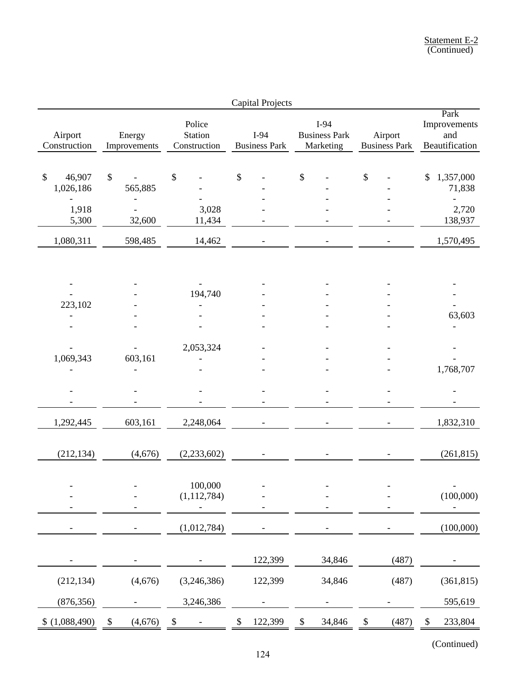|                                     |                                      |                                   | <b>Capital Projects</b>      |                                             |                                 |                                               |
|-------------------------------------|--------------------------------------|-----------------------------------|------------------------------|---------------------------------------------|---------------------------------|-----------------------------------------------|
| Airport<br>Construction             | Energy<br>Improvements               | Police<br>Station<br>Construction | I-94<br><b>Business Park</b> | $I-94$<br><b>Business Park</b><br>Marketing | Airport<br><b>Business Park</b> | Park<br>Improvements<br>and<br>Beautification |
| $\mathbb{S}$<br>46,907<br>1,026,186 | \$<br>565,885                        | \$                                | \$                           | $\boldsymbol{\mathsf{S}}$                   | \$                              | 1,357,000<br>$\mathcal{S}$<br>71,838          |
| 1,918<br>5,300                      | 32,600                               | 3,028<br>11,434                   |                              |                                             |                                 | 2,720<br>138,937                              |
| 1,080,311                           | 598,485                              | 14,462                            |                              |                                             |                                 | 1,570,495                                     |
| 223,102                             |                                      | 194,740                           |                              |                                             |                                 | 63,603                                        |
| 1,069,343                           | 603,161                              | 2,053,324                         |                              |                                             |                                 | 1,768,707                                     |
|                                     |                                      |                                   |                              |                                             |                                 |                                               |
| 1,292,445                           | 603,161                              | 2,248,064                         |                              |                                             |                                 | 1,832,310                                     |
| (212, 134)                          | (4,676)                              | (2, 233, 602)                     |                              |                                             |                                 | (261, 815)                                    |
|                                     |                                      | 100,000<br>(1, 112, 784)          |                              |                                             |                                 | $\overline{\phantom{0}}$<br>(100,000)         |
|                                     |                                      | (1,012,784)                       |                              |                                             |                                 | (100,000)                                     |
|                                     |                                      |                                   | 122,399                      | 34,846                                      | (487)                           |                                               |
| (212, 134)                          | (4,676)                              | (3,246,386)                       | 122,399                      | 34,846                                      | (487)                           | (361, 815)                                    |
| (876, 356)                          |                                      | 3,246,386                         |                              |                                             |                                 | 595,619                                       |
| (1,088,490)<br>$\mathcal{S}$        | (4,676)<br>$\boldsymbol{\mathsf{S}}$ | \$                                | \$<br>122,399                | 34,846<br>\$                                | (487)<br>\$                     | 233,804<br>$\boldsymbol{\mathsf{S}}$          |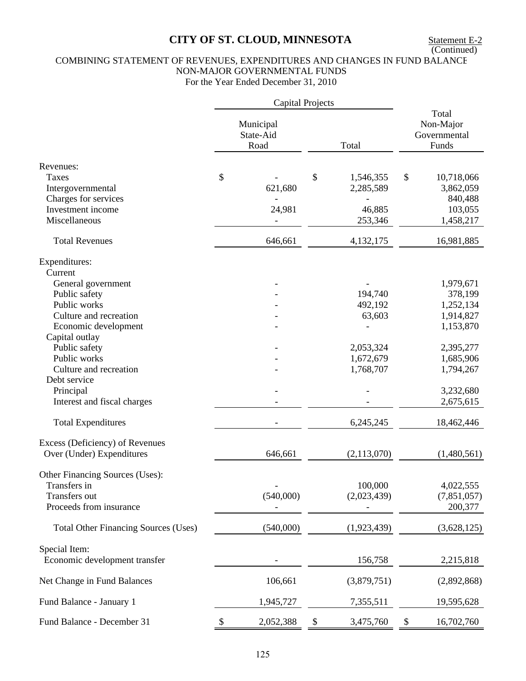### COMBINING STATEMENT OF REVENUES, EXPENDITURES AND CHANGES IN FUND BALANCE NON-MAJOR GOVERNMENTAL FUNDS For the Year Ended December 31, 2010

|                                                                                             |   | <b>Capital Projects</b>        |                                     |                                             |                                     |
|---------------------------------------------------------------------------------------------|---|--------------------------------|-------------------------------------|---------------------------------------------|-------------------------------------|
|                                                                                             |   | Municipal<br>State-Aid<br>Road | Total                               | Total<br>Non-Major<br>Governmental<br>Funds |                                     |
| Revenues:<br>Taxes<br>Intergovernmental<br>Charges for services                             |   | 621,680                        | \$<br>1,546,355<br>2,285,589        | \$                                          | 10,718,066<br>3,862,059<br>840,488  |
| Investment income<br>Miscellaneous                                                          |   | 24,981                         | 46,885<br>253,346                   |                                             | 103,055<br>1,458,217                |
| <b>Total Revenues</b>                                                                       |   | 646,661                        | 4,132,175                           |                                             | 16,981,885                          |
| Expenditures:<br>Current                                                                    |   |                                |                                     |                                             |                                     |
| General government<br>Public safety<br>Public works                                         |   |                                | 194,740<br>492,192                  |                                             | 1,979,671<br>378,199<br>1,252,134   |
| Culture and recreation<br>Economic development<br>Capital outlay                            |   |                                | 63,603                              |                                             | 1,914,827<br>1,153,870              |
| Public safety<br>Public works<br>Culture and recreation<br>Debt service                     |   |                                | 2,053,324<br>1,672,679<br>1,768,707 |                                             | 2,395,277<br>1,685,906<br>1,794,267 |
| Principal<br>Interest and fiscal charges                                                    |   |                                |                                     |                                             | 3,232,680<br>2,675,615              |
| <b>Total Expenditures</b>                                                                   |   |                                | 6,245,245                           |                                             | 18,462,446                          |
| Excess (Deficiency) of Revenues<br>Over (Under) Expenditures                                |   | 646,661                        | (2, 113, 070)                       |                                             | (1,480,561)                         |
| Other Financing Sources (Uses):<br>Transfers in<br>Transfers out<br>Proceeds from insurance |   | (540,000)                      | 100,000<br>(2,023,439)              |                                             | 4,022,555<br>(7,851,057)<br>200,377 |
| <b>Total Other Financing Sources (Uses)</b>                                                 |   | (540,000)                      | (1,923,439)                         |                                             | (3,628,125)                         |
| Special Item:<br>Economic development transfer                                              |   |                                | 156,758                             |                                             | 2,215,818                           |
| Net Change in Fund Balances                                                                 |   | 106,661                        | (3,879,751)                         |                                             | (2,892,868)                         |
| Fund Balance - January 1                                                                    |   | 1,945,727                      | 7,355,511                           |                                             | 19,595,628                          |
| Fund Balance - December 31                                                                  | S | 2,052,388                      | \$<br>3,475,760                     | \$                                          | 16,702,760                          |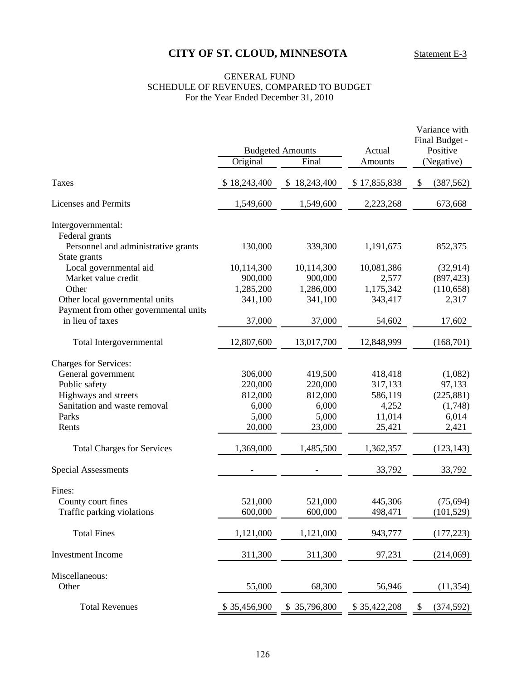### GENERAL FUND SCHEDULE OF REVENUES, COMPARED TO BUDGET For the Year Ended December 31, 2010

|                                       |              |                                  |                   | Variance with<br>Final Budget - |  |  |
|---------------------------------------|--------------|----------------------------------|-------------------|---------------------------------|--|--|
|                                       | Original     | <b>Budgeted Amounts</b><br>Final | Actual<br>Amounts | Positive<br>(Negative)          |  |  |
| <b>Taxes</b>                          | \$18,243,400 | \$18,243,400                     | \$17,855,838      | \$<br>(387, 562)                |  |  |
| <b>Licenses and Permits</b>           | 1,549,600    | 1,549,600                        | 2,223,268         | 673,668                         |  |  |
| Intergovernmental:                    |              |                                  |                   |                                 |  |  |
| Federal grants                        |              |                                  |                   |                                 |  |  |
| Personnel and administrative grants   | 130,000      | 339,300                          | 1,191,675         | 852,375                         |  |  |
| State grants                          |              |                                  |                   |                                 |  |  |
| Local governmental aid                | 10,114,300   | 10,114,300                       | 10,081,386        | (32, 914)                       |  |  |
| Market value credit                   | 900,000      | 900,000                          | 2,577             | (897, 423)                      |  |  |
| Other                                 | 1,285,200    | 1,286,000                        | 1,175,342         | (110, 658)                      |  |  |
| Other local governmental units        | 341,100      | 341,100                          | 343,417           | 2,317                           |  |  |
| Payment from other governmental units |              |                                  |                   |                                 |  |  |
| in lieu of taxes                      | 37,000       | 37,000                           | 54,602            | 17,602                          |  |  |
| Total Intergovernmental               | 12,807,600   | 13,017,700                       | 12,848,999        | (168, 701)                      |  |  |
|                                       |              |                                  |                   |                                 |  |  |
| <b>Charges for Services:</b>          |              |                                  |                   |                                 |  |  |
| General government                    | 306,000      | 419,500                          | 418,418           | (1,082)                         |  |  |
| Public safety                         | 220,000      | 220,000                          | 317,133           | 97,133                          |  |  |
| Highways and streets                  | 812,000      | 812,000                          | 586,119           | (225, 881)                      |  |  |
| Sanitation and waste removal          | 6,000        | 6,000                            | 4,252             | (1,748)                         |  |  |
| Parks                                 | 5,000        | 5,000                            | 11,014            | 6,014                           |  |  |
| Rents                                 | 20,000       | 23,000                           | 25,421            | 2,421                           |  |  |
| <b>Total Charges for Services</b>     | 1,369,000    | 1,485,500                        | 1,362,357         | (123, 143)                      |  |  |
| <b>Special Assessments</b>            |              |                                  | 33,792            | 33,792                          |  |  |
| Fines:                                |              |                                  |                   |                                 |  |  |
| County court fines                    | 521,000      | 521,000                          | 445,306           | (75, 694)                       |  |  |
| Traffic parking violations            | 600,000      | 600,000                          | 498,471           | (101, 529)                      |  |  |
|                                       |              |                                  |                   |                                 |  |  |
| <b>Total Fines</b>                    | 1,121,000    | 1,121,000                        | 943,777           | (177, 223)                      |  |  |
| Investment Income                     | 311,300      | 311,300                          | 97,231            | (214,069)                       |  |  |
| Miscellaneous:                        |              |                                  |                   |                                 |  |  |
| Other                                 | 55,000       | 68,300                           | 56,946            | (11, 354)                       |  |  |
| <b>Total Revenues</b>                 | \$35,456,900 | \$35,796,800                     | \$35,422,208      | (374, 592)<br>\$                |  |  |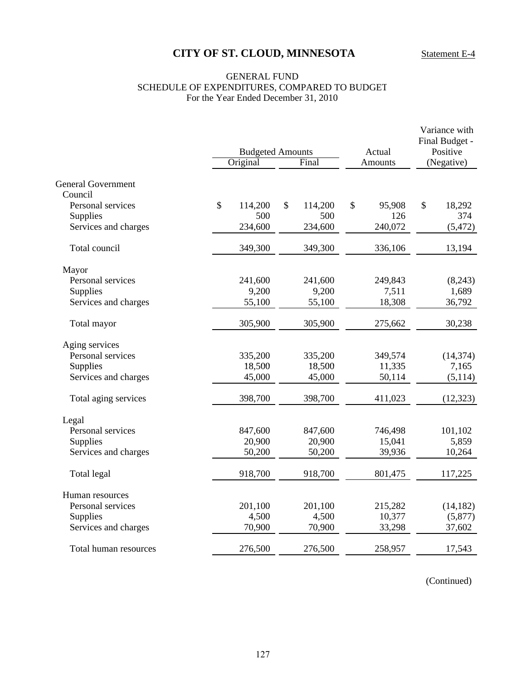### GENERAL FUND SCHEDULE OF EXPENDITURES, COMPARED TO BUDGET For the Year Ended December 31, 2010

|                                      | <b>Budgeted Amounts</b><br>Original |         |    | Final   | Actual<br><b>Amounts</b> | Variance with<br>Final Budget -<br>Positive<br>(Negative) |           |  |
|--------------------------------------|-------------------------------------|---------|----|---------|--------------------------|-----------------------------------------------------------|-----------|--|
|                                      |                                     |         |    |         |                          |                                                           |           |  |
| <b>General Government</b><br>Council |                                     |         |    |         |                          |                                                           |           |  |
| Personal services                    | \$                                  | 114,200 | \$ | 114,200 | \$<br>95,908             | \$                                                        | 18,292    |  |
| Supplies                             |                                     | 500     |    | 500     | 126                      |                                                           | 374       |  |
| Services and charges                 |                                     | 234,600 |    | 234,600 | 240,072                  |                                                           | (5, 472)  |  |
| Total council                        |                                     | 349,300 |    | 349,300 | 336,106                  |                                                           | 13,194    |  |
| Mayor                                |                                     |         |    |         |                          |                                                           |           |  |
| Personal services                    |                                     | 241,600 |    | 241,600 | 249,843                  |                                                           | (8,243)   |  |
| Supplies                             |                                     | 9,200   |    | 9,200   | 7,511                    |                                                           | 1,689     |  |
| Services and charges                 |                                     | 55,100  |    | 55,100  | 18,308                   |                                                           | 36,792    |  |
| Total mayor                          |                                     | 305,900 |    | 305,900 | 275,662                  |                                                           | 30,238    |  |
| Aging services                       |                                     |         |    |         |                          |                                                           |           |  |
| Personal services                    |                                     | 335,200 |    | 335,200 | 349,574                  |                                                           | (14, 374) |  |
| Supplies                             |                                     | 18,500  |    | 18,500  | 11,335                   |                                                           | 7,165     |  |
| Services and charges                 |                                     | 45,000  |    | 45,000  | 50,114                   |                                                           | (5, 114)  |  |
| Total aging services                 |                                     | 398,700 |    | 398,700 | 411,023                  |                                                           | (12, 323) |  |
| Legal                                |                                     |         |    |         |                          |                                                           |           |  |
| Personal services                    |                                     | 847,600 |    | 847,600 | 746,498                  |                                                           | 101,102   |  |
| Supplies                             |                                     | 20,900  |    | 20,900  | 15,041                   |                                                           | 5,859     |  |
| Services and charges                 |                                     | 50,200  |    | 50,200  | 39,936                   |                                                           | 10,264    |  |
| Total legal                          |                                     | 918,700 |    | 918,700 | 801,475                  |                                                           | 117,225   |  |
| Human resources                      |                                     |         |    |         |                          |                                                           |           |  |
| Personal services                    |                                     | 201,100 |    | 201,100 | 215,282                  |                                                           | (14, 182) |  |
| Supplies                             |                                     | 4,500   |    | 4,500   | 10,377                   |                                                           | (5,877)   |  |
| Services and charges                 |                                     | 70,900  |    | 70,900  | 33,298                   |                                                           | 37,602    |  |
| Total human resources                |                                     | 276,500 |    | 276,500 | 258,957                  |                                                           | 17,543    |  |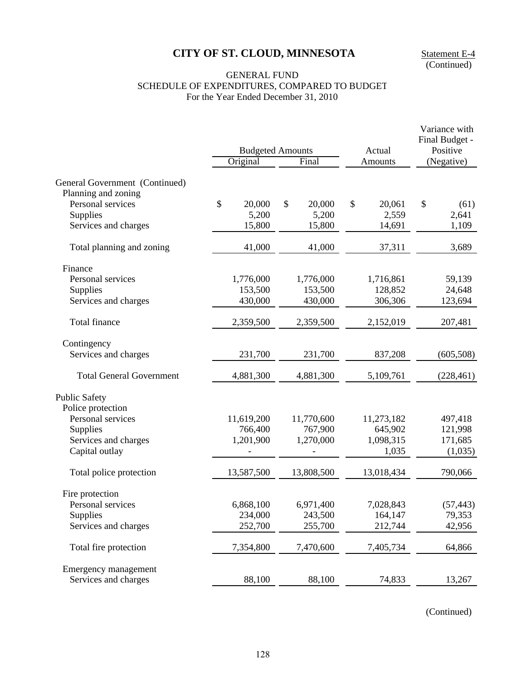(Continued)

### GENERAL FUND SCHEDULE OF EXPENDITURES, COMPARED TO BUDGET For the Year Ended December 31, 2010

|                                                       |              |                         |              | Variance with<br>Final Budget - |
|-------------------------------------------------------|--------------|-------------------------|--------------|---------------------------------|
|                                                       |              | <b>Budgeted Amounts</b> | Actual       | Positive                        |
|                                                       | Original     | Final                   | Amounts      | (Negative)                      |
| General Government (Continued)<br>Planning and zoning |              |                         |              |                                 |
| Personal services                                     | \$<br>20,000 | \$<br>20,000            | \$<br>20,061 | \$<br>(61)                      |
| Supplies                                              | 5,200        | 5,200                   | 2,559        | 2,641                           |
| Services and charges                                  | 15,800       | 15,800                  | 14,691       | 1,109                           |
| Total planning and zoning                             | 41,000       | 41,000                  | 37,311       | 3,689                           |
| Finance                                               |              |                         |              |                                 |
| Personal services                                     | 1,776,000    | 1,776,000               | 1,716,861    | 59,139                          |
| Supplies                                              | 153,500      | 153,500                 | 128,852      | 24,648                          |
| Services and charges                                  | 430,000      | 430,000                 | 306,306      | 123,694                         |
| Total finance                                         | 2,359,500    | 2,359,500               | 2,152,019    | 207,481                         |
| Contingency                                           |              |                         |              |                                 |
| Services and charges                                  | 231,700      | 231,700                 | 837,208      | (605, 508)                      |
| <b>Total General Government</b>                       | 4,881,300    | 4,881,300               | 5,109,761    | (228, 461)                      |
| <b>Public Safety</b>                                  |              |                         |              |                                 |
| Police protection                                     |              |                         |              |                                 |
| Personal services                                     | 11,619,200   | 11,770,600              | 11,273,182   | 497,418                         |
| Supplies                                              | 766,400      | 767,900                 | 645,902      | 121,998                         |
| Services and charges                                  | 1,201,900    | 1,270,000               | 1,098,315    | 171,685                         |
| Capital outlay                                        |              |                         | 1,035        | (1,035)                         |
| Total police protection                               | 13,587,500   | 13,808,500              | 13,018,434   | 790,066                         |
| Fire protection                                       |              |                         |              |                                 |
| Personal services                                     | 6,868,100    | 6,971,400               | 7,028,843    | (57, 443)                       |
| Supplies                                              | 234,000      | 243,500                 | 164,147      | 79,353                          |
| Services and charges                                  | 252,700      | 255,700                 | 212,744      | 42,956                          |
| Total fire protection                                 | 7,354,800    | 7,470,600               | 7,405,734    | 64,866                          |
| Emergency management                                  |              |                         |              |                                 |
| Services and charges                                  | 88,100       | 88,100                  | 74,833       | 13,267                          |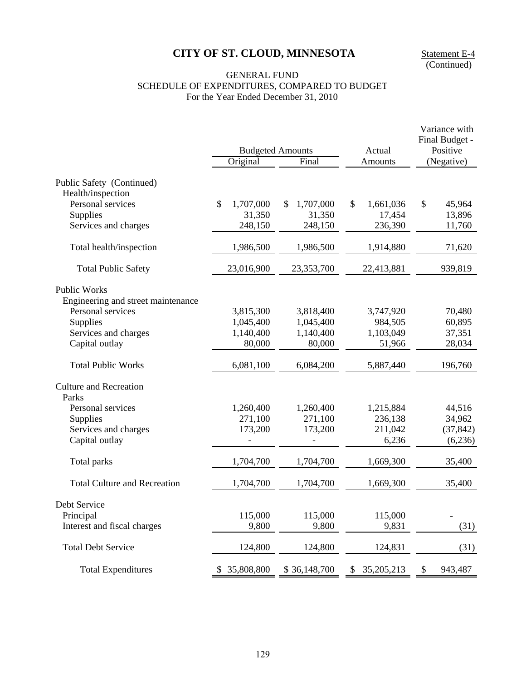Statement E-4<br>(Continued)

### GENERAL FUND SCHEDULE OF EXPENDITURES, COMPARED TO BUDGET For the Year Ended December 31, 2010

|                                        | <b>Budgeted Amounts</b> |                 | Actual             | Variance with<br>Final Budget -<br>Positive |
|----------------------------------------|-------------------------|-----------------|--------------------|---------------------------------------------|
|                                        | Original                | Final           | Amounts            | (Negative)                                  |
| Public Safety (Continued)              |                         |                 |                    |                                             |
| Health/inspection<br>Personal services | \$<br>1,707,000         | \$<br>1,707,000 | \$<br>1,661,036    | \$<br>45,964                                |
| Supplies                               | 31,350                  | 31,350          | 17,454             | 13,896                                      |
| Services and charges                   | 248,150                 | 248,150         | 236,390            | 11,760                                      |
| Total health/inspection                | 1,986,500               | 1,986,500       | 1,914,880          | 71,620                                      |
| <b>Total Public Safety</b>             | 23,016,900              | 23,353,700      | 22,413,881         | 939,819                                     |
| <b>Public Works</b>                    |                         |                 |                    |                                             |
| Engineering and street maintenance     |                         |                 |                    |                                             |
| Personal services                      | 3,815,300               | 3,818,400       | 3,747,920          | 70,480                                      |
| Supplies                               | 1,045,400               | 1,045,400       | 984,505            | 60,895                                      |
| Services and charges                   | 1,140,400               | 1,140,400       | 1,103,049          | 37,351                                      |
| Capital outlay                         | 80,000                  | 80,000          | 51,966             | 28,034                                      |
| <b>Total Public Works</b>              | 6,081,100               | 6,084,200       | 5,887,440          | 196,760                                     |
| <b>Culture and Recreation</b>          |                         |                 |                    |                                             |
| Parks<br>Personal services             | 1,260,400               | 1,260,400       | 1,215,884          | 44,516                                      |
| Supplies                               | 271,100                 | 271,100         | 236,138            | 34,962                                      |
| Services and charges                   | 173,200                 | 173,200         | 211,042            | (37, 842)                                   |
| Capital outlay                         |                         |                 | 6,236              | (6,236)                                     |
| Total parks                            | 1,704,700               | 1,704,700       | 1,669,300          | 35,400                                      |
| <b>Total Culture and Recreation</b>    | 1,704,700               | 1,704,700       | 1,669,300          | 35,400                                      |
| Debt Service                           |                         |                 |                    |                                             |
| Principal                              | 115,000                 | 115,000         | 115,000            | $\overline{\phantom{0}}$                    |
| Interest and fiscal charges            | 9,800                   | 9,800           | 9,831              | (31)                                        |
| <b>Total Debt Service</b>              | 124,800                 | 124,800         | 124,831            | (31)                                        |
| <b>Total Expenditures</b>              | 35,808,800<br>S.        | \$36,148,700    | 35, 205, 213<br>\$ | \$<br>943,487                               |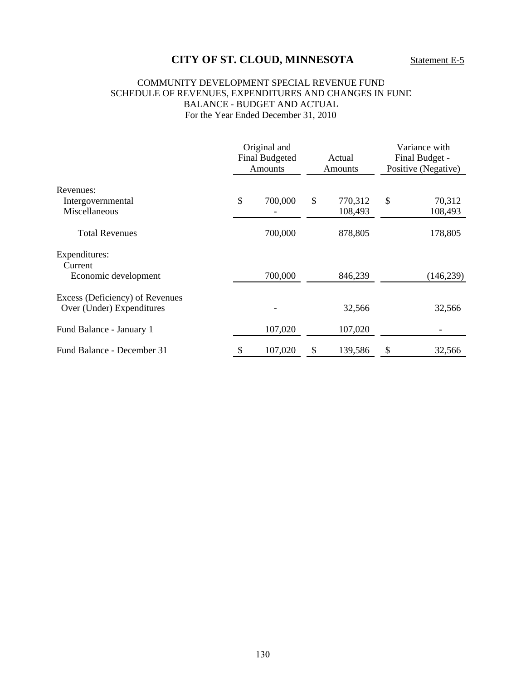### COMMUNITY DEVELOPMENT SPECIAL REVENUE FUND SCHEDULE OF REVENUES, EXPENDITURES AND CHANGES IN FUND BALANCE - BUDGET AND ACTUAL For the Year Ended December 31, 2010

|                                                              | Original and<br><b>Final Budgeted</b><br><b>Amounts</b> |    | Actual<br><b>Amounts</b> |    | Variance with<br>Final Budget -<br>Positive (Negative) |  |
|--------------------------------------------------------------|---------------------------------------------------------|----|--------------------------|----|--------------------------------------------------------|--|
| Revenues:                                                    |                                                         |    |                          |    |                                                        |  |
| Intergovernmental<br>Miscellaneous                           | \$<br>700,000                                           | \$ | 770,312<br>108,493       | \$ | 70,312<br>108,493                                      |  |
| <b>Total Revenues</b>                                        | 700,000                                                 |    | 878,805                  |    | 178,805                                                |  |
| Expenditures:<br>Current                                     |                                                         |    |                          |    |                                                        |  |
| Economic development                                         | 700,000                                                 |    | 846,239                  |    | (146, 239)                                             |  |
| Excess (Deficiency) of Revenues<br>Over (Under) Expenditures |                                                         |    | 32,566                   |    | 32,566                                                 |  |
| Fund Balance - January 1                                     | 107,020                                                 |    | 107,020                  |    |                                                        |  |
| Fund Balance - December 31                                   | \$<br>107,020                                           | \$ | 139,586                  | \$ | 32,566                                                 |  |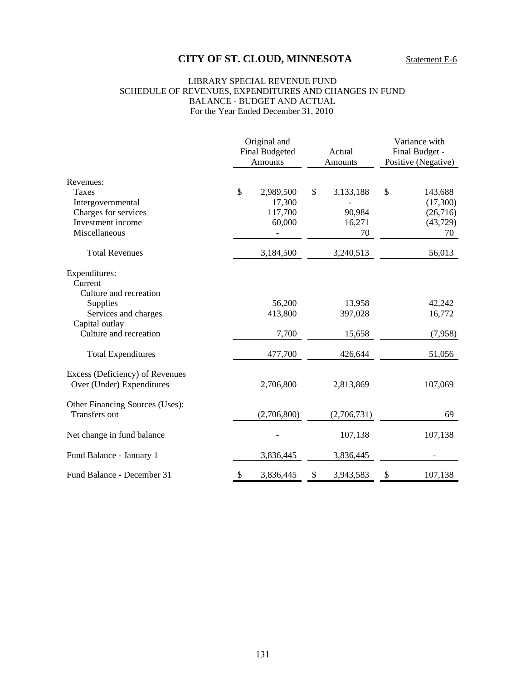#### LIBRARY SPECIAL REVENUE FUND SCHEDULE OF REVENUES, EXPENDITURES AND CHANGES IN FUND BALANCE - BUDGET AND ACTUAL For the Year Ended December 31, 2010

|                                                              |    | Original and<br><b>Final Budgeted</b><br><b>Amounts</b> |    | Actual<br>Amounts |    | Variance with<br>Final Budget -<br>Positive (Negative) |  |
|--------------------------------------------------------------|----|---------------------------------------------------------|----|-------------------|----|--------------------------------------------------------|--|
| Revenues:                                                    |    |                                                         |    |                   |    |                                                        |  |
| Taxes                                                        | \$ | 2,989,500                                               | \$ | 3,133,188         | \$ | 143,688                                                |  |
| Intergovernmental                                            |    | 17,300                                                  |    |                   |    | (17,300)                                               |  |
| Charges for services                                         |    | 117,700                                                 |    | 90,984            |    | (26,716)                                               |  |
| Investment income                                            |    | 60,000                                                  |    | 16,271            |    | (43, 729)                                              |  |
| Miscellaneous                                                |    |                                                         |    | 70                |    | 70                                                     |  |
| <b>Total Revenues</b>                                        |    | 3,184,500                                               |    | 3,240,513         |    | 56,013                                                 |  |
| Expenditures:                                                |    |                                                         |    |                   |    |                                                        |  |
| Current                                                      |    |                                                         |    |                   |    |                                                        |  |
| Culture and recreation                                       |    |                                                         |    |                   |    |                                                        |  |
| Supplies                                                     |    | 56,200                                                  |    | 13,958            |    | 42,242                                                 |  |
| Services and charges                                         |    | 413,800                                                 |    | 397,028           |    | 16,772                                                 |  |
| Capital outlay                                               |    |                                                         |    |                   |    |                                                        |  |
| Culture and recreation                                       |    | 7,700                                                   |    | 15,658            |    | (7,958)                                                |  |
| <b>Total Expenditures</b>                                    |    | 477,700                                                 |    | 426,644           |    | 51,056                                                 |  |
| Excess (Deficiency) of Revenues<br>Over (Under) Expenditures |    | 2,706,800                                               |    | 2,813,869         |    | 107,069                                                |  |
| Other Financing Sources (Uses):<br><b>Transfers out</b>      |    |                                                         |    |                   |    | 69                                                     |  |
|                                                              |    | (2,706,800)                                             |    | (2,706,731)       |    |                                                        |  |
| Net change in fund balance                                   |    |                                                         |    | 107,138           |    | 107,138                                                |  |
| Fund Balance - January 1                                     |    | 3,836,445                                               |    | 3,836,445         |    |                                                        |  |
| Fund Balance - December 31                                   | \$ | 3,836,445                                               | \$ | 3,943,583         | \$ | 107,138                                                |  |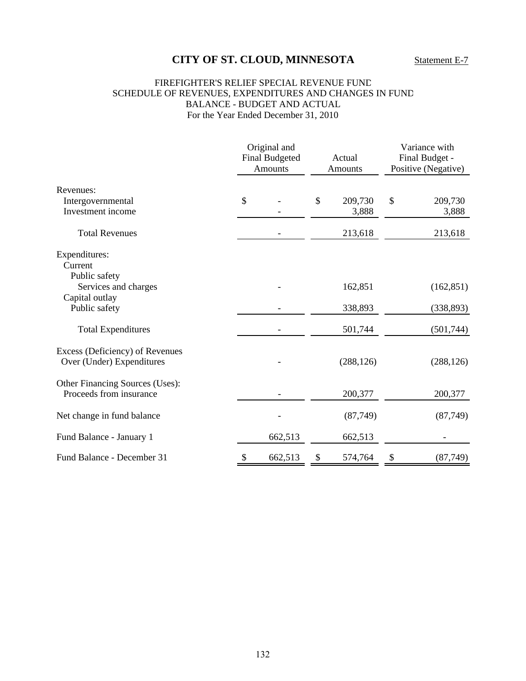### FIREFIGHTER'S RELIEF SPECIAL REVENUE FUND SCHEDULE OF REVENUES, EXPENDITURES AND CHANGES IN FUND BALANCE - BUDGET AND ACTUAL For the Year Ended December 31, 2010

|                                                              | Original and<br><b>Final Budgeted</b><br>Amounts |         | Actual<br><b>Amounts</b> |            | Variance with<br>Final Budget -<br>Positive (Negative) |            |
|--------------------------------------------------------------|--------------------------------------------------|---------|--------------------------|------------|--------------------------------------------------------|------------|
| Revenues:                                                    |                                                  |         |                          |            |                                                        |            |
| Intergovernmental                                            | \$                                               |         | \$                       | 209,730    | \$                                                     | 209,730    |
| Investment income                                            |                                                  |         |                          | 3,888      |                                                        | 3,888      |
| <b>Total Revenues</b>                                        |                                                  |         |                          | 213,618    |                                                        | 213,618    |
| Expenditures:                                                |                                                  |         |                          |            |                                                        |            |
| Current                                                      |                                                  |         |                          |            |                                                        |            |
| Public safety<br>Services and charges                        |                                                  |         |                          | 162,851    |                                                        | (162, 851) |
| Capital outlay                                               |                                                  |         |                          |            |                                                        |            |
| Public safety                                                |                                                  |         |                          | 338,893    |                                                        | (338, 893) |
| <b>Total Expenditures</b>                                    |                                                  |         |                          | 501,744    |                                                        | (501, 744) |
| Excess (Deficiency) of Revenues<br>Over (Under) Expenditures |                                                  |         |                          | (288, 126) |                                                        | (288, 126) |
| Other Financing Sources (Uses):<br>Proceeds from insurance   |                                                  |         |                          | 200,377    |                                                        | 200,377    |
| Net change in fund balance                                   |                                                  |         |                          | (87,749)   |                                                        | (87, 749)  |
| Fund Balance - January 1                                     |                                                  | 662,513 |                          | 662,513    |                                                        |            |
| Fund Balance - December 31                                   | $\boldsymbol{\mathsf{S}}$                        | 662,513 | \$                       | 574,764    | \$                                                     | (87, 749)  |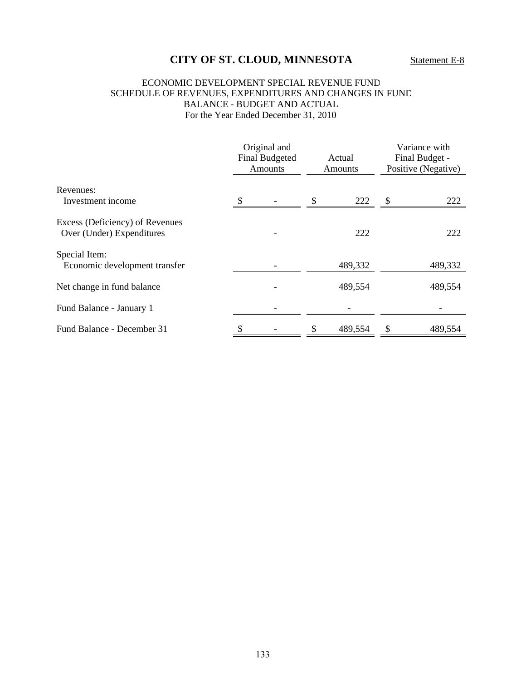### ECONOMIC DEVELOPMENT SPECIAL REVENUE FUND SCHEDULE OF REVENUES, EXPENDITURES AND CHANGES IN FUND BALANCE - BUDGET AND ACTUAL For the Year Ended December 31, 2010

|                                                              | Original and<br><b>Final Budgeted</b><br><b>Amounts</b> |  | Actual<br>Amounts |         | Variance with<br>Final Budget -<br>Positive (Negative) |         |
|--------------------------------------------------------------|---------------------------------------------------------|--|-------------------|---------|--------------------------------------------------------|---------|
| Revenues:<br>Investment income                               | \$                                                      |  |                   | 222     | \$                                                     | 222     |
| Excess (Deficiency) of Revenues<br>Over (Under) Expenditures |                                                         |  |                   | 222     |                                                        | 222     |
| Special Item:<br>Economic development transfer               |                                                         |  |                   | 489,332 |                                                        | 489,332 |
| Net change in fund balance                                   |                                                         |  |                   | 489,554 |                                                        | 489,554 |
| Fund Balance - January 1                                     |                                                         |  |                   |         |                                                        |         |
| Fund Balance - December 31                                   |                                                         |  |                   | 489,554 | \$                                                     | 489,554 |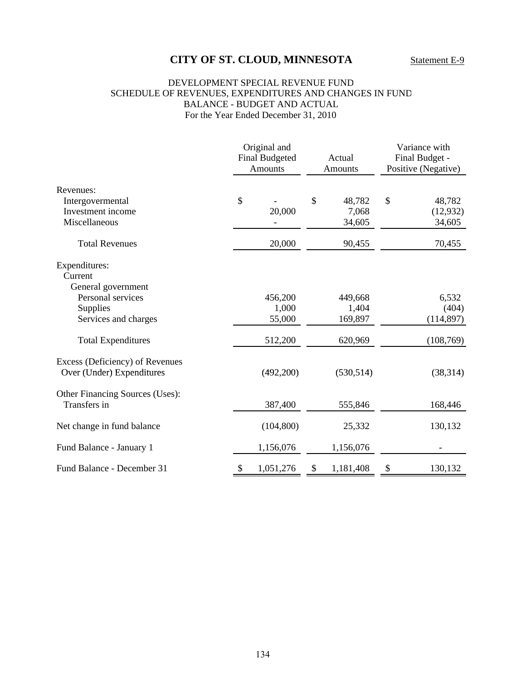### DEVELOPMENT SPECIAL REVENUE FUND SCHEDULE OF REVENUES, EXPENDITURES AND CHANGES IN FUND BALANCE - BUDGET AND ACTUAL For the Year Ended December 31, 2010

|                                                              | Original and<br><b>Final Budgeted</b><br>Amounts |               | Actual<br><b>Amounts</b> |    | Variance with<br>Final Budget -<br>Positive (Negative) |  |
|--------------------------------------------------------------|--------------------------------------------------|---------------|--------------------------|----|--------------------------------------------------------|--|
| Revenues:                                                    | \$                                               | $\mathcal{S}$ | 48,782                   | \$ | 48,782                                                 |  |
| Intergovermental<br>Investment income<br>Miscellaneous       | 20,000                                           |               | 7,068<br>34,605          |    | (12, 932)<br>34,605                                    |  |
| <b>Total Revenues</b>                                        | 20,000                                           |               | 90,455                   |    | 70,455                                                 |  |
| Expenditures:<br>Current<br>General government               |                                                  |               |                          |    |                                                        |  |
| Personal services                                            | 456,200                                          |               | 449,668                  |    | 6,532                                                  |  |
| Supplies                                                     | 1,000                                            |               | 1,404                    |    | (404)                                                  |  |
| Services and charges                                         | 55,000                                           |               | 169,897                  |    | (114, 897)                                             |  |
| <b>Total Expenditures</b>                                    | 512,200                                          |               | 620,969                  |    | (108, 769)                                             |  |
| Excess (Deficiency) of Revenues<br>Over (Under) Expenditures | (492,200)                                        |               | (530, 514)               |    | (38, 314)                                              |  |
| Other Financing Sources (Uses):<br>Transfers in              | 387,400                                          |               | 555,846                  |    | 168,446                                                |  |
| Net change in fund balance                                   | (104, 800)                                       |               | 25,332                   |    | 130,132                                                |  |
| Fund Balance - January 1                                     | 1,156,076                                        |               | 1,156,076                |    |                                                        |  |
| Fund Balance - December 31                                   | \$<br>1,051,276                                  | \$            | 1,181,408                | \$ | 130,132                                                |  |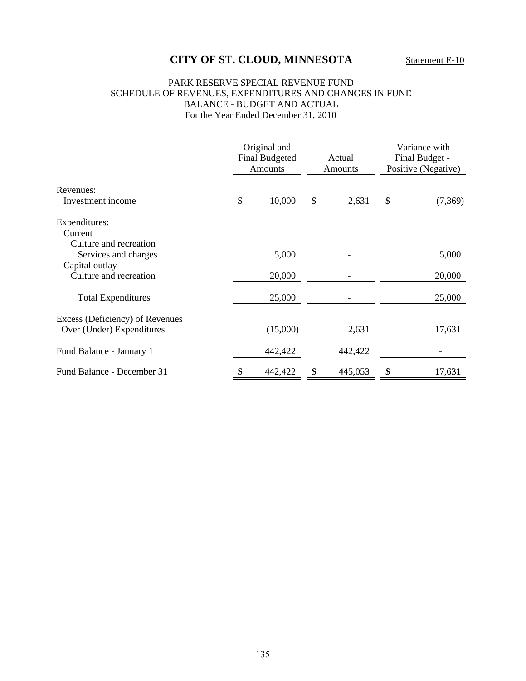#### PARK RESERVE SPECIAL REVENUE FUND SCHEDULE OF REVENUES, EXPENDITURES AND CHANGES IN FUND BALANCE - BUDGET AND ACTUAL For the Year Ended December 31, 2010

|                                                              | Original and<br><b>Final Budgeted</b><br><b>Amounts</b> | Actual<br><b>Amounts</b> | Variance with<br>Final Budget -<br>Positive (Negative) |         |
|--------------------------------------------------------------|---------------------------------------------------------|--------------------------|--------------------------------------------------------|---------|
| Revenues:                                                    |                                                         |                          |                                                        |         |
| Investment income                                            | \$<br>10,000                                            | \$<br>2,631              | \$                                                     | (7,369) |
| Expenditures:<br>Current<br>Culture and recreation           |                                                         |                          |                                                        |         |
| Services and charges<br>Capital outlay                       | 5,000                                                   |                          |                                                        | 5,000   |
| Culture and recreation                                       | 20,000                                                  |                          |                                                        | 20,000  |
| <b>Total Expenditures</b>                                    | 25,000                                                  |                          |                                                        | 25,000  |
| Excess (Deficiency) of Revenues<br>Over (Under) Expenditures | (15,000)                                                | 2,631                    |                                                        | 17,631  |
| Fund Balance - January 1                                     | 442,422                                                 | 442,422                  |                                                        |         |
| Fund Balance - December 31                                   | 442,422                                                 | 445,053                  | \$                                                     | 17,631  |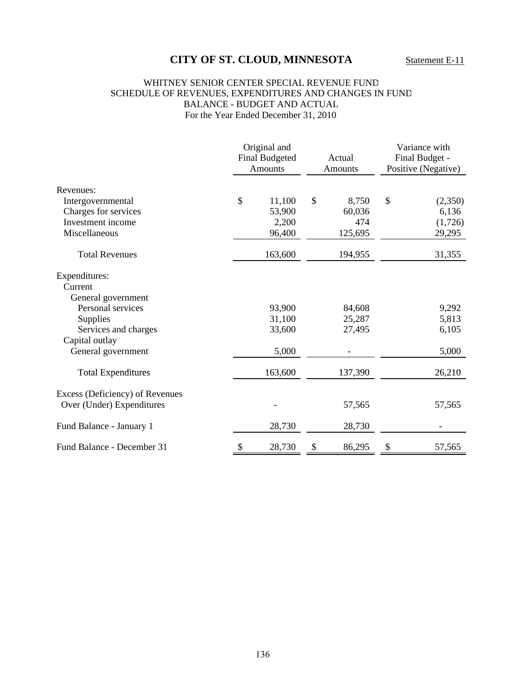#### WHITNEY SENIOR CENTER SPECIAL REVENUE FUND SCHEDULE OF REVENUES, EXPENDITURES AND CHANGES IN FUND BALANCE - BUDGET AND ACTUAL For the Year Ended December 31, 2010

| Revenues:                       |    | Original and<br><b>Final Budgeted</b><br><b>Amounts</b> | Actual<br>Amounts |         | Variance with<br>Final Budget -<br>Positive (Negative) |         |
|---------------------------------|----|---------------------------------------------------------|-------------------|---------|--------------------------------------------------------|---------|
|                                 |    |                                                         |                   |         |                                                        |         |
| Intergovernmental               | \$ | 11,100                                                  | $\mathcal{S}$     | 8,750   | \$                                                     | (2,350) |
| Charges for services            |    | 53,900                                                  |                   | 60,036  |                                                        | 6,136   |
| Investment income               |    | 2,200                                                   |                   | 474     |                                                        | (1,726) |
| Miscellaneous                   |    | 96,400                                                  |                   | 125,695 |                                                        | 29,295  |
| <b>Total Revenues</b>           |    | 163,600                                                 |                   | 194,955 |                                                        | 31,355  |
| Expenditures:                   |    |                                                         |                   |         |                                                        |         |
| Current                         |    |                                                         |                   |         |                                                        |         |
| General government              |    |                                                         |                   |         |                                                        |         |
| Personal services               |    | 93,900                                                  |                   | 84,608  |                                                        | 9,292   |
| <b>Supplies</b>                 |    | 31,100                                                  |                   | 25,287  |                                                        | 5,813   |
| Services and charges            |    | 33,600                                                  |                   | 27,495  |                                                        | 6,105   |
| Capital outlay                  |    |                                                         |                   |         |                                                        |         |
| General government              |    | 5,000                                                   |                   |         |                                                        | 5,000   |
| <b>Total Expenditures</b>       |    | 163,600                                                 |                   | 137,390 |                                                        | 26,210  |
| Excess (Deficiency) of Revenues |    |                                                         |                   |         |                                                        |         |
| Over (Under) Expenditures       |    |                                                         |                   | 57,565  |                                                        | 57,565  |
| Fund Balance - January 1        |    | 28,730                                                  |                   | 28,730  |                                                        |         |
| Fund Balance - December 31      | \$ | 28,730                                                  | \$                | 86,295  | \$                                                     | 57,565  |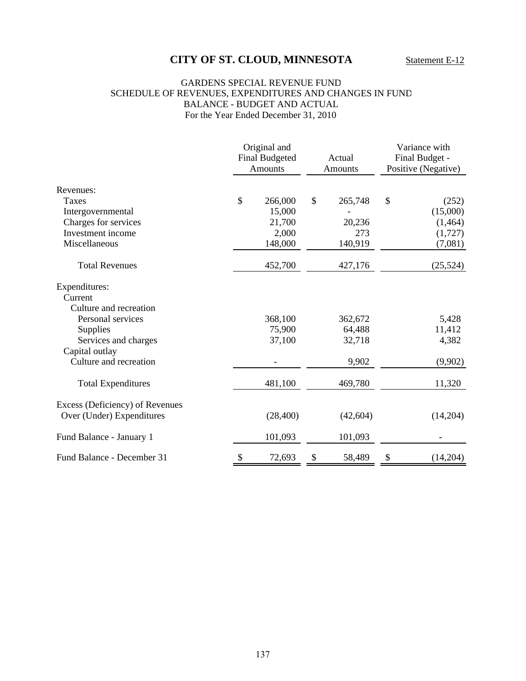#### GARDENS SPECIAL REVENUE FUND SCHEDULE OF REVENUES, EXPENDITURES AND CHANGES IN FUND BALANCE - BUDGET AND ACTUAL For the Year Ended December 31, 2010

| Revenues:                       |    | Original and<br><b>Final Budgeted</b><br><b>Amounts</b> |               | Actual<br>Amounts |    | Variance with<br>Final Budget -<br>Positive (Negative) |  |
|---------------------------------|----|---------------------------------------------------------|---------------|-------------------|----|--------------------------------------------------------|--|
|                                 |    |                                                         |               |                   |    |                                                        |  |
| Taxes                           | \$ | 266,000                                                 | $\mathcal{S}$ | 265,748           | \$ | (252)                                                  |  |
| Intergovernmental               |    | 15,000                                                  |               |                   |    | (15,000)                                               |  |
| Charges for services            |    | 21,700                                                  |               | 20,236            |    | (1,464)                                                |  |
| Investment income               |    | 2,000                                                   |               | 273               |    | (1,727)                                                |  |
| Miscellaneous                   |    | 148,000                                                 |               | 140,919           |    | (7,081)                                                |  |
| <b>Total Revenues</b>           |    | 452,700                                                 |               | 427,176           |    | (25, 524)                                              |  |
| Expenditures:                   |    |                                                         |               |                   |    |                                                        |  |
| Current                         |    |                                                         |               |                   |    |                                                        |  |
| Culture and recreation          |    |                                                         |               |                   |    |                                                        |  |
| Personal services               |    | 368,100                                                 |               | 362,672           |    | 5,428                                                  |  |
| Supplies                        |    | 75,900                                                  |               | 64,488            |    | 11,412                                                 |  |
| Services and charges            |    | 37,100                                                  |               | 32,718            |    | 4,382                                                  |  |
| Capital outlay                  |    |                                                         |               |                   |    |                                                        |  |
| Culture and recreation          |    |                                                         |               | 9,902             |    | (9,902)                                                |  |
| <b>Total Expenditures</b>       |    | 481,100                                                 |               | 469,780           |    | 11,320                                                 |  |
| Excess (Deficiency) of Revenues |    |                                                         |               |                   |    |                                                        |  |
| Over (Under) Expenditures       |    | (28, 400)                                               |               | (42, 604)         |    | (14,204)                                               |  |
| Fund Balance - January 1        |    | 101,093                                                 |               | 101,093           |    |                                                        |  |
| Fund Balance - December 31      | \$ | 72,693                                                  | \$            | 58,489            | \$ | (14,204)                                               |  |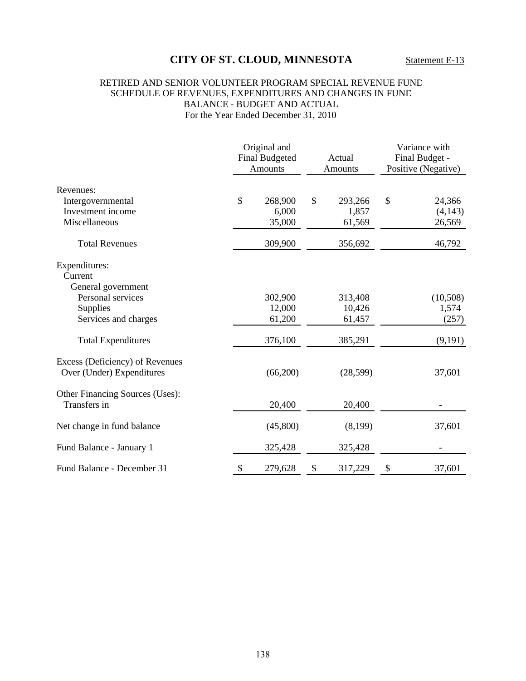### RETIRED AND SENIOR VOLUNTEER PROGRAM SPECIAL REVENUE FUND SCHEDULE OF REVENUES, EXPENDITURES AND CHANGES IN FUND BALANCE - BUDGET AND ACTUAL For the Year Ended December 31, 2010

|                                                              | Original and<br><b>Final Budgeted</b><br>Amounts | Actual<br><b>Amounts</b> |           | Variance with<br>Final Budget -<br>Positive (Negative) |          |
|--------------------------------------------------------------|--------------------------------------------------|--------------------------|-----------|--------------------------------------------------------|----------|
| Revenues:                                                    |                                                  |                          |           |                                                        |          |
| Intergovernmental                                            | \$<br>268,900                                    | $\mathcal{S}$            | 293,266   | \$                                                     | 24,366   |
| Investment income                                            | 6,000                                            |                          | 1,857     |                                                        | (4,143)  |
| Miscellaneous                                                | 35,000                                           |                          | 61,569    |                                                        | 26,569   |
| <b>Total Revenues</b>                                        | 309,900                                          |                          | 356,692   |                                                        | 46,792   |
| Expenditures:<br>Current                                     |                                                  |                          |           |                                                        |          |
| General government                                           |                                                  |                          |           |                                                        |          |
| Personal services                                            | 302,900                                          |                          | 313,408   |                                                        | (10,508) |
| Supplies                                                     | 12,000                                           |                          | 10,426    |                                                        | 1,574    |
| Services and charges                                         | 61,200                                           |                          | 61,457    |                                                        | (257)    |
| <b>Total Expenditures</b>                                    | 376,100                                          |                          | 385,291   |                                                        | (9,191)  |
| Excess (Deficiency) of Revenues<br>Over (Under) Expenditures | (66,200)                                         |                          | (28, 599) |                                                        | 37,601   |
| Other Financing Sources (Uses):                              |                                                  |                          |           |                                                        |          |
| Transfers in                                                 | 20,400                                           |                          | 20,400    |                                                        |          |
| Net change in fund balance                                   | (45,800)                                         |                          | (8,199)   |                                                        | 37,601   |
| Fund Balance - January 1                                     | 325,428                                          |                          | 325,428   |                                                        |          |
| Fund Balance - December 31                                   | \$<br>279,628                                    | \$                       | 317,229   | \$                                                     | 37,601   |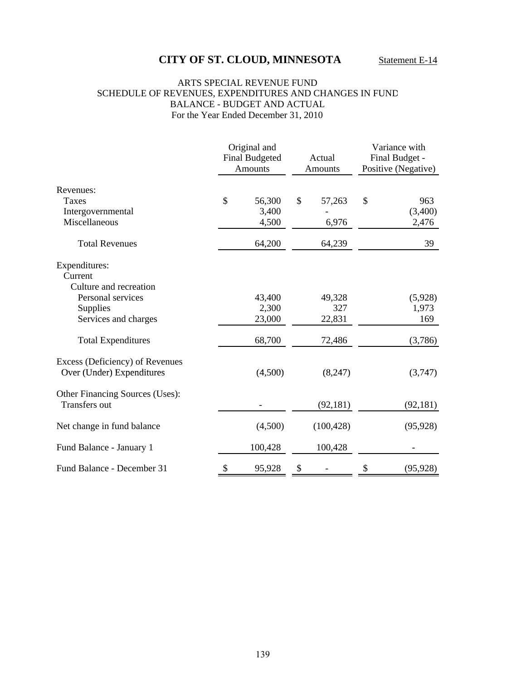#### ARTS SPECIAL REVENUE FUND SCHEDULE OF REVENUES, EXPENDITURES AND CHANGES IN FUND BALANCE - BUDGET AND ACTUAL For the Year Ended December 31, 2010

|                                                              | Original and<br><b>Final Budgeted</b><br><b>Amounts</b> | Actual<br>Amounts |            | Variance with<br>Final Budget -<br>Positive (Negative) |           |
|--------------------------------------------------------------|---------------------------------------------------------|-------------------|------------|--------------------------------------------------------|-----------|
| Revenues:                                                    |                                                         |                   |            |                                                        |           |
| <b>Taxes</b>                                                 | \$<br>56,300                                            | \$                | 57,263     | \$                                                     | 963       |
| Intergovernmental                                            | 3,400                                                   |                   |            |                                                        | (3,400)   |
| Miscellaneous                                                | 4,500                                                   |                   | 6,976      |                                                        | 2,476     |
| <b>Total Revenues</b>                                        | 64,200                                                  |                   | 64,239     |                                                        | 39        |
| Expenditures:                                                |                                                         |                   |            |                                                        |           |
| Current                                                      |                                                         |                   |            |                                                        |           |
| Culture and recreation                                       |                                                         |                   |            |                                                        |           |
| Personal services                                            | 43,400                                                  |                   | 49,328     |                                                        | (5,928)   |
| Supplies                                                     | 2,300                                                   |                   | 327        |                                                        | 1,973     |
| Services and charges                                         | 23,000                                                  |                   | 22,831     |                                                        | 169       |
| <b>Total Expenditures</b>                                    | 68,700                                                  |                   | 72,486     |                                                        | (3,786)   |
| Excess (Deficiency) of Revenues<br>Over (Under) Expenditures | (4,500)                                                 |                   | (8,247)    |                                                        | (3,747)   |
| Other Financing Sources (Uses):<br><b>Transfers</b> out      |                                                         |                   | (92, 181)  |                                                        | (92, 181) |
| Net change in fund balance                                   | (4,500)                                                 |                   | (100, 428) |                                                        | (95, 928) |
| Fund Balance - January 1                                     | 100,428                                                 |                   | 100,428    |                                                        |           |
| Fund Balance - December 31                                   | \$<br>95,928                                            | \$                |            | \$                                                     | (95, 928) |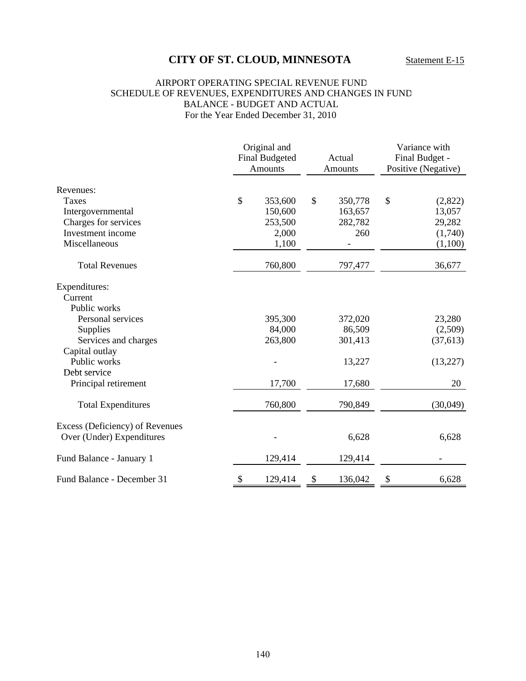#### AIRPORT OPERATING SPECIAL REVENUE FUND SCHEDULE OF REVENUES, EXPENDITURES AND CHANGES IN FUND BALANCE - BUDGET AND ACTUAL For the Year Ended December 31, 2010

| Revenues:                       |    | Original and<br><b>Final Budgeted</b><br><b>Amounts</b> |    | Actual<br><b>Amounts</b> | Variance with<br>Final Budget -<br>Positive (Negative) |           |
|---------------------------------|----|---------------------------------------------------------|----|--------------------------|--------------------------------------------------------|-----------|
|                                 |    |                                                         |    |                          |                                                        |           |
| Taxes                           | \$ | 353,600                                                 | \$ | 350,778                  | \$                                                     | (2,822)   |
| Intergovernmental               |    | 150,600                                                 |    | 163,657                  |                                                        | 13,057    |
| Charges for services            |    | 253,500                                                 |    | 282,782                  |                                                        | 29,282    |
| Investment income               |    | 2,000                                                   |    | 260                      |                                                        | (1,740)   |
| Miscellaneous                   |    | 1,100                                                   |    |                          |                                                        | (1,100)   |
| <b>Total Revenues</b>           |    | 760,800                                                 |    | 797,477                  |                                                        | 36,677    |
| Expenditures:                   |    |                                                         |    |                          |                                                        |           |
| Current                         |    |                                                         |    |                          |                                                        |           |
| Public works                    |    |                                                         |    |                          |                                                        |           |
| Personal services               |    | 395,300                                                 |    | 372,020                  |                                                        | 23,280    |
| Supplies                        |    | 84,000                                                  |    | 86,509                   |                                                        | (2,509)   |
| Services and charges            |    | 263,800                                                 |    | 301,413                  |                                                        | (37, 613) |
| Capital outlay                  |    |                                                         |    |                          |                                                        |           |
| Public works                    |    |                                                         |    | 13,227                   |                                                        | (13,227)  |
| Debt service                    |    |                                                         |    |                          |                                                        |           |
| Principal retirement            |    | 17,700                                                  |    | 17,680                   |                                                        | 20        |
| <b>Total Expenditures</b>       |    | 760,800                                                 |    | 790,849                  |                                                        | (30,049)  |
| Excess (Deficiency) of Revenues |    |                                                         |    |                          |                                                        |           |
| Over (Under) Expenditures       |    |                                                         |    | 6,628                    |                                                        | 6,628     |
| Fund Balance - January 1        |    | 129,414                                                 |    | 129,414                  |                                                        |           |
| Fund Balance - December 31      | \$ | 129,414                                                 |    | 136,042                  | \$                                                     | 6,628     |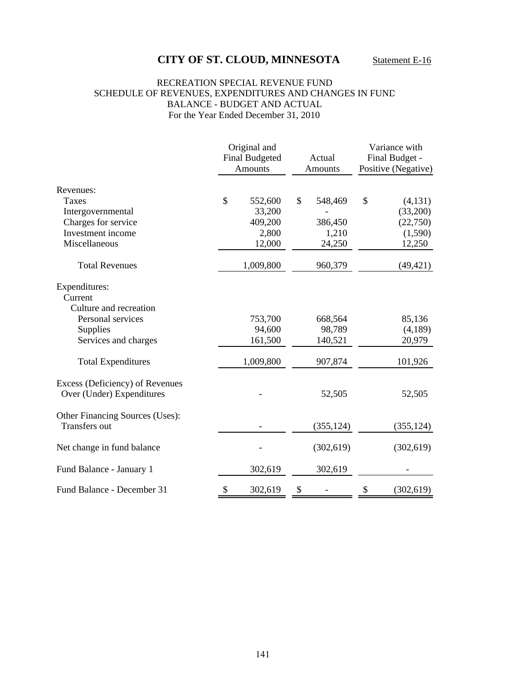#### RECREATION SPECIAL REVENUE FUND SCHEDULE OF REVENUES, EXPENDITURES AND CHANGES IN FUND BALANCE - BUDGET AND ACTUAL For the Year Ended December 31, 2010

|                                                              | Original and<br><b>Final Budgeted</b><br><b>Amounts</b> | Actual<br><b>Amounts</b> |            | Variance with<br>Final Budget -<br>Positive (Negative) |            |
|--------------------------------------------------------------|---------------------------------------------------------|--------------------------|------------|--------------------------------------------------------|------------|
| Revenues:                                                    |                                                         |                          |            |                                                        |            |
| <b>Taxes</b>                                                 | \$<br>552,600                                           | \$                       | 548,469    | \$                                                     | (4,131)    |
| Intergovernmental                                            | 33,200                                                  |                          |            |                                                        | (33,200)   |
| Charges for service                                          | 409,200                                                 |                          | 386,450    |                                                        | (22,750)   |
| Investment income                                            | 2,800                                                   |                          | 1,210      |                                                        | (1,590)    |
| Miscellaneous                                                | 12,000                                                  |                          | 24,250     |                                                        | 12,250     |
| <b>Total Revenues</b>                                        | 1,009,800                                               |                          | 960,379    |                                                        | (49, 421)  |
| Expenditures:<br>Current                                     |                                                         |                          |            |                                                        |            |
| Culture and recreation                                       |                                                         |                          |            |                                                        |            |
| Personal services                                            | 753,700                                                 |                          | 668,564    |                                                        | 85,136     |
| Supplies                                                     | 94,600                                                  |                          | 98,789     |                                                        | (4,189)    |
| Services and charges                                         | 161,500                                                 |                          | 140,521    |                                                        | 20,979     |
| <b>Total Expenditures</b>                                    | 1,009,800                                               |                          | 907,874    |                                                        | 101,926    |
| Excess (Deficiency) of Revenues<br>Over (Under) Expenditures |                                                         |                          | 52,505     |                                                        | 52,505     |
| Other Financing Sources (Uses):<br>Transfers out             |                                                         |                          | (355, 124) |                                                        | (355, 124) |
| Net change in fund balance                                   |                                                         |                          | (302, 619) |                                                        | (302, 619) |
| Fund Balance - January 1                                     | 302,619                                                 |                          | 302,619    |                                                        |            |
| Fund Balance - December 31                                   | \$<br>302,619                                           | \$                       |            | \$                                                     | (302, 619) |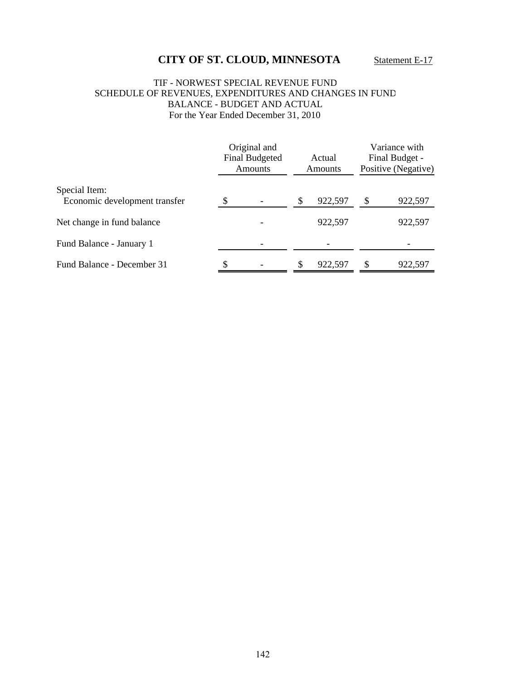#### TIF - NORWEST SPECIAL REVENUE FUND SCHEDULE OF REVENUES, EXPENDITURES AND CHANGES IN FUND BALANCE - BUDGET AND ACTUAL For the Year Ended December 31, 2010

|                                                |   | Original and<br><b>Final Budgeted</b><br>Amounts | Actual<br>Amounts |         | Variance with<br>Final Budget -<br>Positive (Negative) |         |
|------------------------------------------------|---|--------------------------------------------------|-------------------|---------|--------------------------------------------------------|---------|
| Special Item:<br>Economic development transfer |   |                                                  | \$                | 922,597 |                                                        | 922,597 |
| Net change in fund balance                     |   |                                                  |                   | 922,597 |                                                        | 922,597 |
| Fund Balance - January 1                       |   |                                                  |                   |         |                                                        |         |
| Fund Balance - December 31                     | S |                                                  | \$                | 922,597 |                                                        | 922,597 |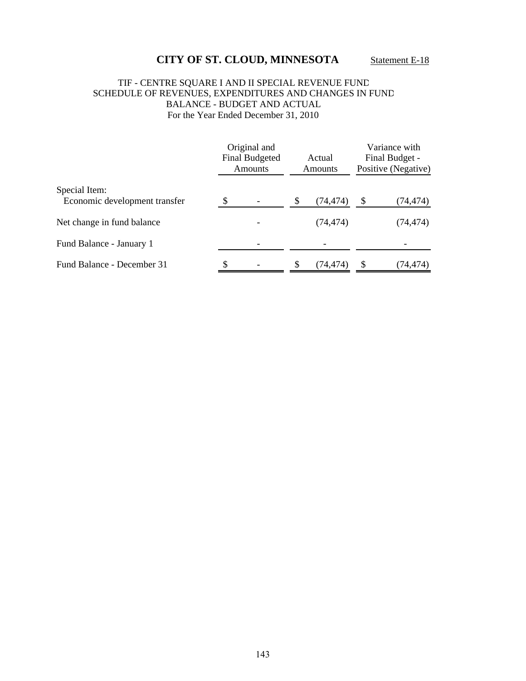### TIF - CENTRE SQUARE I AND II SPECIAL REVENUE FUND SCHEDULE OF REVENUES, EXPENDITURES AND CHANGES IN FUND BALANCE - BUDGET AND ACTUAL For the Year Ended December 31, 2010

|                                                | Original and<br><b>Final Budgeted</b><br>Amounts |  |    | Actual<br><b>Amounts</b> | Variance with<br>Final Budget -<br>Positive (Negative) |           |
|------------------------------------------------|--------------------------------------------------|--|----|--------------------------|--------------------------------------------------------|-----------|
| Special Item:<br>Economic development transfer |                                                  |  | \$ | (74,474)                 | S                                                      | (74,474)  |
| Net change in fund balance                     |                                                  |  |    | (74, 474)                |                                                        | (74, 474) |
| Fund Balance - January 1                       |                                                  |  |    |                          |                                                        |           |
| Fund Balance - December 31                     | \$                                               |  | \$ | (74,474)                 |                                                        | (74,474)  |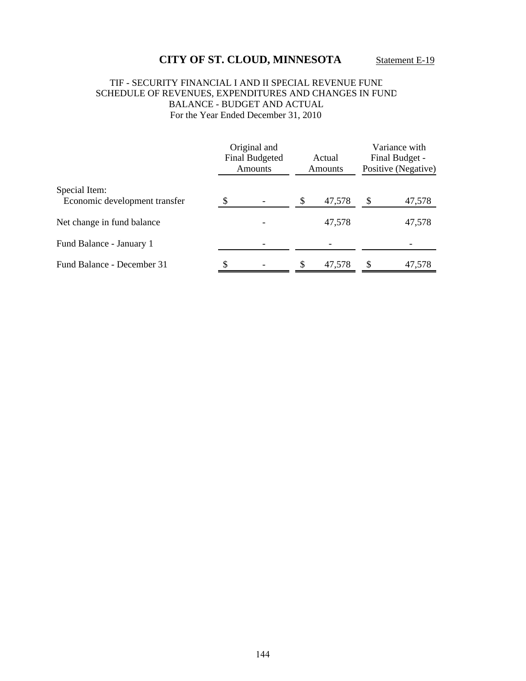### TIF - SECURITY FINANCIAL I AND II SPECIAL REVENUE FUND SCHEDULE OF REVENUES, EXPENDITURES AND CHANGES IN FUND BALANCE - BUDGET AND ACTUAL For the Year Ended December 31, 2010

|                               | Original and<br><b>Final Budgeted</b><br>Amounts | Actual<br><b>Amounts</b> |        | Variance with<br>Final Budget -<br>Positive (Negative) |        |
|-------------------------------|--------------------------------------------------|--------------------------|--------|--------------------------------------------------------|--------|
| Special Item:                 |                                                  |                          | 47,578 |                                                        |        |
| Economic development transfer |                                                  | \$                       |        | \$                                                     | 47,578 |
| Net change in fund balance    |                                                  |                          | 47,578 |                                                        | 47,578 |
| Fund Balance - January 1      |                                                  |                          |        |                                                        |        |
| Fund Balance - December 31    |                                                  | \$                       | 47,578 |                                                        | 47,578 |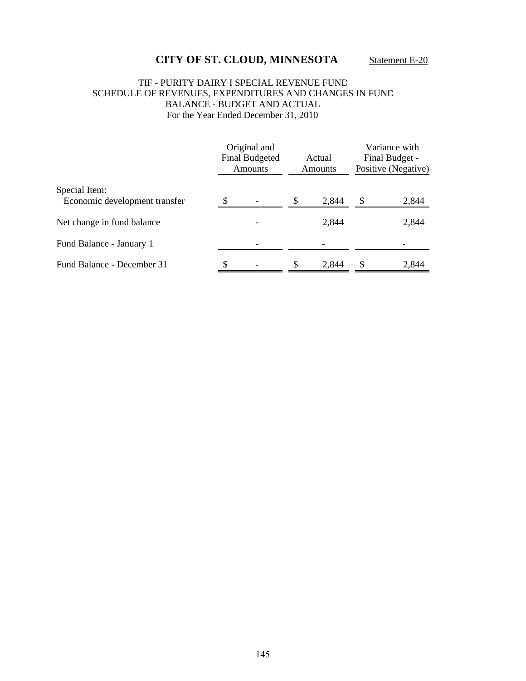### TIF - PURITY DAIRY I SPECIAL REVENUE FUND SCHEDULE OF REVENUES, EXPENDITURES AND CHANGES IN FUND BALANCE - BUDGET AND ACTUAL For the Year Ended December 31, 2010

|                                                | Original and<br><b>Final Budgeted</b><br><b>Amounts</b> | Actual<br>Amounts |       | Variance with<br>Final Budget -<br>Positive (Negative) |       |
|------------------------------------------------|---------------------------------------------------------|-------------------|-------|--------------------------------------------------------|-------|
| Special Item:<br>Economic development transfer |                                                         |                   | 2,844 |                                                        | 2,844 |
| Net change in fund balance                     |                                                         |                   | 2,844 |                                                        | 2,844 |
| Fund Balance - January 1                       |                                                         |                   |       |                                                        |       |
| Fund Balance - December 31                     |                                                         | S                 | 2.844 | \$                                                     | 2.844 |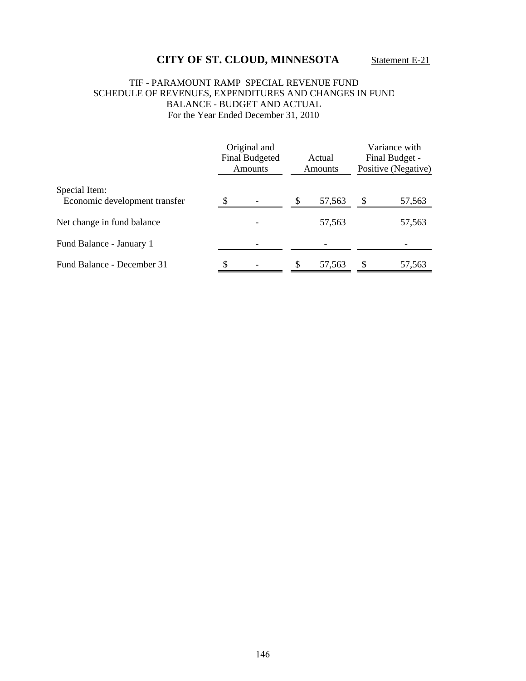### TIF - PARAMOUNT RAMP SPECIAL REVENUE FUND SCHEDULE OF REVENUES, EXPENDITURES AND CHANGES IN FUND BALANCE - BUDGET AND ACTUAL For the Year Ended December 31, 2010

|                                                | Original and<br><b>Final Budgeted</b><br>Amounts | Actual<br>Amounts | Variance with<br>Final Budget -<br>Positive (Negative) |        |
|------------------------------------------------|--------------------------------------------------|-------------------|--------------------------------------------------------|--------|
| Special Item:<br>Economic development transfer |                                                  | \$<br>57,563      | S                                                      | 57,563 |
| Net change in fund balance                     |                                                  | 57,563            |                                                        | 57,563 |
| Fund Balance - January 1                       |                                                  |                   |                                                        |        |
| Fund Balance - December 31                     | \$                                               | \$<br>57,563      | S                                                      | 57,563 |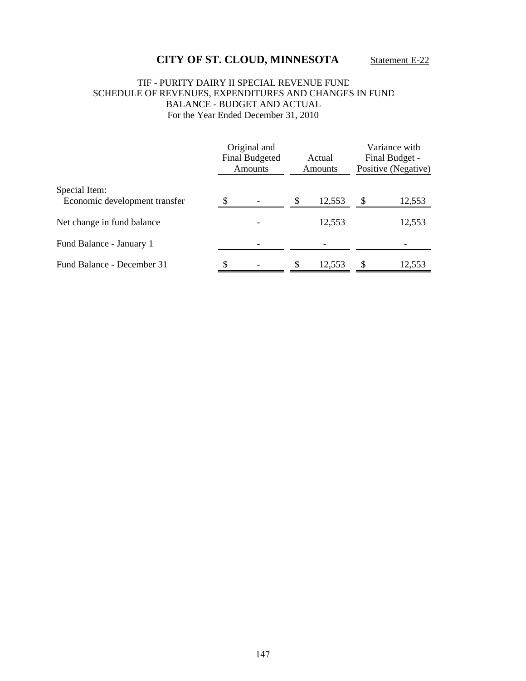### TIF - PURITY DAIRY II SPECIAL REVENUE FUND SCHEDULE OF REVENUES, EXPENDITURES AND CHANGES IN FUND BALANCE - BUDGET AND ACTUAL For the Year Ended December 31, 2010

|                                                |   | Original and<br><b>Final Budgeted</b><br>Amounts | Actual<br><b>Amounts</b> |        | Variance with<br>Final Budget -<br>Positive (Negative) |        |
|------------------------------------------------|---|--------------------------------------------------|--------------------------|--------|--------------------------------------------------------|--------|
| Special Item:<br>Economic development transfer |   |                                                  | \$                       | 12,553 |                                                        | 12,553 |
| Net change in fund balance                     |   |                                                  |                          | 12,553 |                                                        | 12,553 |
| Fund Balance - January 1                       |   |                                                  |                          |        |                                                        |        |
| Fund Balance - December 31                     | S |                                                  | \$                       | 12.553 | S                                                      | 12,553 |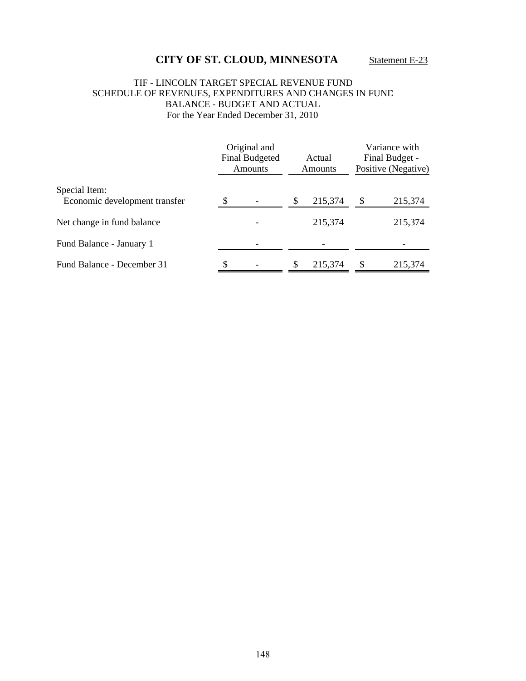### TIF - LINCOLN TARGET SPECIAL REVENUE FUND SCHEDULE OF REVENUES, EXPENDITURES AND CHANGES IN FUND BALANCE - BUDGET AND ACTUAL For the Year Ended December 31, 2010

|                                                | Original and<br><b>Final Budgeted</b><br><b>Amounts</b> |  |    | Actual<br>Amounts |   | Variance with<br>Final Budget -<br>Positive (Negative) |  |
|------------------------------------------------|---------------------------------------------------------|--|----|-------------------|---|--------------------------------------------------------|--|
| Special Item:<br>Economic development transfer |                                                         |  |    | 215,374           |   | 215,374                                                |  |
| Net change in fund balance                     |                                                         |  |    | 215,374           |   | 215,374                                                |  |
| Fund Balance - January 1                       |                                                         |  |    |                   |   |                                                        |  |
| Fund Balance - December 31                     | \$                                                      |  | \$ | 215,374           | S | 215,374                                                |  |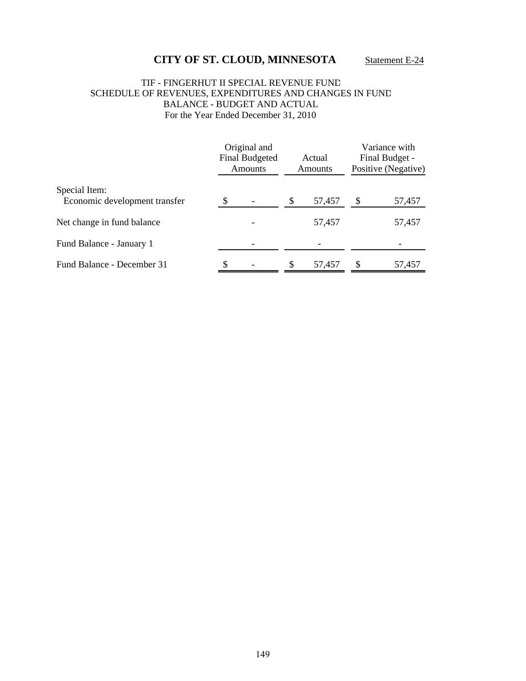### TIF - FINGERHUT II SPECIAL REVENUE FUND SCHEDULE OF REVENUES, EXPENDITURES AND CHANGES IN FUND BALANCE - BUDGET AND ACTUAL For the Year Ended December 31, 2010

|                               | Original and<br><b>Final Budgeted</b><br>Amounts | Actual<br>Amounts |        | Variance with<br>Final Budget -<br>Positive (Negative) |        |
|-------------------------------|--------------------------------------------------|-------------------|--------|--------------------------------------------------------|--------|
| Special Item:                 |                                                  |                   |        |                                                        |        |
| Economic development transfer |                                                  | \$                | 57,457 |                                                        | 57,457 |
| Net change in fund balance    |                                                  |                   | 57,457 |                                                        | 57,457 |
| Fund Balance - January 1      |                                                  |                   |        |                                                        |        |
| Fund Balance - December 31    | \$                                               | \$                | 57.457 | S                                                      | 57,457 |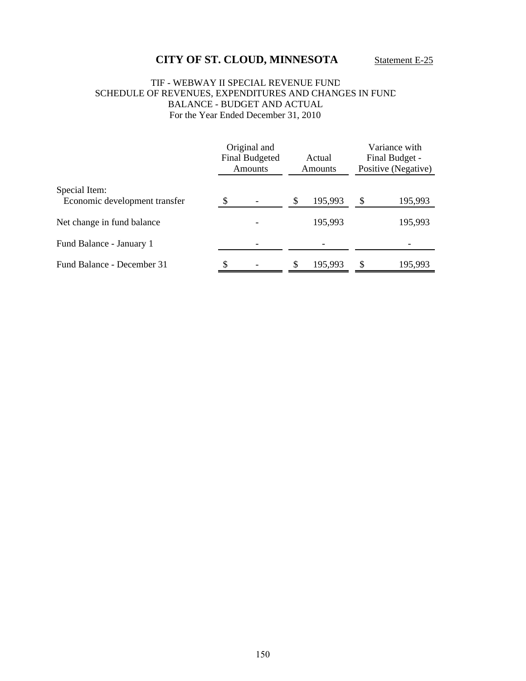#### TIF - WEBWAY II SPECIAL REVENUE FUND SCHEDULE OF REVENUES, EXPENDITURES AND CHANGES IN FUND BALANCE - BUDGET AND ACTUAL For the Year Ended December 31, 2010

|                                                | Original and<br><b>Final Budgeted</b><br><b>Amounts</b> | Actual<br><b>Amounts</b> |         | Variance with<br>Final Budget -<br>Positive (Negative) |         |
|------------------------------------------------|---------------------------------------------------------|--------------------------|---------|--------------------------------------------------------|---------|
| Special Item:<br>Economic development transfer |                                                         |                          | 195,993 | \$                                                     | 195,993 |
| Net change in fund balance                     |                                                         |                          | 195,993 |                                                        | 195,993 |
| Fund Balance - January 1                       |                                                         |                          |         |                                                        |         |
| Fund Balance - December 31                     | \$                                                      |                          | 195,993 | \$                                                     | 195,993 |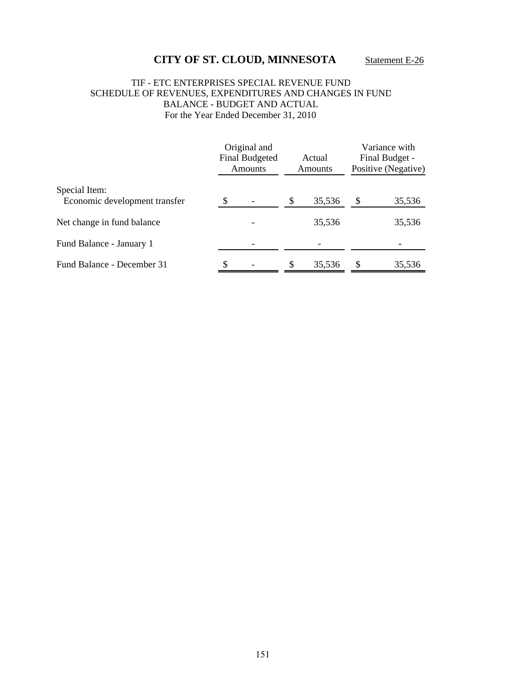### TIF - ETC ENTERPRISES SPECIAL REVENUE FUND SCHEDULE OF REVENUES, EXPENDITURES AND CHANGES IN FUND BALANCE - BUDGET AND ACTUAL For the Year Ended December 31, 2010

|                               | Original and<br><b>Final Budgeted</b><br><b>Amounts</b> | Actual<br><b>Amounts</b> |        | Variance with<br>Final Budget -<br>Positive (Negative) |        |
|-------------------------------|---------------------------------------------------------|--------------------------|--------|--------------------------------------------------------|--------|
| Special Item:                 |                                                         |                          |        |                                                        |        |
| Economic development transfer |                                                         |                          | 35,536 |                                                        | 35,536 |
| Net change in fund balance    |                                                         |                          | 35,536 |                                                        | 35,536 |
| Fund Balance - January 1      |                                                         |                          |        |                                                        |        |
| Fund Balance - December 31    | \$                                                      | \$                       | 35,536 | S                                                      | 35,536 |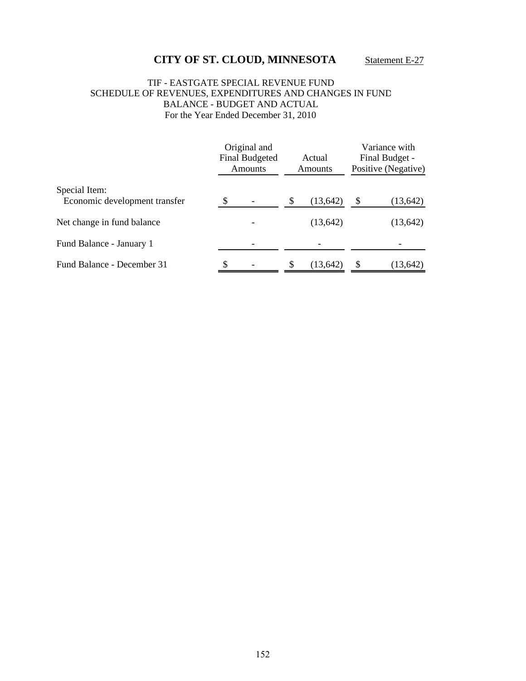### TIF - EASTGATE SPECIAL REVENUE FUND SCHEDULE OF REVENUES, EXPENDITURES AND CHANGES IN FUND BALANCE - BUDGET AND ACTUAL For the Year Ended December 31, 2010

|                                                | Original and<br><b>Final Budgeted</b><br>Amounts | Actual<br>Amounts | Variance with<br>Final Budget -<br>Positive (Negative) |           |
|------------------------------------------------|--------------------------------------------------|-------------------|--------------------------------------------------------|-----------|
| Special Item:<br>Economic development transfer |                                                  | \$<br>(13, 642)   | S                                                      | (13, 642) |
| Net change in fund balance                     |                                                  | (13, 642)         |                                                        | (13, 642) |
| Fund Balance - January 1                       |                                                  |                   |                                                        |           |
| Fund Balance - December 31                     | \$                                               | \$<br>(13, 642)   |                                                        | (13, 642) |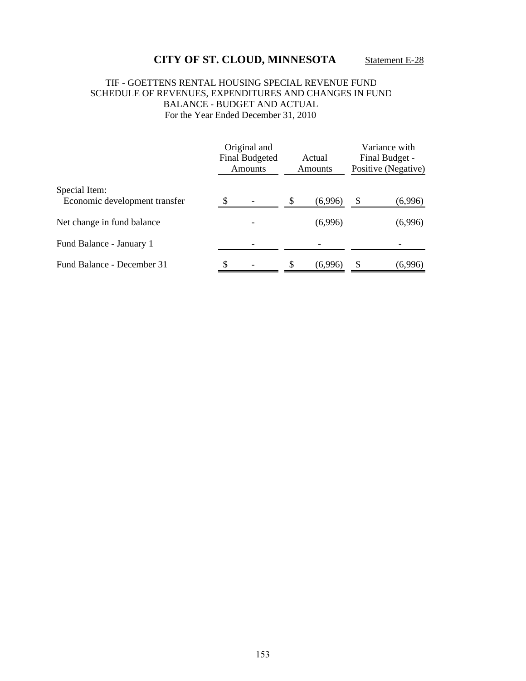### TIF - GOETTENS RENTAL HOUSING SPECIAL REVENUE FUND SCHEDULE OF REVENUES, EXPENDITURES AND CHANGES IN FUND BALANCE - BUDGET AND ACTUAL For the Year Ended December 31, 2010

|                                                | Original and<br><b>Final Budgeted</b><br><b>Amounts</b> | Actual<br><b>Amounts</b> |         | Variance with<br>Final Budget -<br>Positive (Negative) |         |
|------------------------------------------------|---------------------------------------------------------|--------------------------|---------|--------------------------------------------------------|---------|
| Special Item:<br>Economic development transfer |                                                         | S                        | (6,996) | S                                                      |         |
|                                                |                                                         |                          |         |                                                        | (6,996) |
| Net change in fund balance                     |                                                         |                          | (6,996) |                                                        | (6,996) |
| Fund Balance - January 1                       |                                                         |                          |         |                                                        |         |
| Fund Balance - December 31                     | \$                                                      | \$                       | (6,996) |                                                        | (6,996) |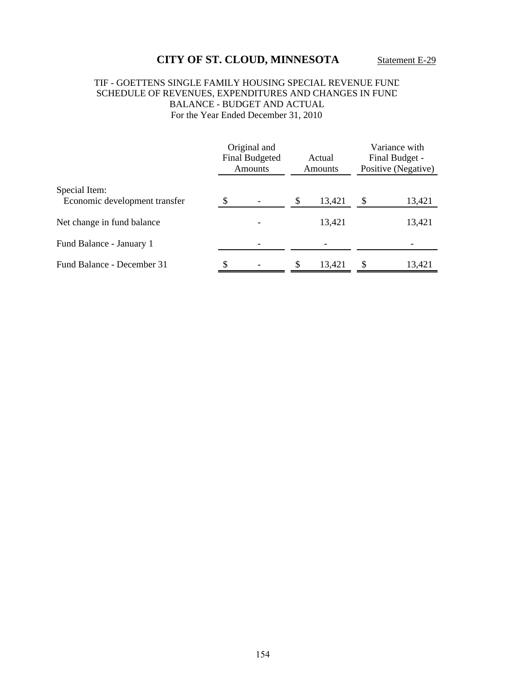### TIF - GOETTENS SINGLE FAMILY HOUSING SPECIAL REVENUE FUND SCHEDULE OF REVENUES, EXPENDITURES AND CHANGES IN FUND BALANCE - BUDGET AND ACTUAL For the Year Ended December 31, 2010

|                                                | Original and<br><b>Final Budgeted</b><br><b>Amounts</b> | Actual<br><b>Amounts</b> |        | Variance with<br>Final Budget -<br>Positive (Negative) |        |
|------------------------------------------------|---------------------------------------------------------|--------------------------|--------|--------------------------------------------------------|--------|
| Special Item:<br>Economic development transfer |                                                         |                          | 13,421 | \$                                                     | 13,421 |
| Net change in fund balance                     |                                                         |                          | 13,421 |                                                        | 13,421 |
| Fund Balance - January 1                       |                                                         |                          |        |                                                        |        |
| Fund Balance - December 31                     |                                                         | \$                       | 13,421 | \$                                                     | 13,421 |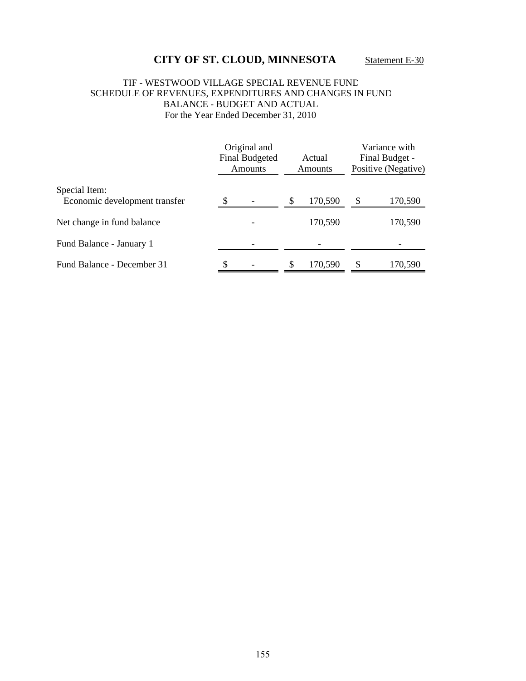### TIF - WESTWOOD VILLAGE SPECIAL REVENUE FUND SCHEDULE OF REVENUES, EXPENDITURES AND CHANGES IN FUND BALANCE - BUDGET AND ACTUAL For the Year Ended December 31, 2010

|                                                | Original and<br><b>Final Budgeted</b><br>Amounts | Actual<br><b>Amounts</b> |         | Variance with<br>Final Budget -<br>Positive (Negative) |         |
|------------------------------------------------|--------------------------------------------------|--------------------------|---------|--------------------------------------------------------|---------|
| Special Item:<br>Economic development transfer |                                                  | \$                       | 170,590 | \$.                                                    | 170,590 |
| Net change in fund balance                     |                                                  |                          | 170,590 |                                                        | 170,590 |
| Fund Balance - January 1                       |                                                  |                          |         |                                                        |         |
| Fund Balance - December 31                     | \$                                               | \$                       | 170,590 | S                                                      | 170,590 |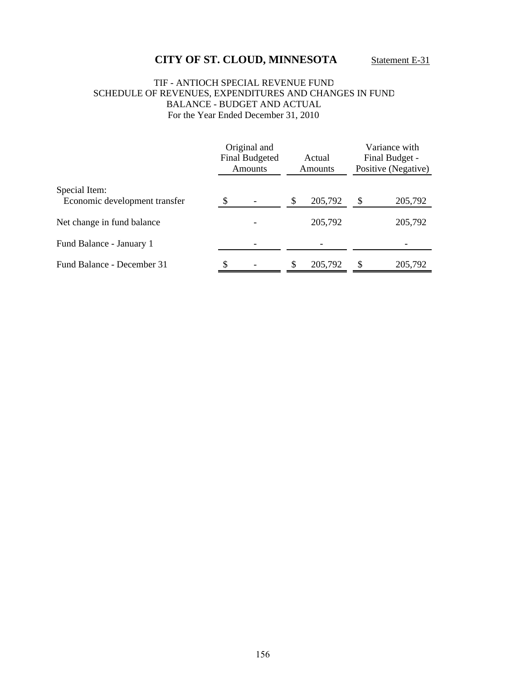### TIF - ANTIOCH SPECIAL REVENUE FUND SCHEDULE OF REVENUES, EXPENDITURES AND CHANGES IN FUND BALANCE - BUDGET AND ACTUAL For the Year Ended December 31, 2010

|                                                | Original and<br><b>Final Budgeted</b><br>Amounts |  |  | Actual<br><b>Amounts</b> |    | Variance with<br>Final Budget -<br>Positive (Negative) |  |
|------------------------------------------------|--------------------------------------------------|--|--|--------------------------|----|--------------------------------------------------------|--|
| Special Item:<br>Economic development transfer |                                                  |  |  | 205,792                  | \$ | 205,792                                                |  |
| Net change in fund balance                     |                                                  |  |  | 205,792                  |    | 205,792                                                |  |
| Fund Balance - January 1                       |                                                  |  |  |                          |    |                                                        |  |
| Fund Balance - December 31                     | S                                                |  |  | 205,792                  | S  | 205,792                                                |  |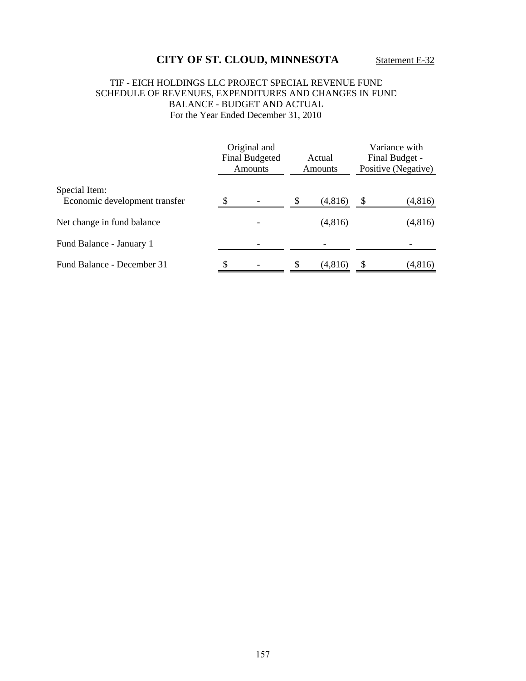### TIF - EICH HOLDINGS LLC PROJECT SPECIAL REVENUE FUND SCHEDULE OF REVENUES, EXPENDITURES AND CHANGES IN FUND BALANCE - BUDGET AND ACTUAL For the Year Ended December 31, 2010

|                                                | Original and<br><b>Final Budgeted</b><br>Amounts | Actual<br><b>Amounts</b> |         | Variance with<br>Final Budget -<br>Positive (Negative) |         |
|------------------------------------------------|--------------------------------------------------|--------------------------|---------|--------------------------------------------------------|---------|
| Special Item:<br>Economic development transfer |                                                  |                          | (4,816) | \$                                                     | (4,816) |
| Net change in fund balance                     |                                                  |                          | (4,816) |                                                        | (4,816) |
| Fund Balance - January 1                       |                                                  |                          |         |                                                        |         |
| Fund Balance - December 31                     |                                                  |                          | (4,816) | \$                                                     | (4,816) |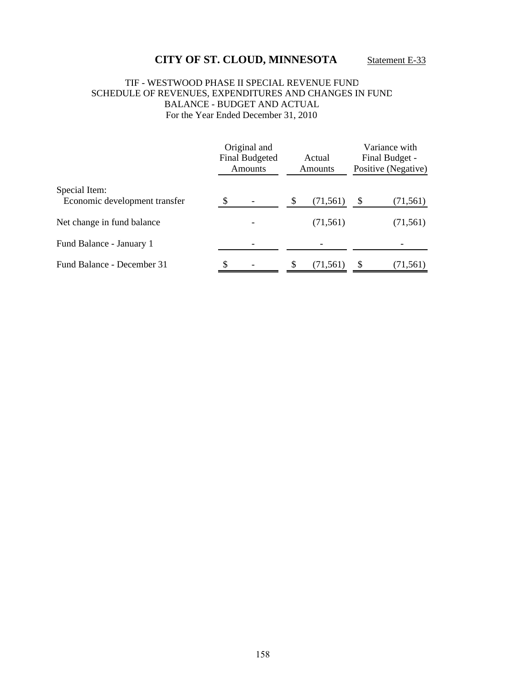### TIF - WESTWOOD PHASE II SPECIAL REVENUE FUND SCHEDULE OF REVENUES, EXPENDITURES AND CHANGES IN FUND BALANCE - BUDGET AND ACTUAL For the Year Ended December 31, 2010

|                                                | Original and<br><b>Final Budgeted</b><br><b>Amounts</b> | Actual<br><b>Amounts</b> |           | Variance with<br>Final Budget -<br>Positive (Negative) |           |
|------------------------------------------------|---------------------------------------------------------|--------------------------|-----------|--------------------------------------------------------|-----------|
| Special Item:<br>Economic development transfer |                                                         | \$                       | (71, 561) | \$                                                     | (71, 561) |
| Net change in fund balance                     |                                                         |                          | (71, 561) |                                                        | (71, 561) |
| Fund Balance - January 1                       |                                                         |                          |           |                                                        |           |
| Fund Balance - December 31                     | \$                                                      | \$                       | (71,561)  |                                                        | (71, 561) |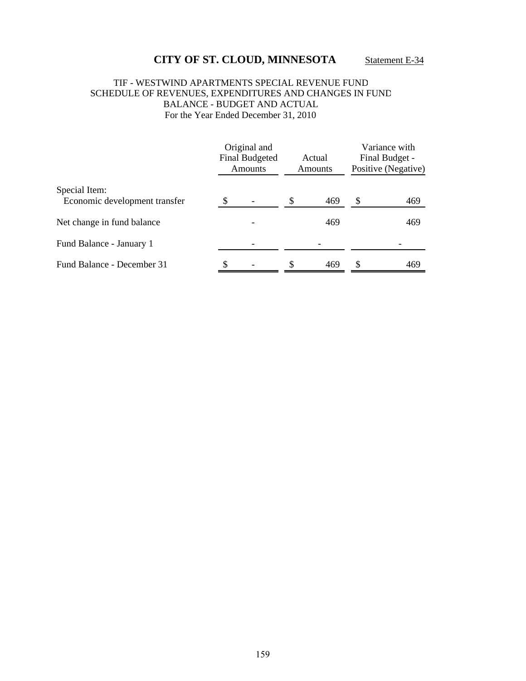### TIF - WESTWIND APARTMENTS SPECIAL REVENUE FUND SCHEDULE OF REVENUES, EXPENDITURES AND CHANGES IN FUND BALANCE - BUDGET AND ACTUAL For the Year Ended December 31, 2010

|                               | Original and<br><b>Final Budgeted</b><br><b>Amounts</b> |   | Actual<br>Amounts | Variance with<br>Final Budget -<br>Positive (Negative) |     |
|-------------------------------|---------------------------------------------------------|---|-------------------|--------------------------------------------------------|-----|
| Special Item:                 |                                                         |   |                   |                                                        |     |
| Economic development transfer |                                                         |   | 469               |                                                        | 469 |
| Net change in fund balance    |                                                         |   | 469               |                                                        | 469 |
| Fund Balance - January 1      |                                                         |   |                   |                                                        |     |
| Fund Balance - December 31    | \$                                                      | S | 469               | S                                                      | 469 |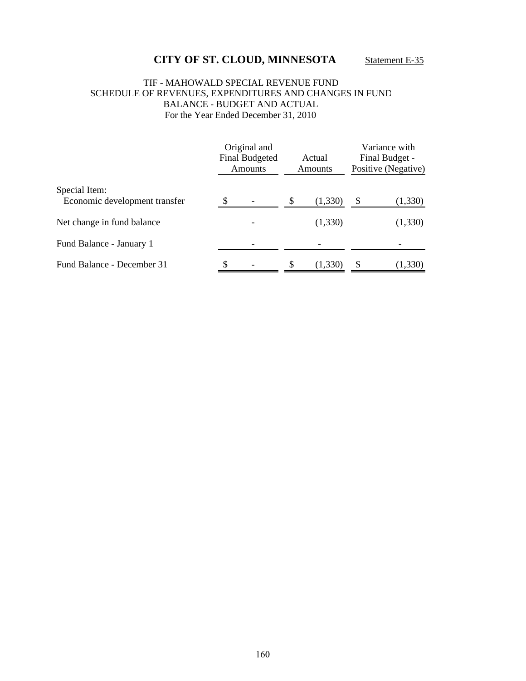### TIF - MAHOWALD SPECIAL REVENUE FUND SCHEDULE OF REVENUES, EXPENDITURES AND CHANGES IN FUND BALANCE - BUDGET AND ACTUAL For the Year Ended December 31, 2010

|                                                | Original and<br><b>Final Budgeted</b><br>Amounts | Actual<br><b>Amounts</b> | Variance with<br>Final Budget -<br>Positive (Negative) |         |
|------------------------------------------------|--------------------------------------------------|--------------------------|--------------------------------------------------------|---------|
| Special Item:<br>Economic development transfer |                                                  | \$<br>(1, 330)           | \$                                                     | (1,330) |
|                                                |                                                  |                          |                                                        |         |
| Net change in fund balance                     |                                                  | (1,330)                  |                                                        | (1,330) |
| Fund Balance - January 1                       |                                                  |                          |                                                        |         |
| Fund Balance - December 31                     | \$                                               | \$<br>(1,330)            |                                                        | (1,330) |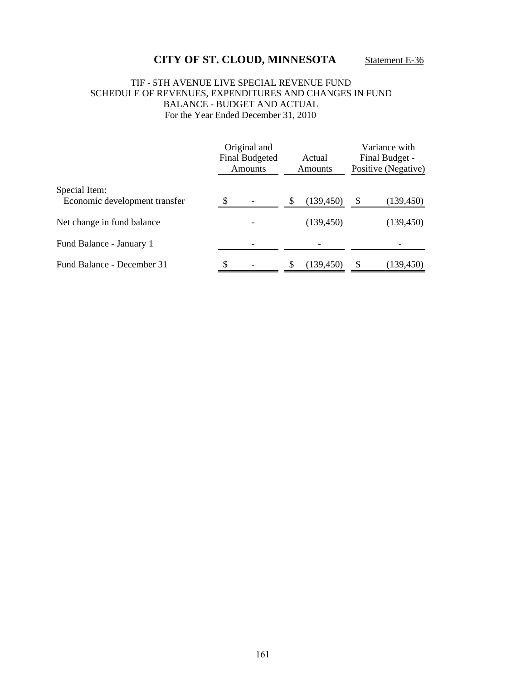### TIF - 5TH AVENUE LIVE SPECIAL REVENUE FUND SCHEDULE OF REVENUES, EXPENDITURES AND CHANGES IN FUND BALANCE - BUDGET AND ACTUAL For the Year Ended December 31, 2010

|                                                | Original and<br><b>Final Budgeted</b><br>Amounts |  |   | Actual<br><b>Amounts</b> | Variance with<br>Final Budget -<br>Positive (Negative) |            |  |
|------------------------------------------------|--------------------------------------------------|--|---|--------------------------|--------------------------------------------------------|------------|--|
| Special Item:<br>Economic development transfer |                                                  |  | S | (139, 450)               | \$                                                     | (139, 450) |  |
|                                                |                                                  |  |   |                          |                                                        |            |  |
| Net change in fund balance                     |                                                  |  |   | (139, 450)               |                                                        | (139, 450) |  |
| Fund Balance - January 1                       |                                                  |  |   |                          |                                                        |            |  |
| Fund Balance - December 31                     | \$                                               |  |   | (139,450)                |                                                        | (139, 450) |  |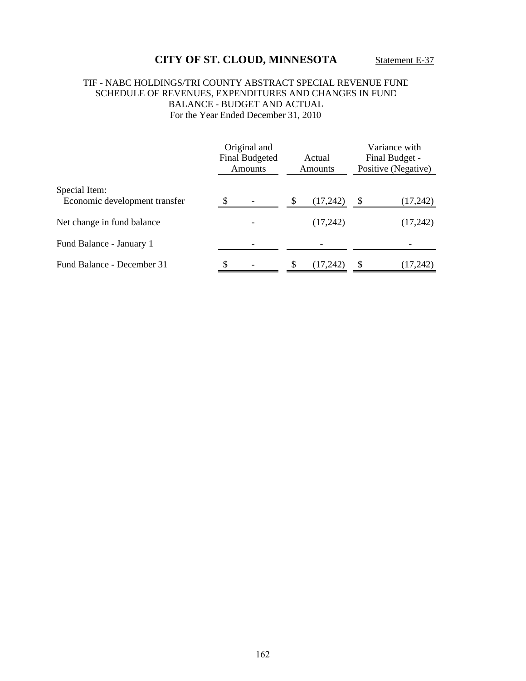### TIF - NABC HOLDINGS/TRI COUNTY ABSTRACT SPECIAL REVENUE FUND SCHEDULE OF REVENUES, EXPENDITURES AND CHANGES IN FUND BALANCE - BUDGET AND ACTUAL For the Year Ended December 31, 2010

|                                                | Original and<br><b>Final Budgeted</b><br><b>Amounts</b> | Actual<br>Amounts | Variance with<br>Final Budget -<br>Positive (Negative) |          |
|------------------------------------------------|---------------------------------------------------------|-------------------|--------------------------------------------------------|----------|
| Special Item:<br>Economic development transfer |                                                         | \$<br>(17,242)    | \$                                                     | (17,242) |
| Net change in fund balance                     |                                                         | (17,242)          |                                                        | (17,242) |
| Fund Balance - January 1                       |                                                         |                   |                                                        |          |
| Fund Balance - December 31                     |                                                         | (17, 242)         |                                                        | (17,242) |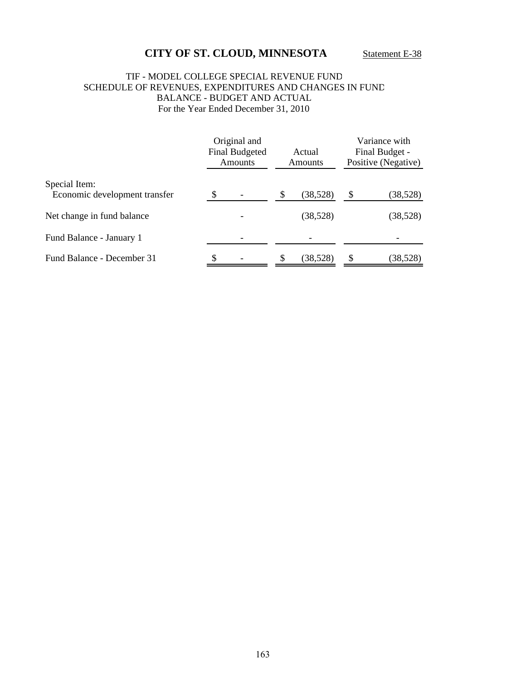### TIF - MODEL COLLEGE SPECIAL REVENUE FUND SCHEDULE OF REVENUES, EXPENDITURES AND CHANGES IN FUND BALANCE - BUDGET AND ACTUAL For the Year Ended December 31, 2010

|                                                |     | Original and<br><b>Final Budgeted</b><br><b>Amounts</b> |   | Actual<br><b>Amounts</b> | Variance with<br>Final Budget -<br>Positive (Negative) |           |
|------------------------------------------------|-----|---------------------------------------------------------|---|--------------------------|--------------------------------------------------------|-----------|
| Special Item:<br>Economic development transfer | \$. |                                                         | S | (38,528)                 | \$                                                     | (38, 528) |
| Net change in fund balance                     |     |                                                         |   | (38,528)                 |                                                        | (38, 528) |
| Fund Balance - January 1                       |     |                                                         |   |                          |                                                        |           |
| Fund Balance - December 31                     | S   |                                                         | S | (38,528)                 | \$                                                     | (38,528)  |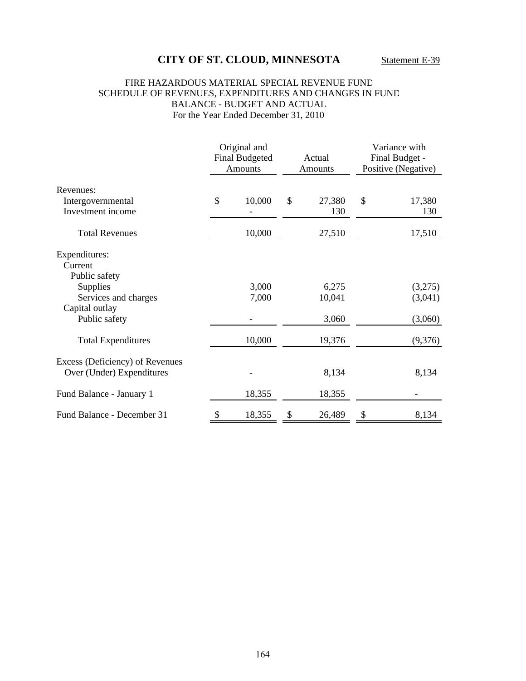### FIRE HAZARDOUS MATERIAL SPECIAL REVENUE FUND SCHEDULE OF REVENUES, EXPENDITURES AND CHANGES IN FUND BALANCE - BUDGET AND ACTUAL For the Year Ended December 31, 2010

|                                                              | Original and<br><b>Final Budgeted</b><br>Actual<br><b>Amounts</b><br>Amounts |                | Variance with<br>Final Budget -<br>Positive (Negative) |    |                    |
|--------------------------------------------------------------|------------------------------------------------------------------------------|----------------|--------------------------------------------------------|----|--------------------|
| Revenues:                                                    |                                                                              |                |                                                        |    |                    |
| Intergovernmental<br>Investment income                       | \$                                                                           | 10,000         | \$<br>27,380<br>130                                    | \$ | 17,380<br>130      |
| <b>Total Revenues</b>                                        |                                                                              | 10,000         | 27,510                                                 |    | 17,510             |
| Expenditures:<br>Current<br>Public safety                    |                                                                              |                |                                                        |    |                    |
| <b>Supplies</b><br>Services and charges<br>Capital outlay    |                                                                              | 3,000<br>7,000 | 6,275<br>10,041                                        |    | (3,275)<br>(3,041) |
| Public safety                                                |                                                                              |                | 3,060                                                  |    | (3,060)            |
| <b>Total Expenditures</b>                                    |                                                                              | 10,000         | 19,376                                                 |    | (9,376)            |
| Excess (Deficiency) of Revenues<br>Over (Under) Expenditures |                                                                              |                | 8,134                                                  |    | 8,134              |
| Fund Balance - January 1                                     |                                                                              | 18,355         | 18,355                                                 |    |                    |
| Fund Balance - December 31                                   | S                                                                            | 18,355         | \$<br>26,489                                           | \$ | 8,134              |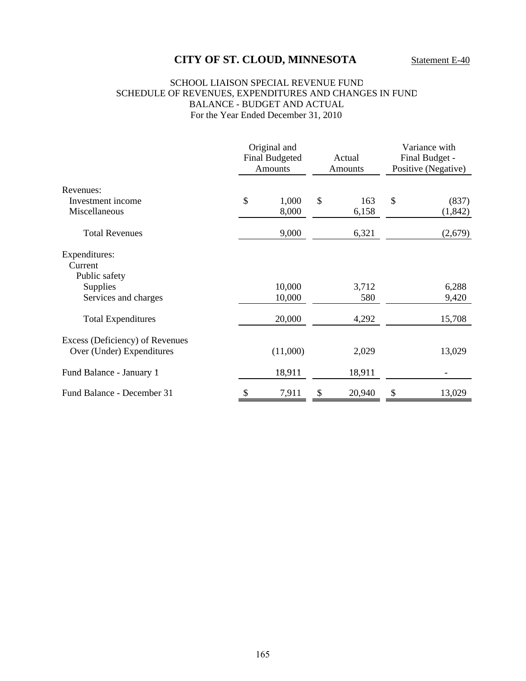#### SCHOOL LIAISON SPECIAL REVENUE FUND SCHEDULE OF REVENUES, EXPENDITURES AND CHANGES IN FUND BALANCE - BUDGET AND ACTUAL For the Year Ended December 31, 2010

|                                                              | Original and<br><b>Final Budgeted</b><br><b>Amounts</b> |    | Actual<br><b>Amounts</b> |    | Variance with<br>Final Budget -<br>Positive (Negative) |  |
|--------------------------------------------------------------|---------------------------------------------------------|----|--------------------------|----|--------------------------------------------------------|--|
| Revenues:                                                    |                                                         |    |                          |    |                                                        |  |
| Investment income                                            | \$<br>1,000                                             | \$ | 163                      | \$ | (837)                                                  |  |
| Miscellaneous                                                | 8,000                                                   |    | 6,158                    |    | (1, 842)                                               |  |
| <b>Total Revenues</b>                                        | 9,000                                                   |    | 6,321                    |    | (2,679)                                                |  |
| Expenditures:<br>Current<br>Public safety                    |                                                         |    |                          |    |                                                        |  |
| Supplies                                                     | 10,000                                                  |    | 3,712                    |    | 6,288                                                  |  |
| Services and charges                                         | 10,000                                                  |    | 580                      |    | 9,420                                                  |  |
| <b>Total Expenditures</b>                                    | 20,000                                                  |    | 4,292                    |    | 15,708                                                 |  |
| Excess (Deficiency) of Revenues<br>Over (Under) Expenditures | (11,000)                                                |    | 2,029                    |    | 13,029                                                 |  |
| Fund Balance - January 1                                     | 18,911                                                  |    | 18,911                   |    |                                                        |  |
| Fund Balance - December 31                                   | \$<br>7,911                                             | \$ | 20,940                   | \$ | 13,029                                                 |  |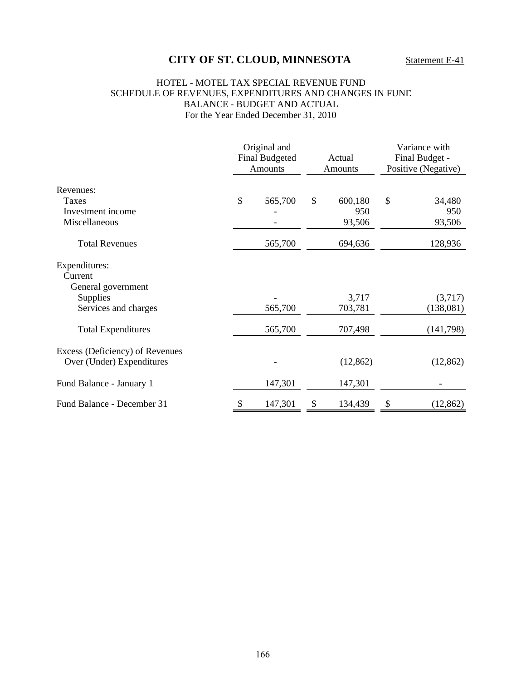#### HOTEL - MOTEL TAX SPECIAL REVENUE FUND SCHEDULE OF REVENUES, EXPENDITURES AND CHANGES IN FUND BALANCE - BUDGET AND ACTUAL For the Year Ended December 31, 2010

|                                                              |  | Original and<br><b>Final Budgeted</b><br>Amounts |    | Actual<br>Amounts  |    | Variance with<br>Final Budget -<br>Positive (Negative) |  |
|--------------------------------------------------------------|--|--------------------------------------------------|----|--------------------|----|--------------------------------------------------------|--|
| Revenues:<br>Taxes<br>Investment income                      |  | 565,700                                          | \$ | 600,180<br>950     | \$ | 34,480<br>950                                          |  |
| Miscellaneous<br><b>Total Revenues</b>                       |  | 565,700                                          |    | 93,506<br>694,636  |    | 93,506<br>128,936                                      |  |
| Expenditures:<br>Current<br>General government<br>Supplies   |  |                                                  |    | 3,717              |    | (3,717)                                                |  |
| Services and charges<br><b>Total Expenditures</b>            |  | 565,700<br>565,700                               |    | 703,781<br>707,498 |    | (138,081)<br>(141,798)                                 |  |
| Excess (Deficiency) of Revenues<br>Over (Under) Expenditures |  |                                                  |    | (12, 862)          |    | (12, 862)                                              |  |
| Fund Balance - January 1                                     |  | 147,301                                          |    | 147,301            |    |                                                        |  |
| Fund Balance - December 31                                   |  | 147,301                                          | \$ | 134,439            | \$ | (12, 862)                                              |  |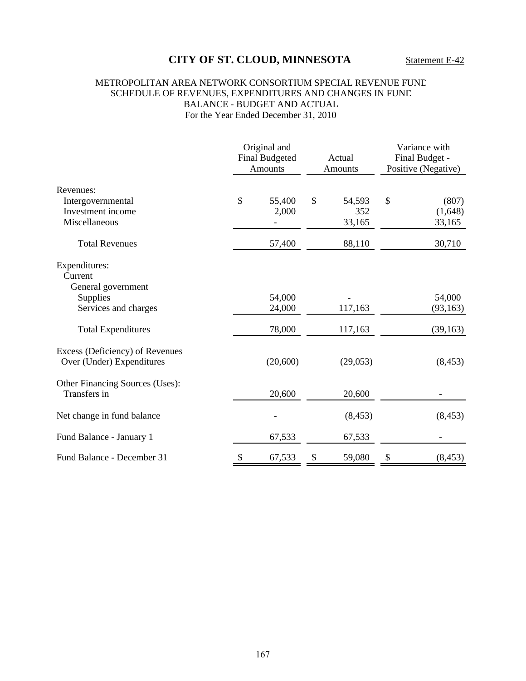### METROPOLITAN AREA NETWORK CONSORTIUM SPECIAL REVENUE FUND SCHEDULE OF REVENUES, EXPENDITURES AND CHANGES IN FUND BALANCE - BUDGET AND ACTUAL For the Year Ended December 31, 2010

|                                                                      |                       | Original and<br><b>Final Budgeted</b><br>Amounts |                                          | Actual<br><b>Amounts</b> |    | Variance with<br>Final Budget -<br>Positive (Negative) |  |
|----------------------------------------------------------------------|-----------------------|--------------------------------------------------|------------------------------------------|--------------------------|----|--------------------------------------------------------|--|
| Revenues:<br>Intergovernmental<br>Investment income<br>Miscellaneous | \$<br>55,400<br>2,000 |                                                  | $\mathcal{S}$<br>54,593<br>352<br>33,165 |                          | \$ | (807)<br>(1,648)<br>33,165                             |  |
| <b>Total Revenues</b>                                                |                       | 57,400                                           |                                          | 88,110                   |    | 30,710                                                 |  |
| Expenditures:<br>Current<br>General government                       |                       |                                                  |                                          |                          |    |                                                        |  |
| Supplies                                                             |                       | 54,000                                           |                                          |                          |    | 54,000                                                 |  |
| Services and charges                                                 |                       | 24,000                                           |                                          | 117,163                  |    | (93, 163)                                              |  |
| <b>Total Expenditures</b>                                            |                       | 78,000                                           |                                          | 117,163                  |    | (39, 163)                                              |  |
| Excess (Deficiency) of Revenues<br>Over (Under) Expenditures         |                       | (20,600)                                         |                                          | (29,053)                 |    | (8, 453)                                               |  |
| Other Financing Sources (Uses):<br>Transfers in                      |                       | 20,600                                           |                                          | 20,600                   |    |                                                        |  |
| Net change in fund balance                                           |                       |                                                  |                                          | (8, 453)                 |    | (8, 453)                                               |  |
| Fund Balance - January 1                                             |                       | 67,533                                           |                                          | 67,533                   |    |                                                        |  |
| Fund Balance - December 31                                           | \$                    | 67,533                                           | \$                                       | 59,080                   | \$ | (8, 453)                                               |  |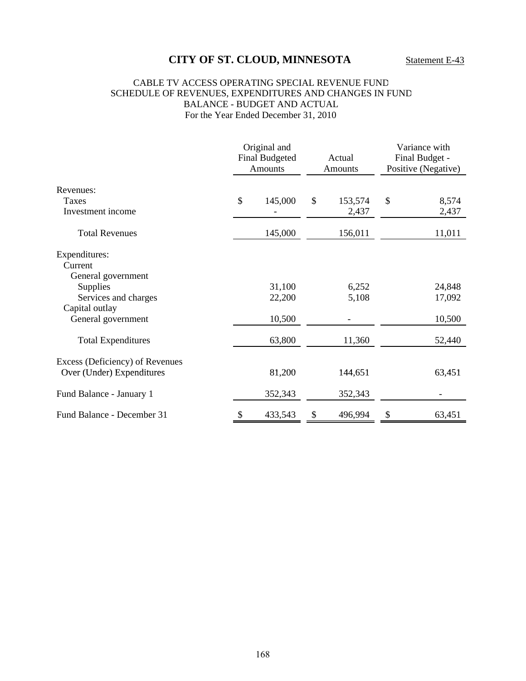#### CABLE TV ACCESS OPERATING SPECIAL REVENUE FUND SCHEDULE OF REVENUES, EXPENDITURES AND CHANGES IN FUND BALANCE - BUDGET AND ACTUAL For the Year Ended December 31, 2010

|                                 |    | Original and<br><b>Final Budgeted</b><br><b>Amounts</b> |    | Actual<br>Amounts |    | Variance with<br>Final Budget -<br>Positive (Negative) |  |
|---------------------------------|----|---------------------------------------------------------|----|-------------------|----|--------------------------------------------------------|--|
| Revenues:                       |    |                                                         |    |                   |    |                                                        |  |
| <b>Taxes</b>                    | \$ | 145,000                                                 | \$ | 153,574           | \$ | 8,574                                                  |  |
| Investment income               |    |                                                         |    | 2,437             |    | 2,437                                                  |  |
| <b>Total Revenues</b>           |    | 145,000                                                 |    | 156,011           |    | 11,011                                                 |  |
| Expenditures:                   |    |                                                         |    |                   |    |                                                        |  |
| Current                         |    |                                                         |    |                   |    |                                                        |  |
| General government              |    |                                                         |    |                   |    |                                                        |  |
| <b>Supplies</b>                 |    | 31,100                                                  |    | 6,252             |    | 24,848                                                 |  |
| Services and charges            |    | 22,200                                                  |    | 5,108             |    | 17,092                                                 |  |
| Capital outlay                  |    |                                                         |    |                   |    |                                                        |  |
| General government              |    | 10,500                                                  |    |                   |    | 10,500                                                 |  |
| <b>Total Expenditures</b>       |    | 63,800                                                  |    | 11,360            |    | 52,440                                                 |  |
| Excess (Deficiency) of Revenues |    |                                                         |    |                   |    |                                                        |  |
| Over (Under) Expenditures       |    | 81,200                                                  |    | 144,651           |    | 63,451                                                 |  |
| Fund Balance - January 1        |    | 352,343                                                 |    | 352,343           |    |                                                        |  |
| Fund Balance - December 31      |    | 433,543                                                 |    | 496,994           | \$ | 63,451                                                 |  |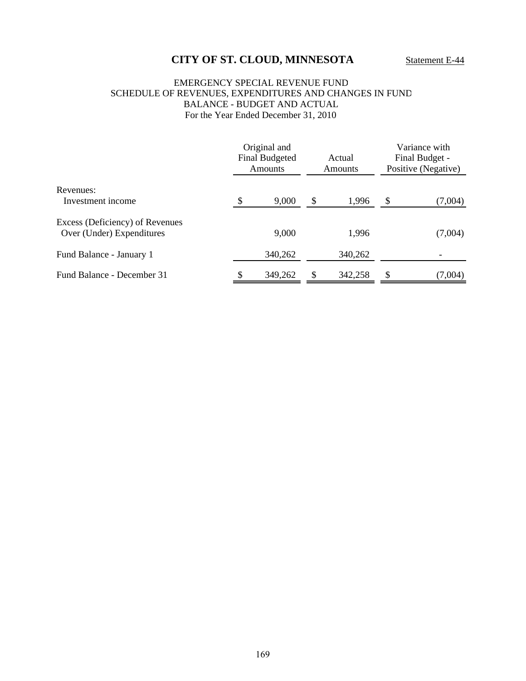#### EMERGENCY SPECIAL REVENUE FUND SCHEDULE OF REVENUES, EXPENDITURES AND CHANGES IN FUND BALANCE - BUDGET AND ACTUAL For the Year Ended December 31, 2010

|                                                              | Original and<br><b>Final Budgeted</b><br>Amounts | Actual<br>Amounts |         | Variance with<br>Final Budget -<br>Positive (Negative) |         |
|--------------------------------------------------------------|--------------------------------------------------|-------------------|---------|--------------------------------------------------------|---------|
| Revenues:<br>Investment income                               | \$<br>9,000                                      | \$                | 1,996   | \$                                                     | (7,004) |
| Excess (Deficiency) of Revenues<br>Over (Under) Expenditures | 9,000                                            |                   | 1,996   |                                                        | (7,004) |
| Fund Balance - January 1                                     | 340,262                                          |                   | 340,262 |                                                        |         |
| Fund Balance - December 31                                   | \$<br>349,262                                    | \$                | 342,258 | S                                                      | (7,004) |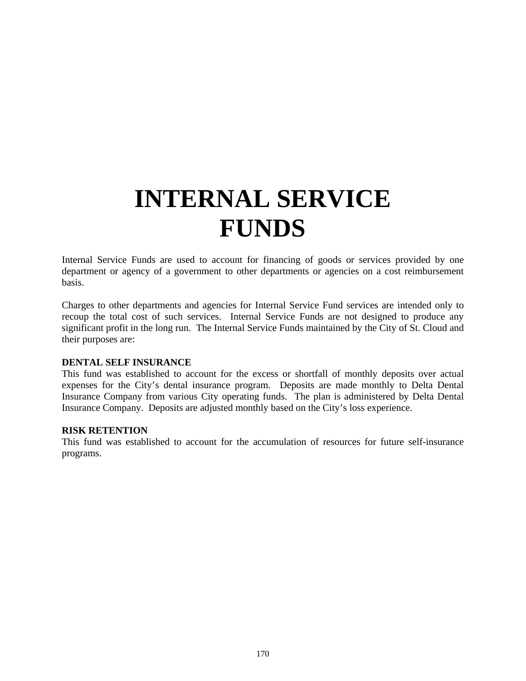# **INTERNAL SERVICE FUNDS**

Internal Service Funds are used to account for financing of goods or services provided by one department or agency of a government to other departments or agencies on a cost reimbursement basis.

Charges to other departments and agencies for Internal Service Fund services are intended only to recoup the total cost of such services. Internal Service Funds are not designed to produce any significant profit in the long run. The Internal Service Funds maintained by the City of St. Cloud and their purposes are:

#### **DENTAL SELF INSURANCE**

This fund was established to account for the excess or shortfall of monthly deposits over actual expenses for the City's dental insurance program. Deposits are made monthly to Delta Dental Insurance Company from various City operating funds. The plan is administered by Delta Dental Insurance Company. Deposits are adjusted monthly based on the City's loss experience.

### **RISK RETENTION**

This fund was established to account for the accumulation of resources for future self-insurance programs.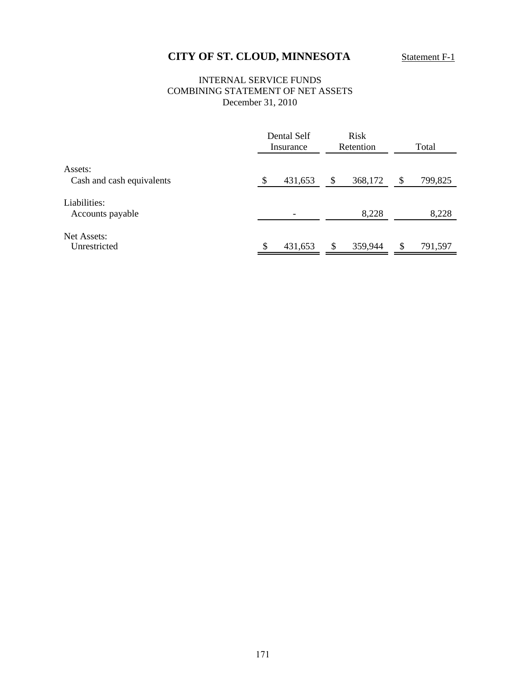# **CITY OF ST. CLOUD, MINNESOTA** Statement F-1

# INTERNAL SERVICE FUNDS COMBINING STATEMENT OF NET ASSETS December 31, 2010

|                                  |               | Dental Self<br>Insurance |    | <b>Risk</b><br>Retention | Total         |
|----------------------------------|---------------|--------------------------|----|--------------------------|---------------|
| Assets:                          |               |                          |    |                          |               |
| Cash and cash equivalents        | <sup>\$</sup> | 431,653                  | \$ | 368,172                  | \$<br>799,825 |
| Liabilities:<br>Accounts payable |               | $\overline{\phantom{0}}$ |    | 8,228                    | 8,228         |
| Net Assets:<br>Unrestricted      | \$            | 431,653                  | -S | 359,944                  | \$<br>791,597 |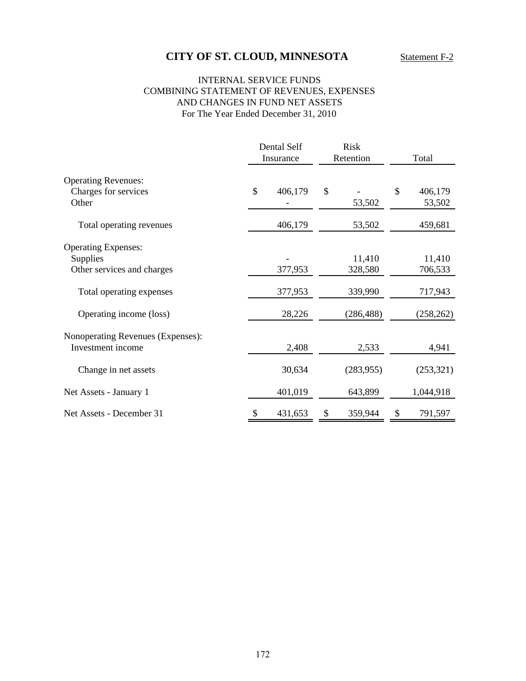# **CITY OF ST. CLOUD, MINNESOTA** Statement F-2

# INTERNAL SERVICE FUNDS COMBINING STATEMENT OF REVENUES, EXPENSES AND CHANGES IN FUND NET ASSETS For The Year Ended December 31, 2010

|                                                                                                                             |              | Dental Self<br>Insurance     | <b>Risk</b><br>Retention                   | Total                                      |
|-----------------------------------------------------------------------------------------------------------------------------|--------------|------------------------------|--------------------------------------------|--------------------------------------------|
| <b>Operating Revenues:</b><br>Charges for services<br>Other                                                                 | $\mathbb{S}$ | 406,179                      | \$<br>53,502                               | \$<br>406,179<br>53,502                    |
| Total operating revenues                                                                                                    |              | 406,179                      | 53,502                                     | 459,681                                    |
| <b>Operating Expenses:</b><br>Supplies<br>Other services and charges<br>Total operating expenses<br>Operating income (loss) |              | 377,953<br>377,953<br>28,226 | 11,410<br>328,580<br>339,990<br>(286, 488) | 11,410<br>706,533<br>717,943<br>(258, 262) |
| Nonoperating Revenues (Expenses):<br>Investment income                                                                      |              | 2,408                        | 2,533                                      | 4,941                                      |
| Change in net assets<br>Net Assets - January 1                                                                              |              | 30,634<br>401,019            | (283, 955)<br>643,899                      | (253, 321)<br>1,044,918                    |
| Net Assets - December 31                                                                                                    | \$           | 431,653                      | \$<br>359,944                              | \$<br>791,597                              |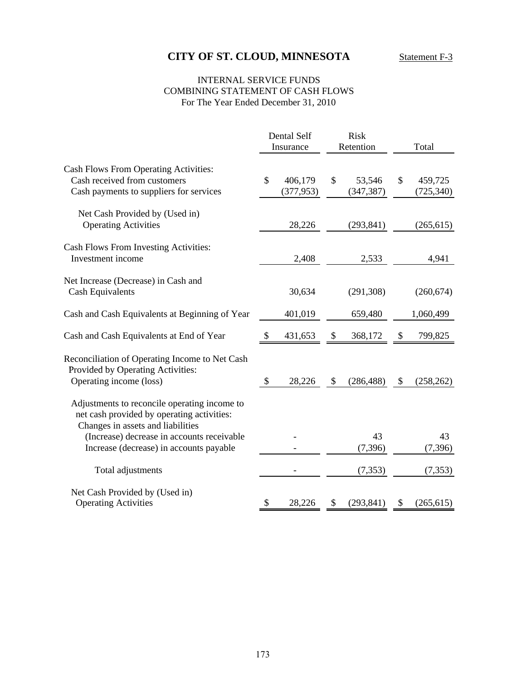# **CITY OF ST. CLOUD, MINNESOTA** Statement F-3

# INTERNAL SERVICE FUNDS COMBINING STATEMENT OF CASH FLOWS For The Year Ended December 31, 2010

|                                                                                                                                 |                           | Dental Self           |               | <b>Risk</b>          |    |                       |
|---------------------------------------------------------------------------------------------------------------------------------|---------------------------|-----------------------|---------------|----------------------|----|-----------------------|
|                                                                                                                                 |                           | Insurance             |               | Retention            |    | Total                 |
| Cash Flows From Operating Activities:<br>Cash received from customers<br>Cash payments to suppliers for services                | $\mathcal{S}$             | 406,179<br>(377, 953) | $\mathcal{S}$ | 53,546<br>(347, 387) | \$ | 459,725<br>(725, 340) |
| Net Cash Provided by (Used in)<br><b>Operating Activities</b>                                                                   |                           | 28,226                |               | (293, 841)           |    | (265, 615)            |
| Cash Flows From Investing Activities:<br>Investment income                                                                      |                           | 2,408                 |               | 2,533                |    | 4,941                 |
| Net Increase (Decrease) in Cash and<br><b>Cash Equivalents</b>                                                                  |                           | 30,634                |               | (291, 308)           |    | (260, 674)            |
| Cash and Cash Equivalents at Beginning of Year                                                                                  |                           | 401,019               |               | 659,480              |    | 1,060,499             |
| Cash and Cash Equivalents at End of Year                                                                                        | <sup>8</sup>              | 431,653               | \$            | 368,172              | \$ | 799,825               |
| Reconciliation of Operating Income to Net Cash<br>Provided by Operating Activities:<br>Operating income (loss)                  | $\boldsymbol{\mathsf{S}}$ | 28,226                | \$            | (286, 488)           | \$ | (258, 262)            |
| Adjustments to reconcile operating income to<br>net cash provided by operating activities:<br>Changes in assets and liabilities |                           |                       |               |                      |    |                       |
| (Increase) decrease in accounts receivable<br>Increase (decrease) in accounts payable                                           |                           |                       |               | 43<br>(7,396)        |    | 43<br>(7, 396)        |
| Total adjustments                                                                                                               |                           |                       |               | (7, 353)             |    | (7, 353)              |
| Net Cash Provided by (Used in)<br><b>Operating Activities</b>                                                                   | \$                        | 28,226                | \$            | (293, 841)           | P. | (265, 615)            |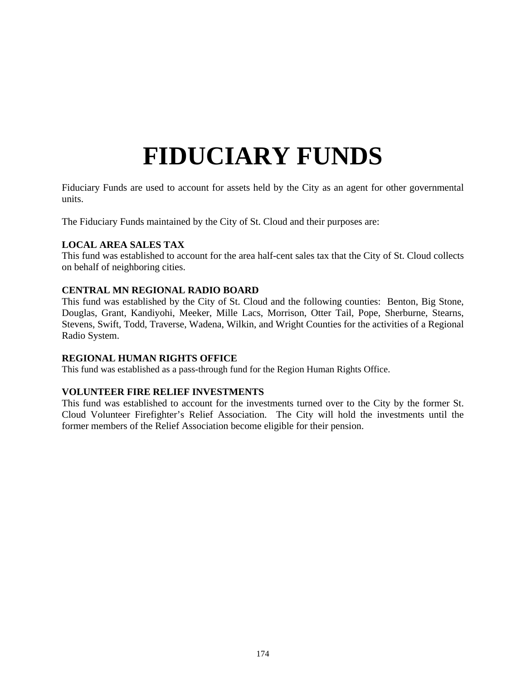# **FIDUCIARY FUNDS**

Fiduciary Funds are used to account for assets held by the City as an agent for other governmental units.

The Fiduciary Funds maintained by the City of St. Cloud and their purposes are:

# **LOCAL AREA SALES TAX**

This fund was established to account for the area half-cent sales tax that the City of St. Cloud collects on behalf of neighboring cities.

# **CENTRAL MN REGIONAL RADIO BOARD**

This fund was established by the City of St. Cloud and the following counties: Benton, Big Stone, Douglas, Grant, Kandiyohi, Meeker, Mille Lacs, Morrison, Otter Tail, Pope, Sherburne, Stearns, Stevens, Swift, Todd, Traverse, Wadena, Wilkin, and Wright Counties for the activities of a Regional Radio System.

### **REGIONAL HUMAN RIGHTS OFFICE**

This fund was established as a pass-through fund for the Region Human Rights Office.

# **VOLUNTEER FIRE RELIEF INVESTMENTS**

This fund was established to account for the investments turned over to the City by the former St. Cloud Volunteer Firefighter's Relief Association. The City will hold the investments until the former members of the Relief Association become eligible for their pension.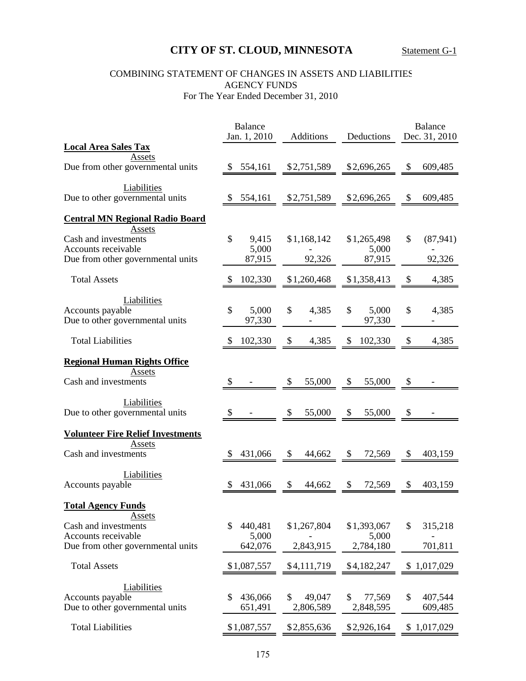# **CITY OF ST. CLOUD, MINNESOTA** Statement G-1

# COMBINING STATEMENT OF CHANGES IN ASSETS AND LIABILITIES AGENCY FUNDS For The Year Ended December 31, 2010

|                                          | <b>Balance</b>         |                  |                       | <b>Balance</b>             |
|------------------------------------------|------------------------|------------------|-----------------------|----------------------------|
| <b>Local Area Sales Tax</b>              | Jan. 1, 2010           | <b>Additions</b> | Deductions            | Dec. 31, 2010              |
| Assets                                   |                        |                  |                       |                            |
| Due from other governmental units        | \$554,161              | \$2,751,589      | \$2,696,265           | 609,485<br>\$              |
| Liabilities                              |                        |                  |                       |                            |
| Due to other governmental units          | 554,161                | \$2,751,589      | \$2,696,265           | \$<br>609,485              |
| <b>Central MN Regional Radio Board</b>   |                        |                  |                       |                            |
| Assets<br>Cash and investments           | \$<br>9,415            | \$1,168,142      | \$1,265,498           | $\mathcal{S}$<br>(87, 941) |
| Accounts receivable                      | 5,000                  |                  | 5,000                 |                            |
| Due from other governmental units        | 87,915                 | 92,326           | 87,915                | 92,326                     |
| <b>Total Assets</b>                      | 102,330                | \$1,260,468      | \$1,358,413           | 4,385<br>\$                |
| Liabilities                              |                        |                  |                       |                            |
| Accounts payable                         | $\mathcal{S}$<br>5,000 | \$<br>4,385      | $\mathbb{S}$<br>5,000 | $\mathbb{S}$<br>4,385      |
| Due to other governmental units          | 97,330                 |                  | 97,330                |                            |
| <b>Total Liabilities</b>                 | 102,330                | \$<br>4,385      | \$<br>102,330         | 4,385<br>\$                |
| <b>Regional Human Rights Office</b>      |                        |                  |                       |                            |
| Assets                                   |                        |                  |                       |                            |
| Cash and investments                     | \$                     | 55,000<br>\$     | \$<br>55,000          | \$                         |
| Liabilities                              |                        |                  |                       |                            |
| Due to other governmental units          | \$                     | 55,000<br>\$     | \$<br>55,000          | \$                         |
| <b>Volunteer Fire Relief Investments</b> |                        |                  |                       |                            |
| Assets                                   |                        |                  |                       |                            |
| Cash and investments                     | 431,066                | \$<br>44,662     | \$<br>72,569          | 403,159<br>\$              |
| Liabilities                              |                        |                  |                       |                            |
| Accounts payable                         | 431,066                | \$<br>44,662     | \$<br>72,569          | 403,159<br>\$              |
| <b>Total Agency Funds</b>                |                        |                  |                       |                            |
| Assets<br>Cash and investments           | 440,481<br>S           | \$1,267,804      | \$1,393,067           | \$<br>315,218              |
| Accounts receivable                      | 5,000                  |                  | 5,000                 |                            |
| Due from other governmental units        | 642,076                | 2,843,915        | 2,784,180             | 701,811                    |
| <b>Total Assets</b>                      | \$1,087,557            | \$4,111,719      | \$4,182,247           | \$1,017,029                |
| Liabilities                              |                        |                  |                       |                            |
| Accounts payable                         | 436,066<br>S           | \$<br>49,047     | \$<br>77,569          | \$<br>407,544              |
| Due to other governmental units          | 651,491                | 2,806,589        | 2,848,595             | 609,485                    |
| <b>Total Liabilities</b>                 | \$1,087,557            | \$2,855,636      | \$2,926,164           | \$1,017,029                |
|                                          |                        |                  |                       |                            |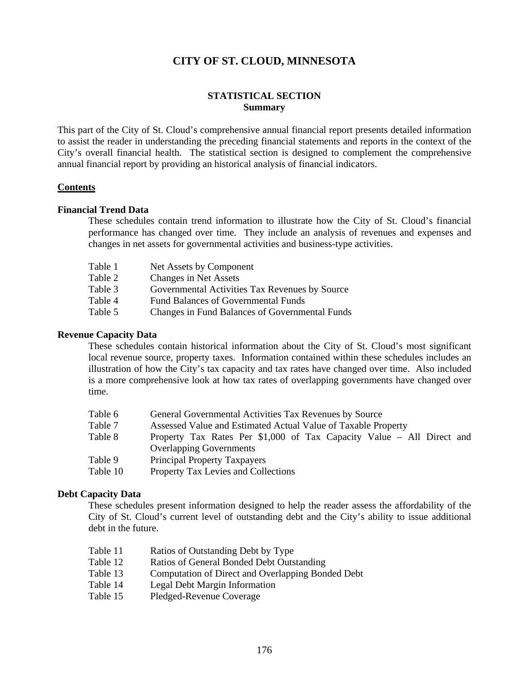# **STATISTICAL SECTION Summary**

This part of the City of St. Cloud's comprehensive annual financial report presents detailed information to assist the reader in understanding the preceding financial statements and reports in the context of the City's overall financial health. The statistical section is designed to complement the comprehensive annual financial report by providing an historical analysis of financial indicators.

### **Contents**

### **Financial Trend Data**

These schedules contain trend information to illustrate how the City of St. Cloud's financial performance has changed over time. They include an analysis of revenues and expenses and changes in net assets for governmental activities and business-type activities.

| Table 1 | Net Assets by Component                        |
|---------|------------------------------------------------|
| Table 2 | <b>Changes in Net Assets</b>                   |
| Table 3 | Governmental Activities Tax Revenues by Source |
| Table 4 | <b>Fund Balances of Governmental Funds</b>     |
| Table 5 | Changes in Fund Balances of Governmental Funds |

### **Revenue Capacity Data**

These schedules contain historical information about the City of St. Cloud's most significant local revenue source, property taxes. Information contained within these schedules includes an illustration of how the City's tax capacity and tax rates have changed over time. Also included is a more comprehensive look at how tax rates of overlapping governments have changed over time.

| Table 6  | General Governmental Activities Tax Revenues by Source                |
|----------|-----------------------------------------------------------------------|
| Table 7  | Assessed Value and Estimated Actual Value of Taxable Property         |
| Table 8  | Property Tax Rates Per \$1,000 of Tax Capacity Value – All Direct and |
|          | <b>Overlapping Governments</b>                                        |
| Table 9  | <b>Principal Property Taxpayers</b>                                   |
| Table 10 | Property Tax Levies and Collections                                   |
|          |                                                                       |

### **Debt Capacity Data**

These schedules present information designed to help the reader assess the affordability of the City of St. Cloud's current level of outstanding debt and the City's ability to issue additional debt in the future.

- Table 11 Ratios of Outstanding Debt by Type
- Table 12 Ratios of General Bonded Debt Outstanding
- Table 13 Computation of Direct and Overlapping Bonded Debt
- Table 14 Legal Debt Margin Information
- Table 15 Pledged-Revenue Coverage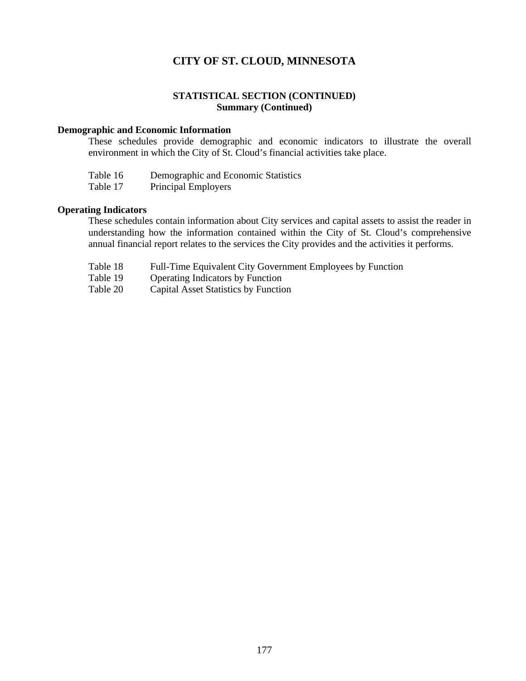# **STATISTICAL SECTION (CONTINUED) Summary (Continued)**

#### **Demographic and Economic Information**

These schedules provide demographic and economic indicators to illustrate the overall environment in which the City of St. Cloud's financial activities take place.

| Table 16 | Demographic and Economic Statistics |
|----------|-------------------------------------|
|          |                                     |

Table 17 Principal Employers

### **Operating Indicators**

These schedules contain information about City services and capital assets to assist the reader in understanding how the information contained within the City of St. Cloud's comprehensive annual financial report relates to the services the City provides and the activities it performs.

- Table 18 Full-Time Equivalent City Government Employees by Function
- Table 19 Operating Indicators by Function
- Table 20 Capital Asset Statistics by Function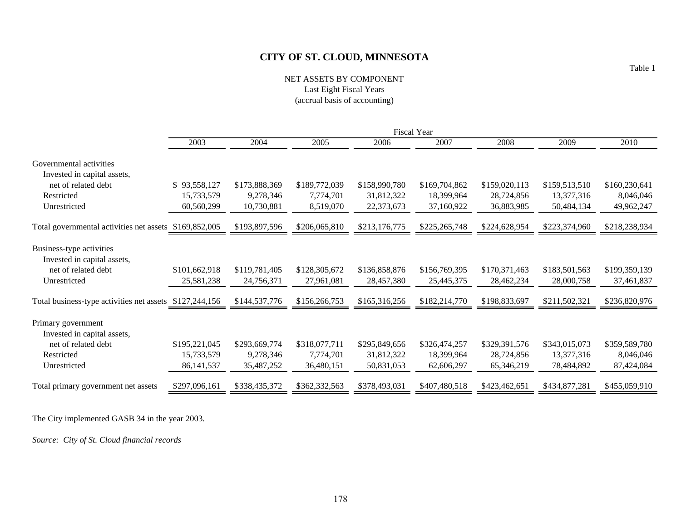### NET ASSETS BY COMPONENT Last Eight Fiscal Years (accrual basis of accounting)

|                                                         |               |               |               |               | <b>Fiscal Year</b> |               |               |               |
|---------------------------------------------------------|---------------|---------------|---------------|---------------|--------------------|---------------|---------------|---------------|
|                                                         | 2003          | 2004          | 2005          | 2006          | 2007               | 2008          | 2009          | 2010          |
| Governmental activities<br>Invested in capital assets,  |               |               |               |               |                    |               |               |               |
| net of related debt                                     | \$93,558,127  | \$173,888,369 | \$189,772,039 | \$158,990,780 | \$169,704,862      | \$159,020,113 | \$159,513,510 | \$160,230,641 |
| Restricted                                              | 15,733,579    | 9,278,346     | 7,774,701     | 31,812,322    | 18,399,964         | 28,724,856    | 13,377,316    | 8,046,046     |
| Unrestricted                                            | 60,560,299    | 10,730,881    | 8,519,070     | 22,373,673    | 37,160,922         | 36,883,985    | 50,484,134    | 49,962,247    |
| Total governmental activities net assets                | \$169,852,005 | \$193,897,596 | \$206,065,810 | \$213,176,775 | \$225,265,748      | \$224,628,954 | \$223,374,960 | \$218,238,934 |
| Business-type activities<br>Invested in capital assets, |               |               |               |               |                    |               |               |               |
| net of related debt                                     | \$101,662,918 | \$119,781,405 | \$128,305,672 | \$136,858,876 | \$156,769,395      | \$170,371,463 | \$183,501,563 | \$199,359,139 |
| Unrestricted                                            | 25,581,238    | 24,756,371    | 27,961,081    | 28,457,380    | 25,445,375         | 28,462,234    | 28,000,758    | 37,461,837    |
| Total business-type activities net assets \$127,244,156 |               | \$144,537,776 | \$156,266,753 | \$165,316,256 | \$182,214,770      | \$198,833,697 | \$211,502,321 | \$236,820,976 |
| Primary government<br>Invested in capital assets,       |               |               |               |               |                    |               |               |               |
| net of related debt                                     | \$195,221,045 | \$293,669,774 | \$318,077,711 | \$295,849,656 | \$326,474,257      | \$329,391,576 | \$343,015,073 | \$359,589,780 |
| Restricted                                              | 15,733,579    | 9,278,346     | 7,774,701     | 31,812,322    | 18,399,964         | 28,724,856    | 13,377,316    | 8,046,046     |
| Unrestricted                                            | 86, 141, 537  | 35,487,252    | 36,480,151    | 50,831,053    | 62,606,297         | 65,346,219    | 78,484,892    | 87,424,084    |
| Total primary government net assets                     | \$297,096,161 | \$338,435,372 | \$362,332,563 | \$378,493,031 | \$407,480,518      | \$423,462,651 | \$434,877,281 | \$455,059,910 |

The City implemented GASB 34 in the year 2003.

*Source: City of St. Cloud financial records*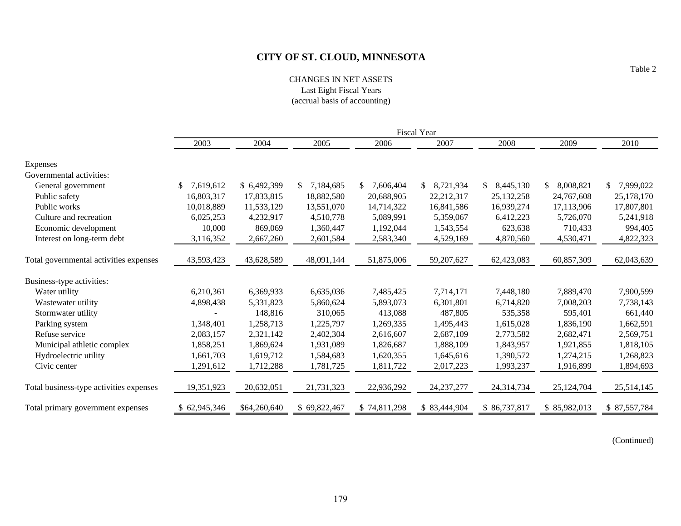CHANGES IN NET ASSETS Last Eight Fiscal Years (accrual basis of accounting)

|                                         |              | <b>Fiscal Year</b> |                 |                 |              |                 |                 |              |  |  |  |
|-----------------------------------------|--------------|--------------------|-----------------|-----------------|--------------|-----------------|-----------------|--------------|--|--|--|
|                                         | 2003         | 2004               | 2005            | 2006            | 2007         | 2008            | 2009            | 2010         |  |  |  |
| Expenses                                |              |                    |                 |                 |              |                 |                 |              |  |  |  |
| Governmental activities:                |              |                    |                 |                 |              |                 |                 |              |  |  |  |
| General government                      | 7,619,612    | \$ 6,492,399       | 7,184,685<br>\$ | \$<br>7,606,404 | 8,721,934    | 8,445,130<br>\$ | \$<br>8,008,821 | \$7,999,022  |  |  |  |
| Public safety                           | 16,803,317   | 17,833,815         | 18,882,580      | 20,688,905      | 22,212,317   | 25, 132, 258    | 24,767,608      | 25,178,170   |  |  |  |
| Public works                            | 10,018,889   | 11,533,129         | 13,551,070      | 14,714,322      | 16,841,586   | 16,939,274      | 17,113,906      | 17,807,801   |  |  |  |
| Culture and recreation                  | 6,025,253    | 4,232,917          | 4,510,778       | 5,089,991       | 5,359,067    | 6,412,223       | 5,726,070       | 5,241,918    |  |  |  |
| Economic development                    | 10,000       | 869,069            | 1,360,447       | 1,192,044       | 1,543,554    | 623,638         | 710,433         | 994,405      |  |  |  |
| Interest on long-term debt              | 3,116,352    | 2,667,260          | 2,601,584       | 2,583,340       | 4,529,169    | 4,870,560       | 4,530,471       | 4,822,323    |  |  |  |
| Total governmental activities expenses  | 43,593,423   | 43,628,589         | 48,091,144      | 51,875,006      | 59,207,627   | 62,423,083      | 60,857,309      | 62,043,639   |  |  |  |
| Business-type activities:               |              |                    |                 |                 |              |                 |                 |              |  |  |  |
| Water utility                           | 6,210,361    | 6,369,933          | 6,635,036       | 7,485,425       | 7,714,171    | 7,448,180       | 7,889,470       | 7,900,599    |  |  |  |
| Wastewater utility                      | 4,898,438    | 5,331,823          | 5,860,624       | 5,893,073       | 6,301,801    | 6,714,820       | 7,008,203       | 7,738,143    |  |  |  |
| Stormwater utility                      |              | 148,816            | 310,065         | 413,088         | 487,805      | 535,358         | 595,401         | 661,440      |  |  |  |
| Parking system                          | 1,348,401    | 1,258,713          | 1,225,797       | 1,269,335       | 1,495,443    | 1,615,028       | 1,836,190       | 1,662,591    |  |  |  |
| Refuse service                          | 2,083,157    | 2,321,142          | 2,402,304       | 2,616,607       | 2,687,109    | 2,773,582       | 2,682,471       | 2,569,751    |  |  |  |
| Municipal athletic complex              | 1,858,251    | 1,869,624          | 1,931,089       | 1,826,687       | 1,888,109    | 1,843,957       | 1,921,855       | 1,818,105    |  |  |  |
| Hydroelectric utility                   | 1,661,703    | 1,619,712          | 1,584,683       | 1,620,355       | 1,645,616    | 1,390,572       | 1,274,215       | 1,268,823    |  |  |  |
| Civic center                            | 1,291,612    | 1,712,288          | 1,781,725       | 1,811,722       | 2,017,223    | 1,993,237       | 1,916,899       | 1,894,693    |  |  |  |
| Total business-type activities expenses | 19,351,923   | 20,632,051         | 21,731,323      | 22,936,292      | 24, 237, 277 | 24,314,734      | 25,124,704      | 25,514,145   |  |  |  |
| Total primary government expenses       | \$62,945,346 | \$64,260,640       | \$69,822,467    | \$74,811,298    | \$83,444,904 | \$86,737,817    | \$85,982,013    | \$87,557,784 |  |  |  |

(Continued)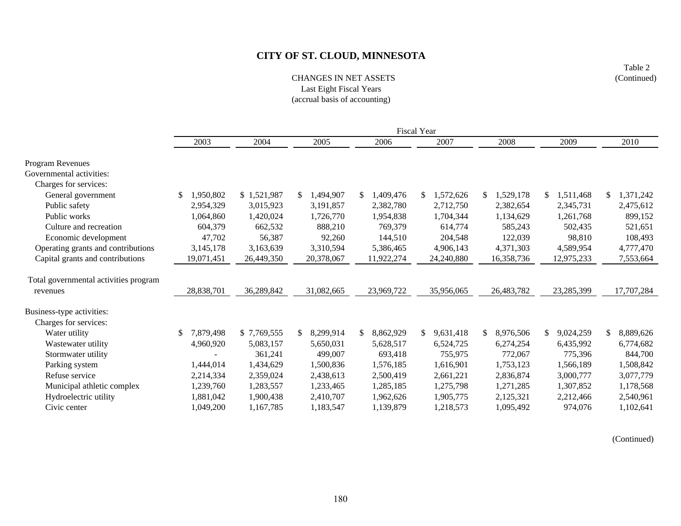Table 2 (Continued)

### CHANGES IN NET ASSETSLast Eight Fiscal Years (accrual basis of accounting)

|                                       |                 |             |                 |                 | <b>Fiscal Year</b> |            |                 |                 |
|---------------------------------------|-----------------|-------------|-----------------|-----------------|--------------------|------------|-----------------|-----------------|
|                                       | 2003            | 2004        | 2005            | 2006            | 2007               | 2008       | 2009            | 2010            |
| Program Revenues                      |                 |             |                 |                 |                    |            |                 |                 |
| Governmental activities:              |                 |             |                 |                 |                    |            |                 |                 |
| Charges for services:                 |                 |             |                 |                 |                    |            |                 |                 |
| General government                    | 1,950,802<br>\$ | \$1,521,987 | 1,494,907<br>S. | 1,409,476<br>\$ | 1,572,626<br>\$.   | 1,529,178  | 1,511,468<br>\$ | 1,371,242<br>\$ |
| Public safety                         | 2,954,329       | 3,015,923   | 3,191,857       | 2,382,780       | 2,712,750          | 2,382,654  | 2,345,731       | 2,475,612       |
| Public works                          | 1,064,860       | 1,420,024   | 1,726,770       | 1,954,838       | 1,704,344          | 1,134,629  | 1,261,768       | 899,152         |
| Culture and recreation                | 604,379         | 662,532     | 888,210         | 769,379         | 614,774            | 585,243    | 502,435         | 521,651         |
| Economic development                  | 47,702          | 56,387      | 92,260          | 144,510         | 204,548            | 122,039    | 98,810          | 108,493         |
| Operating grants and contributions    | 3,145,178       | 3,163,639   | 3,310,594       | 5,386,465       | 4,906,143          | 4,371,303  | 4,589,954       | 4,777,470       |
| Capital grants and contributions      | 19,071,451      | 26,449,350  | 20,378,067      | 11,922,274      | 24,240,880         | 16,358,736 | 12,975,233      | 7,553,664       |
| Total governmental activities program |                 |             |                 |                 |                    |            |                 |                 |
| revenues                              | 28,838,701      | 36,289,842  | 31,082,665      | 23,969,722      | 35,956,065         | 26,483,782 | 23,285,399      | 17,707,284      |
| Business-type activities:             |                 |             |                 |                 |                    |            |                 |                 |
| Charges for services:                 |                 |             |                 |                 |                    |            |                 |                 |
| Water utility                         | 7,879,498       | \$7,769,555 | 8,299,914<br>\$ | \$<br>8,862,929 | 9,631,418<br>\$    | 8,976,506  | 9,024,259<br>\$ | \$<br>8,889,626 |
| Wastewater utility                    | 4,960,920       | 5,083,157   | 5,650,031       | 5,628,517       | 6,524,725          | 6,274,254  | 6,435,992       | 6,774,682       |
| Stormwater utility                    |                 | 361,241     | 499,007         | 693,418         | 755,975            | 772,067    | 775,396         | 844,700         |
| Parking system                        | 1,444,014       | 1,434,629   | 1,500,836       | 1,576,185       | 1,616,901          | 1,753,123  | 1,566,189       | 1,508,842       |
| Refuse service                        | 2,214,334       | 2,359,024   | 2,438,613       | 2,500,419       | 2,661,221          | 2,836,874  | 3,000,777       | 3,077,779       |
| Municipal athletic complex            | 1,239,760       | 1,283,557   | 1,233,465       | 1,285,185       | 1,275,798          | 1,271,285  | 1,307,852       | 1,178,568       |
| Hydroelectric utility                 | 1,881,042       | 1,900,438   | 2,410,707       | 1,962,626       | 1,905,775          | 2,125,321  | 2,212,466       | 2,540,961       |
| Civic center                          | 1,049,200       | 1,167,785   | 1,183,547       | 1,139,879       | 1,218,573          | 1,095,492  | 974,076         | 1,102,641       |

(Continued)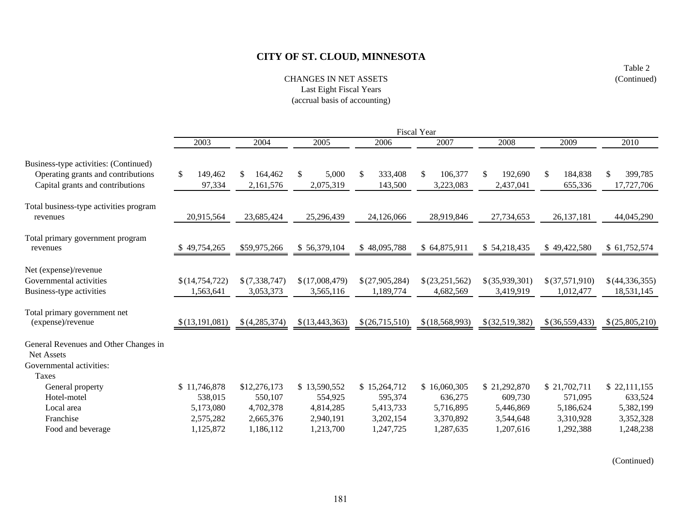CHANGES IN NET ASSETSLast Eight Fiscal Years (accrual basis of accounting)

|                                          |                |                |                |                          | Fiscal Year      |                  |                          |                |
|------------------------------------------|----------------|----------------|----------------|--------------------------|------------------|------------------|--------------------------|----------------|
|                                          | 2003           | 2004           | 2005           | 2006                     | 2007             | 2008             | 2009                     | 2010           |
| Business-type activities: (Continued)    |                |                |                |                          |                  |                  |                          |                |
| Operating grants and contributions       | \$<br>149,462  | \$.<br>164,462 | \$<br>5,000    | 333,408<br><sup>\$</sup> | 106,377<br>\$    | 192,690<br>\$.   | <sup>\$</sup><br>184,838 | 399,785        |
| Capital grants and contributions         | 97,334         | 2,161,576      | 2,075,319      | 143,500                  | 3,223,083        | 2,437,041        | 655,336                  | 17,727,706     |
| Total business-type activities program   |                |                |                |                          |                  |                  |                          |                |
| revenues                                 | 20,915,564     | 23,685,424     | 25,296,439     | 24,126,066               | 28,919,846       | 27,734,653       | 26,137,181               | 44,045,290     |
| Total primary government program         |                |                |                |                          |                  |                  |                          |                |
| revenues                                 | 49,754,265     | \$59,975,266   | \$56,379,104   | \$48,095,788             | \$64,875,911     | \$54,218,435     | \$49,422,580             | \$61,752,574   |
| Net (expense)/revenue                    |                |                |                |                          |                  |                  |                          |                |
| Governmental activities                  | \$(14,754,722) | \$(7,338,747)  | \$(17,008,479) | \$(27,905,284)           | \$(23,251,562)   | $$$ (35,939,301) | \$(37,571,910)           | \$(44,336,355) |
| Business-type activities                 | 1,563,641      | 3,053,373      | 3,565,116      | 1,189,774                | 4,682,569        | 3,419,919        | 1,012,477                | 18,531,145     |
| Total primary government net             |                |                |                |                          |                  |                  |                          |                |
| (expense)/revenue                        | \$(13,191,081) | \$(4,285,374)  | \$(13,443,363) | \$(26,715,510)           | \$(18, 568, 993) | \$(32,519,382)   | $$$ (36,559,433)         | \$(25,805,210) |
| General Revenues and Other Changes in    |                |                |                |                          |                  |                  |                          |                |
| Net Assets                               |                |                |                |                          |                  |                  |                          |                |
| Governmental activities:<br><b>Taxes</b> |                |                |                |                          |                  |                  |                          |                |
| General property                         | \$11,746,878   | \$12,276,173   | \$13,590,552   | \$15,264,712             | \$16,060,305     | \$21,292,870     | \$21,702,711             | \$22,111,155   |
| Hotel-motel                              | 538,015        | 550,107        | 554,925        | 595,374                  | 636,275          | 609,730          | 571,095                  | 633,524        |
| Local area                               | 5,173,080      | 4,702,378      | 4,814,285      | 5,413,733                | 5,716,895        | 5,446,869        | 5,186,624                | 5,382,199      |
| Franchise                                | 2,575,282      | 2,665,376      | 2,940,191      | 3,202,154                | 3,370,892        | 3,544,648        | 3,310,928                | 3,352,328      |
| Food and beverage                        | 1,125,872      | 1,186,112      | 1,213,700      | 1,247,725                | 1,287,635        | 1,207,616        | 1,292,388                | 1,248,238      |

(Continued)

Table 2 (Continued)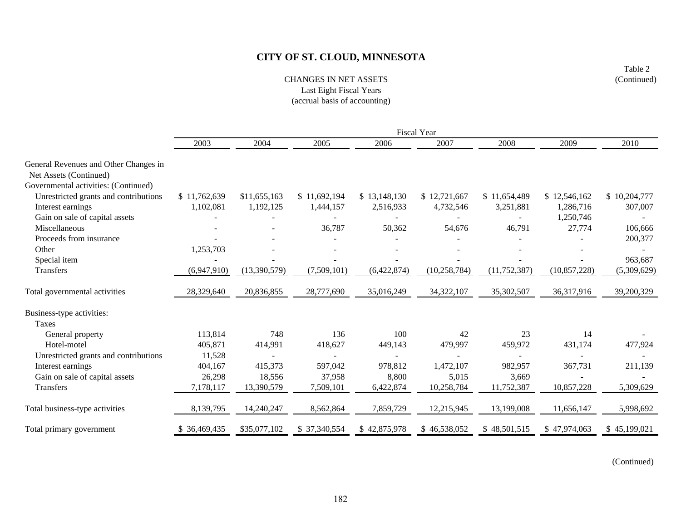CHANGES IN NET ASSETSLast Eight Fiscal Years (accrual basis of accounting)

|                                                                 |              |              |              |              | Fiscal Year    |                |                |              |
|-----------------------------------------------------------------|--------------|--------------|--------------|--------------|----------------|----------------|----------------|--------------|
|                                                                 | 2003         | 2004         | 2005         | 2006         | 2007           | 2008           | 2009           | 2010         |
| General Revenues and Other Changes in<br>Net Assets (Continued) |              |              |              |              |                |                |                |              |
| Governmental activities: (Continued)                            |              |              |              |              |                |                |                |              |
| Unrestricted grants and contributions                           | \$11,762,639 | \$11,655,163 | \$11,692,194 | \$13,148,130 | \$12,721,667   | \$11,654,489   | \$12,546,162   | \$10,204,777 |
| Interest earnings                                               | 1,102,081    | 1,192,125    | 1,444,157    | 2,516,933    | 4,732,546      | 3,251,881      | 1,286,716      | 307,007      |
| Gain on sale of capital assets                                  |              |              |              |              |                |                | 1,250,746      |              |
| Miscellaneous                                                   |              |              | 36,787       | 50,362       | 54,676         | 46,791         | 27,774         | 106,666      |
| Proceeds from insurance                                         |              |              |              |              |                |                |                | 200,377      |
| Other                                                           | 1,253,703    |              |              |              |                |                |                |              |
| Special item                                                    |              |              |              |              |                |                |                | 963,687      |
| Transfers                                                       | (6,947,910)  | (13,390,579) | (7,509,101)  | (6,422,874)  | (10, 258, 784) | (11, 752, 387) | (10, 857, 228) | (5,309,629)  |
| Total governmental activities                                   | 28,329,640   | 20,836,855   | 28,777,690   | 35,016,249   | 34,322,107     | 35,302,507     | 36,317,916     | 39,200,329   |
| Business-type activities:                                       |              |              |              |              |                |                |                |              |
| <b>Taxes</b>                                                    |              |              |              |              |                |                |                |              |
| General property                                                | 113,814      | 748          | 136          | 100          | 42             | 23             | 14             |              |
| Hotel-motel                                                     | 405,871      | 414,991      | 418,627      | 449,143      | 479,997        | 459,972        | 431,174        | 477,924      |
| Unrestricted grants and contributions                           | 11,528       |              |              |              |                |                |                |              |
| Interest earnings                                               | 404,167      | 415,373      | 597,042      | 978,812      | 1,472,107      | 982,957        | 367,731        | 211,139      |
| Gain on sale of capital assets                                  | 26,298       | 18,556       | 37,958       | 8,800        | 5,015          | 3,669          |                |              |
| Transfers                                                       | 7,178,117    | 13,390,579   | 7,509,101    | 6,422,874    | 10,258,784     | 11,752,387     | 10,857,228     | 5,309,629    |
| Total business-type activities                                  | 8,139,795    | 14,240,247   | 8,562,864    | 7,859,729    | 12,215,945     | 13,199,008     | 11,656,147     | 5,998,692    |
| Total primary government                                        | \$36,469,435 | \$35,077,102 | \$37,340,554 | \$42,875,978 | \$46,538,052   | \$48,501,515   | \$47,974,063   | \$45,199,021 |

(Continued)

Table 2 (Continued)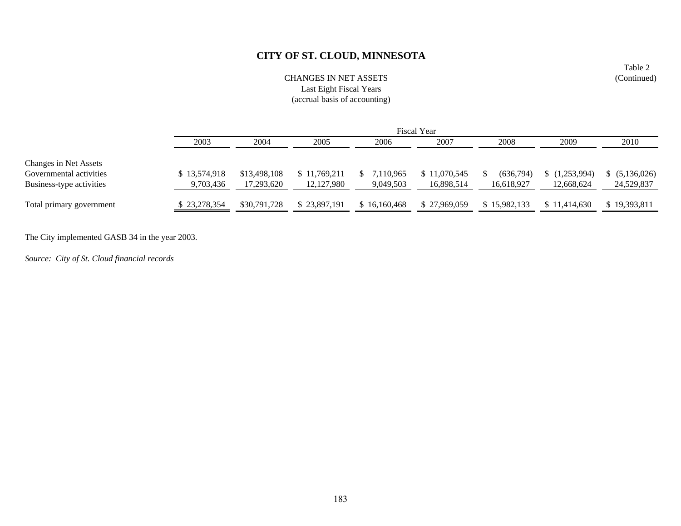### CHANGES IN NET ASSETSLast Eight Fiscal Years (accrual basis of accounting)

|                          |              | <b>Fiscal Year</b> |              |              |              |              |              |                |  |  |  |
|--------------------------|--------------|--------------------|--------------|--------------|--------------|--------------|--------------|----------------|--|--|--|
|                          | 2003         | 2004               | 2005         | 2006         | 2007         | 2008         | 2009         | 2010           |  |  |  |
| Changes in Net Assets    |              |                    |              |              |              |              |              |                |  |  |  |
| Governmental activities  | \$13,574,918 | \$13,498,108       | \$11,769,211 | 7,110,965    | \$11,070,545 | (636,794)    | (1,253,994)  | \$ (5,136,026) |  |  |  |
| Business-type activities | 9,703,436    | 17.293.620         | 12, 127, 980 | 9,049,503    | 16.898.514   | 16.618.927   | 12,668,624   | 24,529,837     |  |  |  |
| Total primary government | \$23,278,354 | \$30,791,728       | \$23,897,191 | \$16,160,468 | \$27,969,059 | \$15,982,133 | \$11,414,630 | \$19,393,811   |  |  |  |

The City implemented GASB 34 in the year 2003.

*Source: City of St. Cloud financial records*

Table 2 (Continued)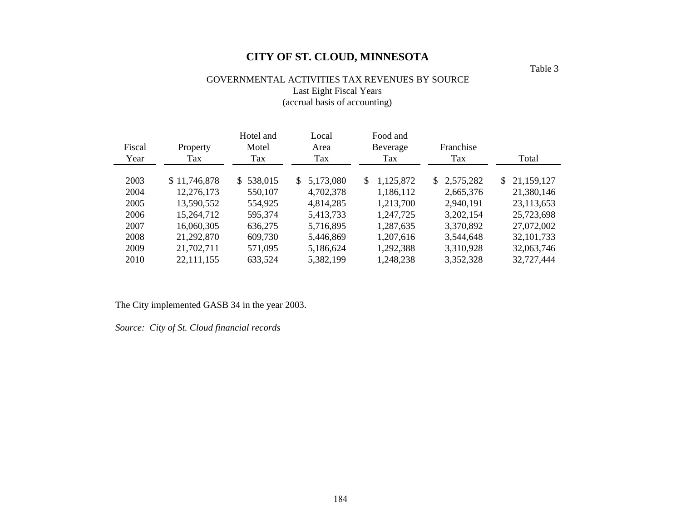# GOVERNMENTAL ACTIVITIES TAX REVENUES BY SOURCE Last Eight Fiscal Years (accrual basis of accounting)

| Fiscal | Property     | Hotel and<br>Motel | Local<br>Area   | Food and<br>Beverage | Franchise   |              |
|--------|--------------|--------------------|-----------------|----------------------|-------------|--------------|
| Year   | Tax          | Tax                | Tax             | Tax                  | Tax         | Total        |
| 2003   | \$11,746,878 | \$538,015          | 5,173,080<br>S. | 1,125,872<br>S.      | \$2,575,282 | \$21,159,127 |
| 2004   | 12,276,173   | 550,107            | 4,702,378       | 1,186,112            | 2,665,376   | 21,380,146   |
| 2005   | 13,590,552   | 554,925            | 4,814,285       | 1,213,700            | 2,940,191   | 23,113,653   |
| 2006   | 15,264,712   | 595,374            | 5,413,733       | 1,247,725            | 3,202,154   | 25,723,698   |
| 2007   | 16,060,305   | 636,275            | 5,716,895       | 1,287,635            | 3,370,892   | 27,072,002   |
| 2008   | 21,292,870   | 609,730            | 5,446,869       | 1,207,616            | 3,544,648   | 32, 101, 733 |
| 2009   | 21,702,711   | 571,095            | 5,186,624       | 1,292,388            | 3,310,928   | 32,063,746   |
| 2010   | 22, 111, 155 | 633,524            | 5,382,199       | 1,248,238            | 3,352,328   | 32,727,444   |

The City implemented GASB 34 in the year 2003.

*Source: City of St. Cloud financial records*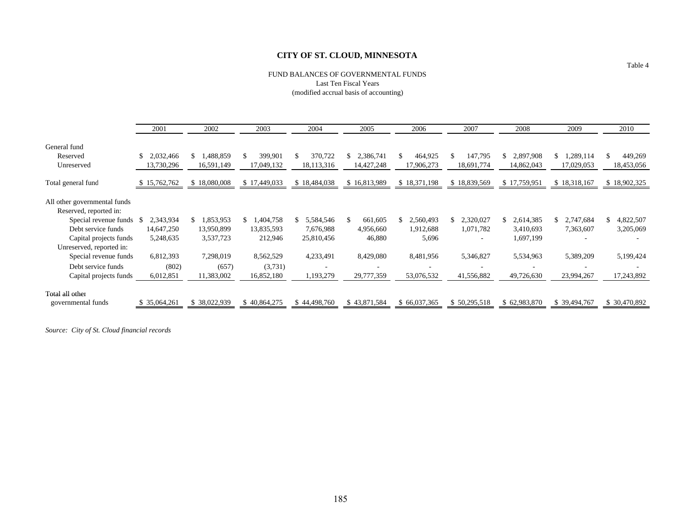#### FUND BALANCES OF GOVERNMENTAL FUNDS Last Ten Fiscal Years (modified accrual basis of accounting)

|                              | 2001              | 2002            | 2003         | 2004         | 2005            | 2006                     | 2007            | 2008         | 2009         | 2010            |
|------------------------------|-------------------|-----------------|--------------|--------------|-----------------|--------------------------|-----------------|--------------|--------------|-----------------|
| General fund                 |                   |                 |              |              |                 |                          |                 |              |              |                 |
| Reserved                     | 2.032.466         | 1,488,859<br>S. | 399,901      | 370,722      | 2,386,741<br>\$ | 464,925                  | 147,795         | 2,897,908    | .289,114     | 449,269<br>\$   |
| Unreserved                   | 13,730,296        | 16,591,149      | 17,049,132   | 18,113,316   | 14,427,248      | 17,906,273               | 18,691,774      | 14,862,043   | 17,029,053   | 18,453,056      |
| Total general fund           | 15,762,762<br>\$. | \$18,080,008    | \$17,449,033 | \$18,484,038 | \$16,813,989    | \$18,371,198             | \$18,839,569    | \$17,759,951 | \$18,318,167 | \$18,902,325    |
| All other governmental funds |                   |                 |              |              |                 |                          |                 |              |              |                 |
| Reserved, reported in:       |                   |                 |              |              |                 |                          |                 |              |              |                 |
| Special revenue funds \$     | 2,343,934         | 1,853,953<br>S. | 1,404,758    | 5,584,546    | 661,605         | 2,560,493                | 2,320,027<br>\$ | 2,614,385    | 2,747,684    | 4,822,507<br>\$ |
| Debt service funds           | 14,647,250        | 13,950,899      | 13,835,593   | 7,676,988    | 4,956,660       | 1,912,688                | 1,071,782       | 3,410,693    | 7,363,607    | 3,205,069       |
| Capital projects funds       | 5,248,635         | 3,537,723       | 212,946      | 25,810,456   | 46,880          | 5,696                    |                 | 1,697,199    |              |                 |
| Unreserved, reported in:     |                   |                 |              |              |                 |                          |                 |              |              |                 |
| Special revenue funds        | 6,812,393         | 7,298,019       | 8,562,529    | 4,233,491    | 8,429,080       | 8,481,956                | 5,346,827       | 5,534,963    | 5,389,209    | 5,199,424       |
| Debt service funds           | (802)             | (657)           | (3,731)      |              |                 | $\overline{\phantom{a}}$ |                 |              |              |                 |
| Capital projects funds       | 6,012,851         | 11,383,002      | 16,852,180   | 1,193,279    | 29,777,359      | 53,076,532               | 41,556,882      | 49,726,630   | 23,994,267   | 17,243,892      |
| Total all other              |                   |                 |              |              |                 |                          |                 |              |              |                 |
| governmental funds           | 35,064,261        | \$38,022,939    | \$40,864,275 | \$44,498,760 | \$43,871,584    | \$66,037,365             | \$50,295,518    | \$62,983,870 | \$39,494,767 | \$30,470,892    |

*Source: City of St. Cloud financial records*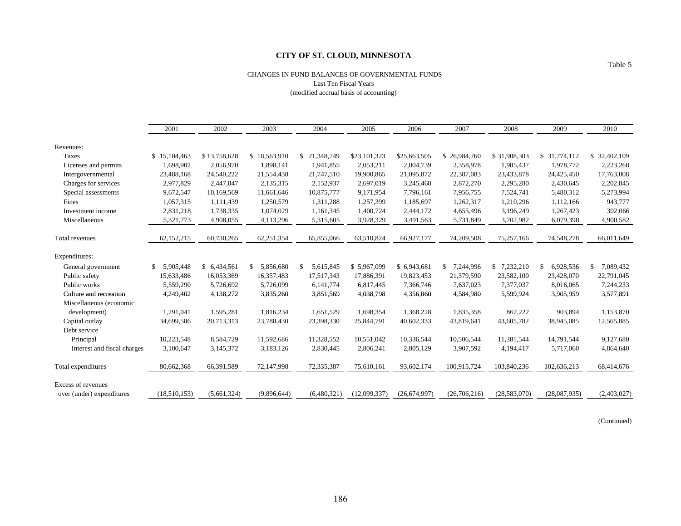#### CHANGES IN FUND BALANCES OF GOVERNMENTAL FUNDS Last Ten Fiscal Years (modified accrual basis of accounting)

|                             | 2001            | 2002         | 2003            | 2004             | 2005         | 2006           | 2007            | 2008         | 2009            | 2010            |
|-----------------------------|-----------------|--------------|-----------------|------------------|--------------|----------------|-----------------|--------------|-----------------|-----------------|
| Revenues:                   |                 |              |                 |                  |              |                |                 |              |                 |                 |
| Taxes                       | \$15,104,463    | \$13,758,628 | \$18,563,910    | \$21,348,749     | \$23,101,323 | \$25,663,505   | \$26,984,760    | \$31,908,303 | \$ 31,774,112   | \$ 32,402,109   |
| Licenses and permits        | 1.698.902       | 2,056,970    | 1,898,141       | 1,941,855        | 2,053,211    | 2,004,739      | 2,358,978       | 1.985.437    | 1.978.772       | 2,223,268       |
| Intergovernmental           | 23,488,168      | 24,540,222   | 21,554,438      | 21,747,510       | 19,900,865   | 21,095,872     | 22,387,083      | 23,433,878   | 24,425,450      | 17,763,008      |
| Charges for services        | 2,977,829       | 2,447,047    | 2,135,315       | 2,152,937        | 2,697,019    | 3,245,468      | 2,872,270       | 2,295,280    | 2,430,645       | 2,202,845       |
| Special assessments         | 9,672,547       | 10,169,569   | 11,661,646      | 10,875,777       | 9,171,954    | 7,796,161      | 7,956,755       | 7,524,741    | 5,480,312       | 5,273,994       |
| Fines                       | 1,057,315       | 1,111,439    | 1,250,579       | 1,311,288        | 1,257,399    | 1,185,697      | 1,262,317       | 1,210,296    | 1,112,166       | 943,777         |
| Investment income           | 2,831,218       | 1,738,335    | 1,074,029       | 1,161,345        | 1,400,724    | 2,444,172      | 4,655,496       | 3,196,249    | 1,267,423       | 302,066         |
| Miscellaneous               | 5,321,773       | 4,908,055    | 4,113,296       | 5,315,605        | 3,928,329    | 3,491,563      | 5,731,849       | 3,702,982    | 6,079,398       | 4,900,582       |
|                             |                 |              |                 |                  |              |                |                 |              |                 |                 |
| Total revenues              | 62,152,215      | 60,730,265   | 62,251,354      | 65,855,066       | 63,510,824   | 66,927,177     | 74,209,508      | 75,257,166   | 74,548,278      | 66,011,649      |
| Expenditures:               |                 |              |                 |                  |              |                |                 |              |                 |                 |
| General government          | 5,905,448<br>\$ | \$ 6,434,561 | 5,856,680<br>\$ | \$.<br>5,615,845 | \$5,967,099  | \$6,943,681    | 7,244,996<br>\$ | \$7,232,210  | 6,928,536<br>\$ | 7,089,432<br>\$ |
| Public safety               | 15,633,486      | 16,053,369   | 16,357,483      | 17,517,343       | 17,886,391   | 19,823,453     | 21,379,590      | 23,582,100   | 23,428,070      | 22,791,045      |
| Public works                | 5,559,290       | 5,726,692    | 5,726,099       | 6,141,774        | 6,817,445    | 7,366,746      | 7,637,023       | 7,377,037    | 8,016,065       | 7,244,233       |
| Culture and recreation      | 4,249,402       | 4,138,272    | 3,835,260       | 3,851,569        | 4,038,798    | 4,356,060      | 4,584,980       | 5,599,924    | 3,905,959       | 3,577,891       |
| Miscellaneous (economic     |                 |              |                 |                  |              |                |                 |              |                 |                 |
| development)                | 1,291,041       | 1,595,281    | 1,816,234       | 1,651,529        | 1,698,354    | 1,368,228      | 1,835,358       | 867,222      | 903,894         | 1,153,870       |
| Capital outlay              | 34,699,506      | 20,713,313   | 23,780,430      | 23,398,330       | 25,844,791   | 40,602,333     | 43,819,641      | 43,605,782   | 38,945,085      | 12,565,885      |
| Debt service                |                 |              |                 |                  |              |                |                 |              |                 |                 |
| Principal                   | 10,223,548      | 8,584,729    | 11,592,686      | 11,328,552       | 10,551,042   | 10,336,544     | 10,506,544      | 11,381,544   | 14,791,544      | 9,127,680       |
| Interest and fiscal charges | 3,100,647       | 3,145,372    | 3,183,126       | 2,830,445        | 2,806,241    | 2,805,129      | 3,907,592       | 4,194,417    | 5,717,060       | 4,864,640       |
| Total expenditures          | 80,662,368      | 66,391,589   | 72,147,998      | 72,335,387       | 75,610,161   | 93,602,174     | 100,915,724     | 103,840,236  | 102,636,213     | 68,414,676      |
| <b>Excess of revenues</b>   |                 |              |                 |                  |              |                |                 |              |                 |                 |
| over (under) expenditures   | (18,510,153)    | (5,661,324)  | (9,896,644)     | (6,480,321)      | (12,099,337) | (26, 674, 997) | (26,706,216)    | (28,583,070) | (28,087,935)    | (2,403,027)     |

(Continued)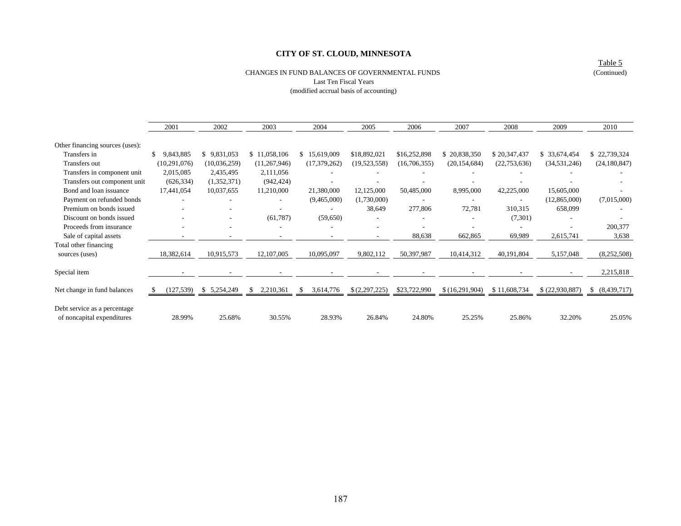#### CHANGES IN FUND BALANCES OF GOVERNMENTAL FUNDS

Table 5 (Continued)

### Last Ten Fiscal Years (modified accrual basis of accounting)

|                                                            | 2001           | 2002                     | 2003           | 2004             | 2005                     | 2006         | 2007           | 2008           | 2009            | 2010           |
|------------------------------------------------------------|----------------|--------------------------|----------------|------------------|--------------------------|--------------|----------------|----------------|-----------------|----------------|
| Other financing sources (uses):                            |                |                          |                |                  |                          |              |                |                |                 |                |
| Transfers in                                               | 9,843,885      | \$9,831,053              | \$11,058,106   | 15,619,009<br>S. | \$18,892,021             | \$16,252,898 | \$20,838,350   | \$20,347,437   | \$ 33,674,454   | \$22,739,324   |
| Transfers out                                              | (10, 291, 076) | (10,036,259)             | (11,267,946)   | (17, 379, 262)   | (19,523,558)             | (16,706,355) | (20, 154, 684) | (22, 753, 636) | (34, 531, 246)  | (24, 180, 847) |
| Transfers in component unit                                | 2,015,085      | 2,435,495                | 2,111,056      |                  |                          |              |                |                |                 |                |
| Transfers out component unit                               | (626, 334)     | (1,352,371)              | (942, 424)     |                  |                          |              |                |                |                 |                |
| Bond and loan issuance                                     | 17,441,054     | 10,037,655               | 11,210,000     | 21,380,000       | 12,125,000               | 50,485,000   | 8,995,000      | 42,225,000     | 15,605,000      |                |
| Payment on refunded bonds                                  |                |                          |                | (9,465,000)      | (1,730,000)              |              |                |                | (12,865,000)    | (7,015,000)    |
| Premium on bonds issued                                    |                |                          |                |                  | 38,649                   | 277,806      | 72,781         | 310,315        | 658,099         |                |
| Discount on bonds issued                                   |                | ٠                        | (61,787)       | (59,650)         |                          |              |                | (7,301)        |                 |                |
| Proceeds from insurance                                    |                |                          |                |                  |                          |              |                |                |                 | 200,377        |
| Sale of capital assets                                     |                |                          |                |                  | $\overline{\phantom{a}}$ | 88,638       | 662,865        | 69,989         | 2,615,741       | 3,638          |
| Total other financing                                      |                |                          |                |                  |                          |              |                |                |                 |                |
| sources (uses)                                             | 18,382,614     | 10,915,573               | 12,107,005     | 10,095,097       | 9,802,112                | 50,397,987   | 10,414,312     | 40,191,804     | 5,157,048       | (8,252,508)    |
| Special item                                               |                | $\overline{\phantom{a}}$ |                |                  |                          |              |                |                |                 | 2,215,818      |
| Net change in fund balances                                | (127, 539)     | \$5,254,249              | 2,210,361<br>S | 3,614,776<br>S   | \$(2,297,225)            | \$23,722,990 | \$(16,291,904) | \$11,608,734   | \$ (22,930,887) | \$ (8,439,717) |
| Debt service as a percentage<br>of noncapital expenditures | 28.99%         | 25.68%                   | 30.55%         | 28.93%           | 26.84%                   | 24.80%       | 25.25%         | 25.86%         | 32.20%          | 25.05%         |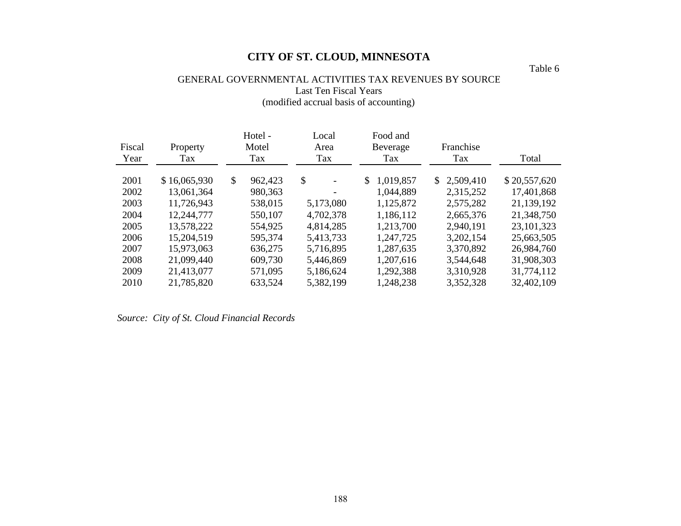Table 6

# GENERAL GOVERNMENTAL ACTIVITIES TAX REVENUES BY SOURCE Last Ten Fiscal Years (modified accrual basis of accounting)

| Fiscal | Property     | Hotel -<br>Motel        | Local<br>Area | Food and<br>Beverage | Franchise   |              |
|--------|--------------|-------------------------|---------------|----------------------|-------------|--------------|
| Year   | Tax          | Tax                     | Tax           | Tax                  | Tax         | Total        |
| 2001   | \$16,065,930 | $\mathbb{S}$<br>962,423 | \$            | 1,019,857<br>S.      | \$2,509,410 | \$20,557,620 |
| 2002   | 13,061,364   | 980,363                 |               | 1,044,889            | 2,315,252   | 17,401,868   |
| 2003   | 11,726,943   | 538,015                 | 5,173,080     | 1,125,872            | 2,575,282   | 21,139,192   |
| 2004   | 12,244,777   | 550,107                 | 4,702,378     | 1,186,112            | 2,665,376   | 21,348,750   |
| 2005   | 13,578,222   | 554,925                 | 4,814,285     | 1,213,700            | 2,940,191   | 23, 101, 323 |
| 2006   | 15,204,519   | 595,374                 | 5,413,733     | 1,247,725            | 3,202,154   | 25,663,505   |
| 2007   | 15,973,063   | 636,275                 | 5,716,895     | 1,287,635            | 3,370,892   | 26,984,760   |
| 2008   | 21,099,440   | 609,730                 | 5,446,869     | 1,207,616            | 3,544,648   | 31,908,303   |
| 2009   | 21,413,077   | 571,095                 | 5,186,624     | 1,292,388            | 3,310,928   | 31,774,112   |
| 2010   | 21,785,820   | 633,524                 | 5,382,199     | 1,248,238            | 3,352,328   | 32,402,109   |

*Source: City of St. Cloud Financial Records*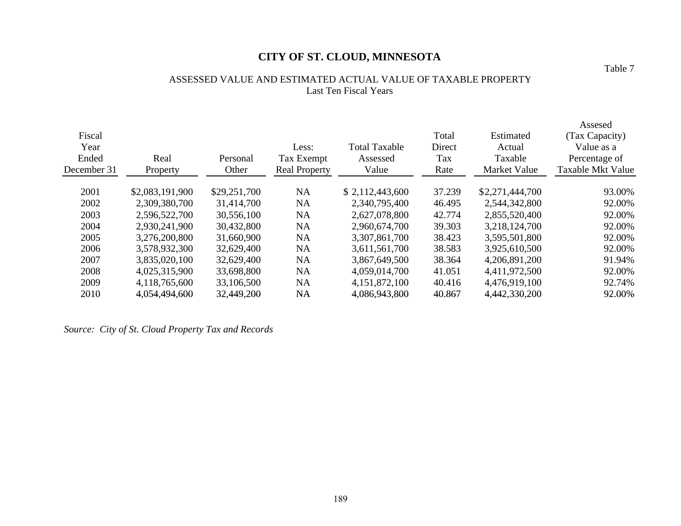### ASSESSED VALUE AND ESTIMATED ACTUAL VALUE OF TAXABLE PROPERTY Last Ten Fiscal Years

| Fiscal<br>Year<br>Ended<br>December 31 | Real<br>Property | Personal<br>Other | Less:<br>Tax Exempt<br><b>Real Property</b> | <b>Total Taxable</b><br>Assessed<br>Value | Total<br>Direct<br>Tax<br>Rate | Estimated<br>Actual<br>Taxable<br>Market Value | Assesed<br>(Tax Capacity)<br>Value as a<br>Percentage of<br><b>Taxable Mkt Value</b> |
|----------------------------------------|------------------|-------------------|---------------------------------------------|-------------------------------------------|--------------------------------|------------------------------------------------|--------------------------------------------------------------------------------------|
| 2001                                   | \$2,083,191,900  | \$29,251,700      | <b>NA</b>                                   | \$2,112,443,600                           | 37.239                         | \$2,271,444,700                                | 93.00%                                                                               |
| 2002                                   | 2,309,380,700    | 31,414,700        | <b>NA</b>                                   | 2,340,795,400                             | 46.495                         | 2,544,342,800                                  | 92.00%                                                                               |
| 2003                                   | 2,596,522,700    | 30,556,100        | <b>NA</b>                                   | 2,627,078,800                             | 42.774                         | 2,855,520,400                                  | 92.00%                                                                               |
| 2004                                   | 2,930,241,900    | 30,432,800        | <b>NA</b>                                   | 2,960,674,700                             | 39.303                         | 3,218,124,700                                  | 92.00%                                                                               |
| 2005                                   | 3,276,200,800    | 31,660,900        | NA                                          | 3,307,861,700                             | 38.423                         | 3,595,501,800                                  | 92.00%                                                                               |
| 2006                                   | 3,578,932,300    | 32,629,400        | <b>NA</b>                                   | 3,611,561,700                             | 38.583                         | 3,925,610,500                                  | 92.00%                                                                               |
| 2007                                   | 3,835,020,100    | 32,629,400        | <b>NA</b>                                   | 3,867,649,500                             | 38.364                         | 4,206,891,200                                  | 91.94%                                                                               |
| 2008                                   | 4,025,315,900    | 33,698,800        | NA                                          | 4,059,014,700                             | 41.051                         | 4,411,972,500                                  | 92.00%                                                                               |
| 2009                                   | 4,118,765,600    | 33,106,500        | <b>NA</b>                                   | 4,151,872,100                             | 40.416                         | 4,476,919,100                                  | 92.74%                                                                               |
| 2010                                   | 4,054,494,600    | 32,449,200        | NA                                          | 4,086,943,800                             | 40.867                         | 4,442,330,200                                  | 92.00%                                                                               |

*Source: City of St. Cloud Property Tax and Records*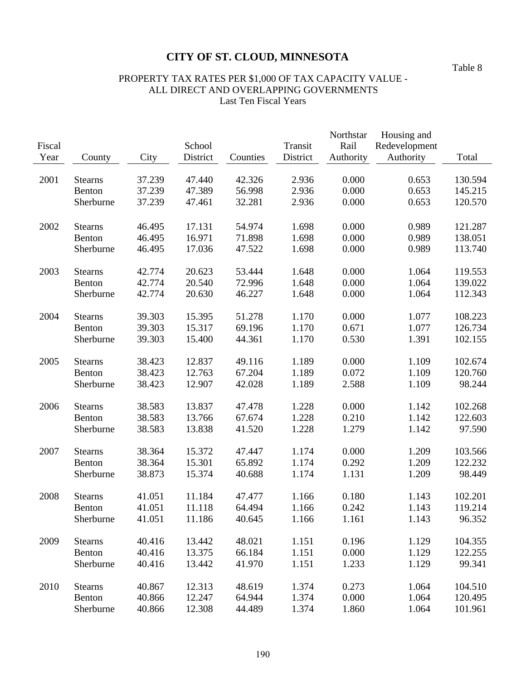Table 8

# PROPERTY TAX RATES PER \$1,000 OF TAX CAPACITY VALUE - ALL DIRECT AND OVERLAPPING GOVERNMENTS Last Ten Fiscal Years

| Fiscal |                |        | School   |          | Transit  | Northstar<br>Rail | Housing and<br>Redevelopment |         |
|--------|----------------|--------|----------|----------|----------|-------------------|------------------------------|---------|
| Year   | County         | City   | District | Counties | District | Authority         | Authority                    | Total   |
|        |                |        |          |          |          |                   |                              |         |
| 2001   | <b>Stearns</b> | 37.239 | 47.440   | 42.326   | 2.936    | 0.000             | 0.653                        | 130.594 |
|        | Benton         | 37.239 | 47.389   | 56.998   | 2.936    | 0.000             | 0.653                        | 145.215 |
|        | Sherburne      | 37.239 | 47.461   | 32.281   | 2.936    | 0.000             | 0.653                        | 120.570 |
|        |                |        |          |          |          |                   |                              |         |
| 2002   | <b>Stearns</b> | 46.495 | 17.131   | 54.974   | 1.698    | 0.000             | 0.989                        | 121.287 |
|        | Benton         | 46.495 | 16.971   | 71.898   | 1.698    | 0.000             | 0.989                        | 138.051 |
|        | Sherburne      | 46.495 | 17.036   | 47.522   | 1.698    | 0.000             | 0.989                        | 113.740 |
|        |                |        |          |          |          |                   |                              |         |
| 2003   | <b>Stearns</b> | 42.774 | 20.623   | 53.444   | 1.648    | 0.000             | 1.064                        | 119.553 |
|        | Benton         | 42.774 | 20.540   | 72.996   | 1.648    | 0.000             | 1.064                        | 139.022 |
|        | Sherburne      | 42.774 | 20.630   | 46.227   | 1.648    | 0.000             | 1.064                        | 112.343 |
| 2004   | <b>Stearns</b> | 39.303 | 15.395   | 51.278   | 1.170    | 0.000             | 1.077                        | 108.223 |
|        | Benton         | 39.303 | 15.317   | 69.196   | 1.170    | 0.671             | 1.077                        | 126.734 |
|        | Sherburne      | 39.303 | 15.400   | 44.361   | 1.170    | 0.530             | 1.391                        | 102.155 |
|        |                |        |          |          |          |                   |                              |         |
| 2005   | <b>Stearns</b> | 38.423 | 12.837   | 49.116   | 1.189    | 0.000             | 1.109                        | 102.674 |
|        | Benton         | 38.423 | 12.763   | 67.204   | 1.189    | 0.072             | 1.109                        | 120.760 |
|        | Sherburne      | 38.423 | 12.907   | 42.028   | 1.189    | 2.588             | 1.109                        | 98.244  |
| 2006   | <b>Stearns</b> | 38.583 | 13.837   | 47.478   | 1.228    | 0.000             | 1.142                        | 102.268 |
|        | Benton         | 38.583 | 13.766   | 67.674   | 1.228    | 0.210             | 1.142                        | 122.603 |
|        | Sherburne      | 38.583 | 13.838   | 41.520   | 1.228    | 1.279             | 1.142                        | 97.590  |
|        |                |        |          |          |          |                   |                              |         |
| 2007   | <b>Stearns</b> | 38.364 | 15.372   | 47.447   | 1.174    | 0.000             | 1.209                        | 103.566 |
|        | Benton         | 38.364 | 15.301   | 65.892   | 1.174    | 0.292             | 1.209                        | 122.232 |
|        | Sherburne      | 38.873 | 15.374   | 40.688   | 1.174    | 1.131             | 1.209                        | 98.449  |
|        |                |        |          |          |          |                   |                              |         |
| 2008   | <b>Stearns</b> | 41.051 | 11.184   | 47.477   | 1.166    | 0.180             | 1.143                        | 102.201 |
|        | Benton         | 41.051 | 11.118   | 64.494   | 1.166    | 0.242             | 1.143                        | 119.214 |
|        | Sherburne      | 41.051 | 11.186   | 40.645   | 1.166    | 1.161             | 1.143                        | 96.352  |
| 2009   | <b>Stearns</b> | 40.416 | 13.442   | 48.021   | 1.151    | 0.196             | 1.129                        | 104.355 |
|        | Benton         | 40.416 | 13.375   | 66.184   | 1.151    | 0.000             | 1.129                        | 122.255 |
|        | Sherburne      | 40.416 | 13.442   | 41.970   | 1.151    | 1.233             | 1.129                        | 99.341  |
|        |                |        |          |          |          |                   |                              |         |
| 2010   | <b>Stearns</b> | 40.867 | 12.313   | 48.619   | 1.374    | 0.273             | 1.064                        | 104.510 |
|        | Benton         | 40.866 | 12.247   | 64.944   | 1.374    | 0.000             | 1.064                        | 120.495 |
|        | Sherburne      | 40.866 | 12.308   | 44.489   | 1.374    | 1.860             | 1.064                        | 101.961 |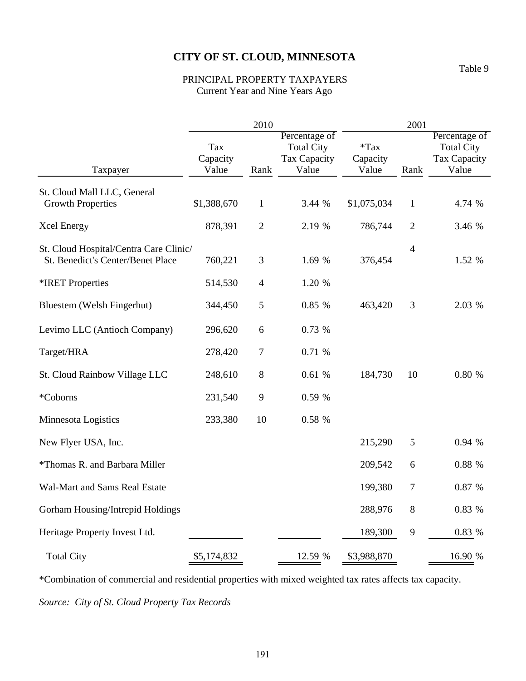PRINCIPAL PROPERTY TAXPAYERS Current Year and Nine Years Ago

|                                        |                          | 2010           |                                                                    | 2001                         |                |                                                             |  |
|----------------------------------------|--------------------------|----------------|--------------------------------------------------------------------|------------------------------|----------------|-------------------------------------------------------------|--|
| Taxpayer                               | Tax<br>Capacity<br>Value | Rank           | Percentage of<br><b>Total City</b><br><b>Tax Capacity</b><br>Value | $*$ Tax<br>Capacity<br>Value | Rank           | Percentage of<br><b>Total City</b><br>Tax Capacity<br>Value |  |
| St. Cloud Mall LLC, General            |                          |                |                                                                    |                              |                |                                                             |  |
| <b>Growth Properties</b>               | \$1,388,670              | $\mathbf{1}$   | 3.44 %                                                             | \$1,075,034                  | $\mathbf{1}$   | 4.74 %                                                      |  |
| <b>Xcel Energy</b>                     | 878,391                  | $\mathbf{2}$   | 2.19 %                                                             | 786,744                      | $\overline{2}$ | 3.46 %                                                      |  |
| St. Cloud Hospital/Centra Care Clinic/ |                          |                |                                                                    |                              | $\overline{4}$ |                                                             |  |
| St. Benedict's Center/Benet Place      | 760,221                  | 3              | 1.69 %                                                             | 376,454                      |                | 1.52 %                                                      |  |
| *IRET Properties                       | 514,530                  | $\overline{4}$ | 1.20 %                                                             |                              |                |                                                             |  |
| Bluestem (Welsh Fingerhut)             | 344,450                  | 5              | 0.85 %                                                             | 463,420                      | 3              | 2.03 %                                                      |  |
| Levimo LLC (Antioch Company)           | 296,620                  | 6              | 0.73 %                                                             |                              |                |                                                             |  |
| Target/HRA                             | 278,420                  | $\tau$         | 0.71 %                                                             |                              |                |                                                             |  |
| St. Cloud Rainbow Village LLC          | 248,610                  | 8              | 0.61%                                                              | 184,730                      | 10             | 0.80 %                                                      |  |
| *Coborns                               | 231,540                  | 9              | 0.59 %                                                             |                              |                |                                                             |  |
| Minnesota Logistics                    | 233,380                  | 10             | 0.58 %                                                             |                              |                |                                                             |  |
| New Flyer USA, Inc.                    |                          |                |                                                                    | 215,290                      | 5              | 0.94 %                                                      |  |
| *Thomas R. and Barbara Miller          |                          |                |                                                                    | 209,542                      | 6              | 0.88%                                                       |  |
| Wal-Mart and Sams Real Estate          |                          |                |                                                                    | 199,380                      | 7              | 0.87 %                                                      |  |
| Gorham Housing/Intrepid Holdings       |                          |                |                                                                    | 288,976                      | 8              | 0.83 %                                                      |  |
| Heritage Property Invest Ltd.          |                          |                |                                                                    | 189,300                      | 9              | 0.83 %                                                      |  |
| <b>Total City</b>                      | \$5,174,832              |                | 12.59 %                                                            | \$3,988,870                  |                | 16.90 %                                                     |  |

\*Combination of commercial and residential properties with mixed weighted tax rates affects tax capacity. *Source: City of St. Cloud Property Tax Records*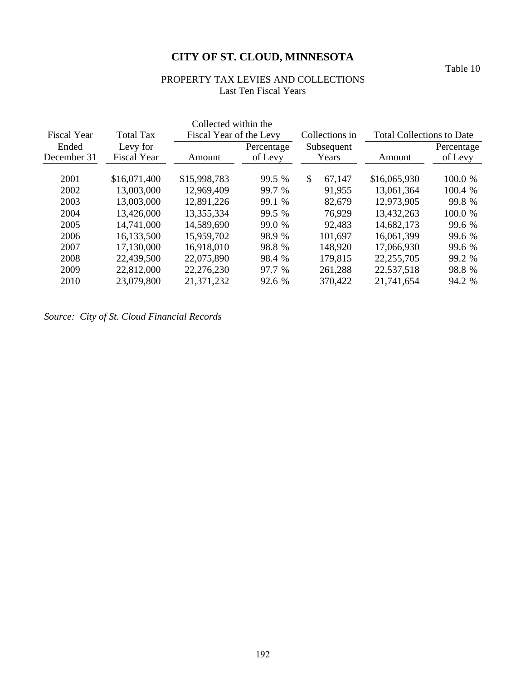PROPERTY TAX LEVIES AND COLLECTIONS Last Ten Fiscal Years

| <b>Fiscal Year</b>   | <b>Total Tax</b>               | Collected within the<br>Fiscal Year of the Levy |                       | Collections in          | <b>Total Collections to Date</b> |                       |  |
|----------------------|--------------------------------|-------------------------------------------------|-----------------------|-------------------------|----------------------------------|-----------------------|--|
| Ended<br>December 31 | Levy for<br><b>Fiscal Year</b> | Amount                                          | Percentage<br>of Levy | Subsequent<br>Years     | Amount                           | Percentage<br>of Levy |  |
| 2001                 | \$16,071,400                   | \$15,998,783                                    | 99.5 %                | $\mathcal{S}$<br>67,147 | \$16,065,930                     | 100.0 %               |  |
| 2002                 | 13,003,000                     | 12,969,409                                      | 99.7 %                | 91,955                  | 13,061,364                       | 100.4 %               |  |
| 2003                 | 13,003,000                     | 12,891,226                                      | 99.1 %                | 82,679                  | 12,973,905                       | 99.8 %                |  |
| 2004                 | 13,426,000                     | 13,355,334                                      | 99.5 %                | 76,929                  | 13,432,263                       | 100.0 %               |  |
| 2005                 | 14,741,000                     | 14,589,690                                      | 99.0 %                | 92,483                  | 14,682,173                       | 99.6 %                |  |
| 2006                 | 16,133,500                     | 15,959,702                                      | 98.9 %                | 101,697                 | 16,061,399                       | 99.6 %                |  |
| 2007                 | 17,130,000                     | 16,918,010                                      | 98.8 %                | 148,920                 | 17,066,930                       | 99.6 %                |  |
| 2008                 | 22,439,500                     | 22,075,890                                      | 98.4 %                | 179,815                 | 22, 255, 705                     | 99.2 %                |  |
| 2009                 | 22,812,000                     | 22,276,230                                      | 97.7 %                | 261,288                 | 22,537,518                       | 98.8 %                |  |
| 2010                 | 23,079,800                     | 21,371,232                                      | 92.6 %                | 370,422                 | 21,741,654                       | 94.2 %                |  |

*Source: City of St. Cloud Financial Records*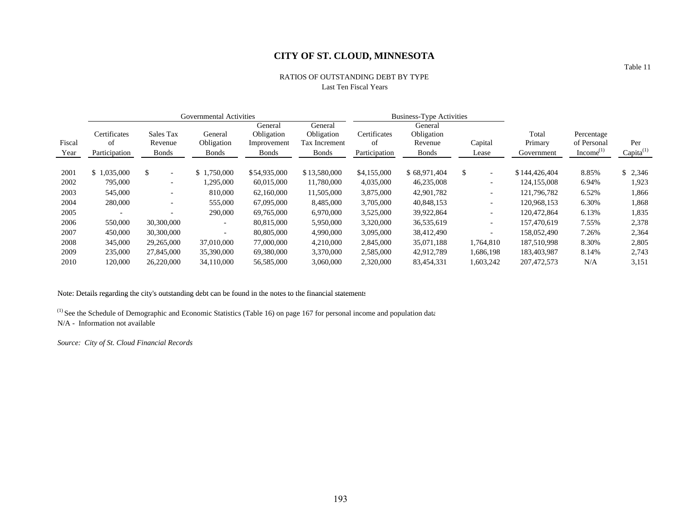#### RATIOS OF OUTSTANDING DEBT BY TYPE Last Ten Fiscal Years

|                          |                                |                            |                            |                                                               | <b>Business-Type Activities</b> |                                |                          |                  |                       |                                      |
|--------------------------|--------------------------------|----------------------------|----------------------------|---------------------------------------------------------------|---------------------------------|--------------------------------|--------------------------|------------------|-----------------------|--------------------------------------|
| Certificates             | Sales Tax                      | General                    | General<br>Obligation      | General<br>Obligation                                         | Certificates                    | General<br>Obligation          |                          | Total            | Percentage            |                                      |
|                          |                                |                            |                            |                                                               |                                 |                                |                          |                  |                       | Per                                  |
|                          |                                |                            |                            |                                                               |                                 |                                |                          |                  |                       | Capita <sup>(1)</sup>                |
| \$1,035,000              | \$<br>$\overline{\phantom{a}}$ | 1.750.000<br>$\frac{1}{2}$ | \$54,935,000               | \$13,580,000                                                  | \$4,155,000                     | \$68,971,404                   | \$<br>$\overline{a}$     | \$144,426,404    | 8.85%                 | \$2,346                              |
| 795,000                  | $\overline{\phantom{a}}$       | ,295,000                   | 60,015,000                 | 11,780,000                                                    | 4,035,000                       | 46,235,008                     |                          | 124, 155, 008    | 6.94%                 | 1,923                                |
| 545,000                  | $\overline{\phantom{a}}$       | 810,000                    | 62,160,000                 | 11,505,000                                                    | 3,875,000                       | 42,901,782                     | $\overline{\phantom{0}}$ | 121,796,782      | 6.52%                 | 1,866                                |
| 280,000                  | $\overline{\phantom{a}}$       | 555,000                    | 67,095,000                 | 8,485,000                                                     | 3,705,000                       | 40,848,153                     |                          | 120.968.153      | 6.30%                 | 1,868                                |
| $\overline{\phantom{0}}$ | $\overline{\phantom{a}}$       | 290,000                    | 69,765,000                 | 6,970,000                                                     | 3,525,000                       | 39,922,864                     | $\overline{\phantom{0}}$ | 120,472,864      | 6.13%                 | 1,835                                |
| 550,000                  | 30,300,000                     |                            | 80,815,000                 | 5,950,000                                                     | 3,320,000                       | 36,535,619                     | $\overline{\phantom{a}}$ | 157,470,619      | 7.55%                 | 2,378                                |
| 450,000                  | 30,300,000                     |                            | 80,805,000                 | 4,990,000                                                     | 3,095,000                       | 38,412,490                     |                          | 158,052,490      | 7.26%                 | 2,364                                |
| 345,000                  | 29,265,000                     | 37,010,000                 | 77,000,000                 | 4.210.000                                                     | 2,845,000                       | 35,071,188                     | 1.764.810                | 187.510.998      | 8.30%                 | 2,805                                |
| 235,000                  | 27,845,000                     | 35,390,000                 | 69,380,000                 | 3,370,000                                                     | 2,585,000                       | 42,912,789                     | 1,686,198                | 183,403,987      | 8.14%                 | 2,743                                |
| 120,000                  | 26,220,000                     | 34,110,000                 | 56,585,000                 | 3,060,000                                                     | 2,320,000                       | 83,454,331                     | 1,603,242                | 207.472.573      | N/A                   | 3,151                                |
|                          | of<br>Participation            | Revenue<br><b>Bonds</b>    | Obligation<br><b>Bonds</b> | <b>Governmental Activities</b><br>Improvement<br><b>Bonds</b> | <b>Tax Increment</b><br>Bonds   | <sup>of</sup><br>Participation | Revenue<br><b>Bonds</b>  | Capital<br>Lease | Primary<br>Government | of Personal<br>Income <sup>(1)</sup> |

### Note: Details regarding the city's outstanding debt can be found in the notes to the financial statements

(1) See the Schedule of Demographic and Economic Statistics (Table 16) on page 167 for personal income and population data N/A - Information not available

*Source: City of St. Cloud Financial Records*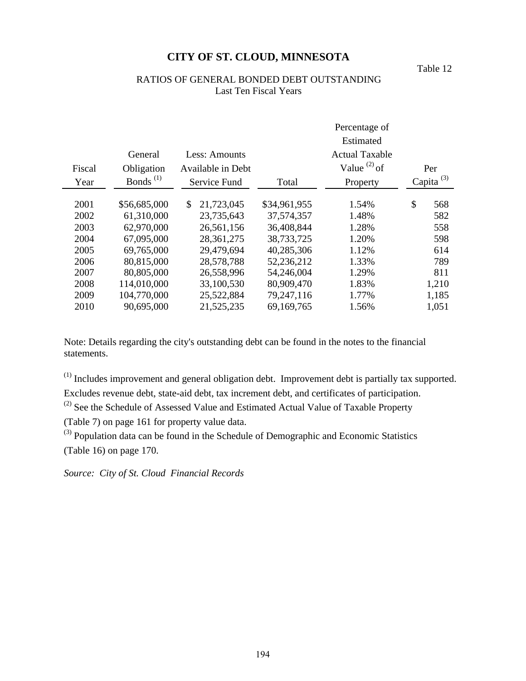Table 12

# RATIOS OF GENERAL BONDED DEBT OUTSTANDING Last Ten Fiscal Years

|        |                      |                          | Percentage of |                       |    |                 |  |  |
|--------|----------------------|--------------------------|---------------|-----------------------|----|-----------------|--|--|
|        |                      |                          |               | Estimated             |    |                 |  |  |
|        | General              | Less: Amounts            |               | <b>Actual Taxable</b> |    |                 |  |  |
| Fiscal | Obligation           | <b>Available in Debt</b> |               | Value $^{(2)}$ of     |    | Per             |  |  |
| Year   | Bonds <sup>(1)</sup> | Service Fund             | Total         | Property              |    | Capita $^{(3)}$ |  |  |
| 2001   | \$56,685,000         | \$<br>21,723,045         | \$34,961,955  | 1.54%                 | \$ | 568             |  |  |
| 2002   | 61,310,000           | 23,735,643               | 37,574,357    | 1.48%                 |    | 582             |  |  |
| 2003   | 62,970,000           | 26,561,156               | 36,408,844    | 1.28%                 |    | 558             |  |  |
| 2004   | 67,095,000           | 28, 361, 275             | 38,733,725    | 1.20%                 |    | 598             |  |  |
| 2005   | 69,765,000           | 29,479,694               | 40,285,306    | 1.12%                 |    | 614             |  |  |
| 2006   | 80,815,000           | 28,578,788               | 52,236,212    | 1.33%                 |    | 789             |  |  |
| 2007   | 80,805,000           | 26,558,996               | 54,246,004    | 1.29%                 |    | 811             |  |  |
| 2008   | 114,010,000          | 33,100,530               | 80,909,470    | 1.83%                 |    | 1,210           |  |  |
| 2009   | 104,770,000          | 25,522,884               | 79,247,116    | 1.77%                 |    | 1,185           |  |  |
| 2010   | 90,695,000           | 21,525,235               | 69,169,765    | 1.56%                 |    | 1,051           |  |  |

Note: Details regarding the city's outstanding debt can be found in the notes to the financial statements.

(1) Includes improvement and general obligation debt. Improvement debt is partially tax supported. Excludes revenue debt, state-aid debt, tax increment debt, and certificates of participation.

<sup>(2)</sup> See the Schedule of Assessed Value and Estimated Actual Value of Taxable Property

(Table 7) on page 161 for property value data.

(3) Population data can be found in the Schedule of Demographic and Economic Statistics (Table 16) on page 170.

*Source: City of St. Cloud Financial Records*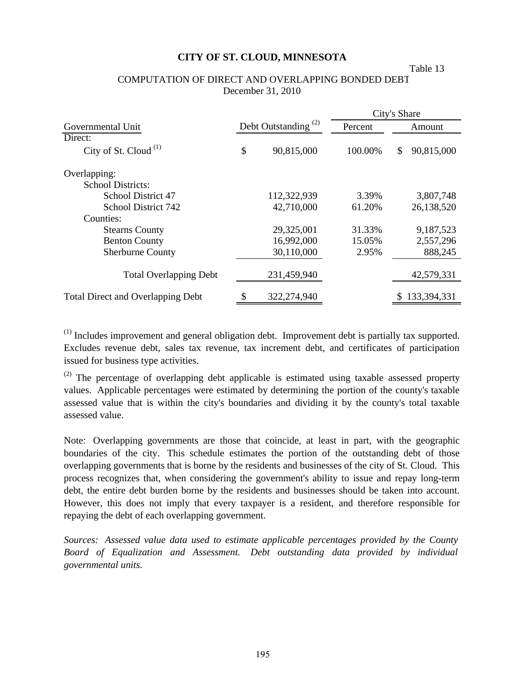#### Table 13

### COMPUTATION OF DIRECT AND OVERLAPPING BONDED DEBT December 31, 2010

|                                          |    |                                 | City's Share |        |             |  |
|------------------------------------------|----|---------------------------------|--------------|--------|-------------|--|
| Governmental Unit                        |    | Debt Outstanding <sup>(2)</sup> | Percent      | Amount |             |  |
| Direct:                                  |    |                                 |              |        |             |  |
| City of St. Cloud <sup>(1)</sup>         | \$ | 90,815,000                      | 100.00%      | \$.    | 90,815,000  |  |
| Overlapping:                             |    |                                 |              |        |             |  |
| <b>School Districts:</b>                 |    |                                 |              |        |             |  |
| School District 47                       |    | 112,322,939                     | 3.39%        |        | 3,807,748   |  |
| School District 742                      |    | 42,710,000                      | 61.20%       |        | 26,138,520  |  |
| Counties:                                |    |                                 |              |        |             |  |
| <b>Stearns County</b>                    |    | 29,325,001                      | 31.33%       |        | 9,187,523   |  |
| <b>Benton County</b>                     |    | 16,992,000                      | 15.05%       |        | 2,557,296   |  |
| <b>Sherburne County</b>                  |    | 30,110,000                      | 2.95%        |        | 888,245     |  |
| <b>Total Overlapping Debt</b>            |    | 231,459,940                     |              |        | 42,579,331  |  |
| <b>Total Direct and Overlapping Debt</b> | S  | 322,274,940                     |              |        | 133,394,331 |  |

(1) Includes improvement and general obligation debt. Improvement debt is partially tax supported. Excludes revenue debt, sales tax revenue, tax increment debt, and certificates of participation issued for business type activities.

 $(2)$  The percentage of overlapping debt applicable is estimated using taxable assessed property values. Applicable percentages were estimated by determining the portion of the county's taxable assessed value that is within the city's boundaries and dividing it by the county's total taxable assessed value.

Note: Overlapping governments are those that coincide, at least in part, with the geographic boundaries of the city. This schedule estimates the portion of the outstanding debt of those overlapping governments that is borne by the residents and businesses of the city of St. Cloud. This process recognizes that, when considering the government's ability to issue and repay long-term debt, the entire debt burden borne by the residents and businesses should be taken into account. However, this does not imply that every taxpayer is a resident, and therefore responsible for repaying the debt of each overlapping government.

*Sources: Assessed value data used to estimate applicable percentages provided by the County Board of Equalization and Assessment. Debt outstanding data provided by individual governmental units.*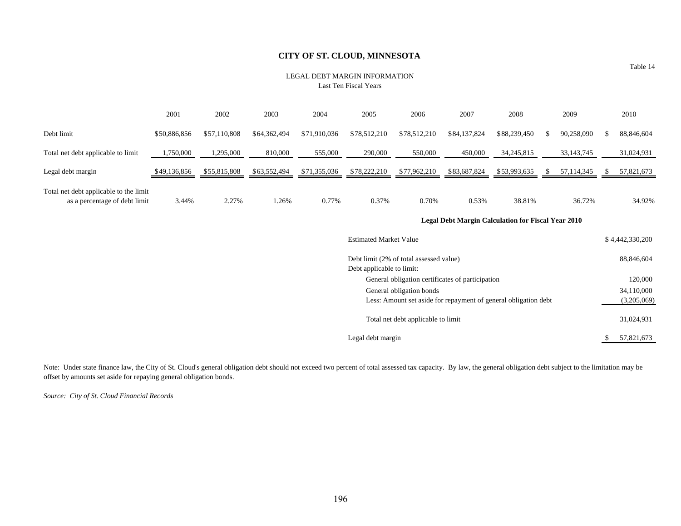#### LEGAL DEBT MARGIN INFORMATIONLast Ten Fiscal Years

|                                                                         | 2001                                                      | 2002         | 2003         | 2004         | 2005                          | 2006                                                            | 2007         | 2008         |    | 2009         |     | 2010            |
|-------------------------------------------------------------------------|-----------------------------------------------------------|--------------|--------------|--------------|-------------------------------|-----------------------------------------------------------------|--------------|--------------|----|--------------|-----|-----------------|
| Debt limit                                                              | \$50,886,856                                              | \$57,110,808 | \$64,362,494 | \$71,910,036 | \$78,512,210                  | \$78,512,210                                                    | \$84,137,824 | \$88,239,450 | -S | 90,258,090   | S.  | 88,846,604      |
| Total net debt applicable to limit                                      | 1,750,000                                                 | 1,295,000    | 810,000      | 555,000      | 290,000                       | 550,000                                                         | 450,000      | 34, 245, 815 |    | 33, 143, 745 |     | 31,024,931      |
| Legal debt margin                                                       | \$49,136,856                                              | \$55,815,808 | \$63,552,494 | \$71,355,036 | \$78,222,210                  | \$77,962,210                                                    | \$83,687,824 | \$53,993,635 | -S | 57,114,345   |     | 57,821,673      |
| Total net debt applicable to the limit<br>as a percentage of debt limit | 3.44%                                                     | 2.27%        | 1.26%        | 0.77%        | 0.37%                         | 0.70%                                                           | 0.53%        | 38.81%       |    | 36.72%       |     | 34.92%          |
|                                                                         | <b>Legal Debt Margin Calculation for Fiscal Year 2010</b> |              |              |              |                               |                                                                 |              |              |    |              |     |                 |
|                                                                         |                                                           |              |              |              | <b>Estimated Market Value</b> |                                                                 |              |              |    |              |     | \$4,442,330,200 |
|                                                                         |                                                           |              |              |              | Debt applicable to limit:     | Debt limit (2% of total assessed value)                         |              |              |    |              |     | 88,846,604      |
|                                                                         |                                                           |              |              |              |                               | General obligation certificates of participation                |              |              |    |              |     | 120,000         |
|                                                                         |                                                           |              |              |              |                               | General obligation bonds                                        |              |              |    |              |     | 34,110,000      |
|                                                                         |                                                           |              |              |              |                               | Less: Amount set aside for repayment of general obligation debt |              |              |    |              |     | (3,205,069)     |
|                                                                         |                                                           |              |              |              |                               | Total net debt applicable to limit                              |              |              |    |              |     | 31,024,931      |
|                                                                         | Legal debt margin                                         |              |              |              |                               |                                                                 |              |              |    |              | \$. | 57,821,673      |

Note: Under state finance law, the City of St. Cloud's general obligation debt should not exceed two percent of total assessed tax capacity. By law, the general obligation debt subject to the limitation may be offset by amounts set aside for repaying general obligation bonds.

*Source: City of St. Cloud Financial Records*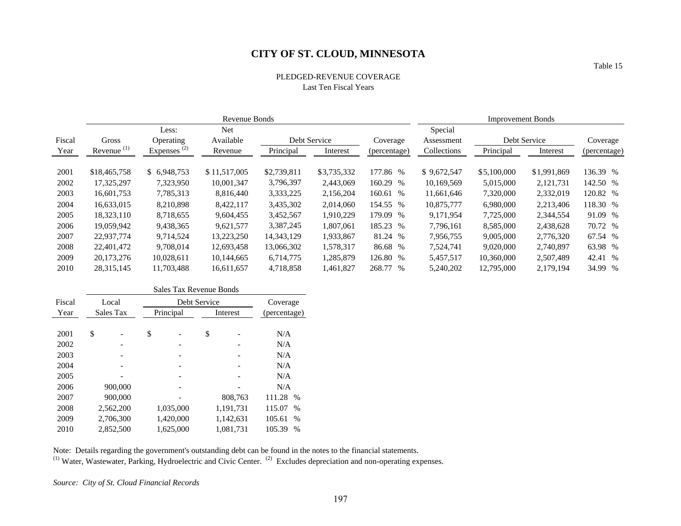# PLEDGED-REVENUE COVERAGELast Ten Fiscal Years

|        |               |                    | Revenue Bonds           | <b>Improvement Bonds</b> |              |              |                       |             |              |              |
|--------|---------------|--------------------|-------------------------|--------------------------|--------------|--------------|-----------------------|-------------|--------------|--------------|
| Fiscal | Gross         | Less:<br>Operating | <b>Net</b><br>Available |                          | Debt Service | Coverage     | Special<br>Assessment |             | Debt Service | Coverage     |
| Year   | Revenue $(1)$ | Expenses $(2)$     | Revenue                 | Principal                | Interest     | (percentage) | Collections           | Principal   | Interest     | (percentage) |
| 2001   | \$18,465,758  | \$ 6,948,753       | \$11,517,005            | \$2,739,811              | \$3,735,332  | 177.86 %     | \$9,672,547           | \$5,100,000 | \$1,991,869  | 136.39 %     |
| 2002   | 17,325,297    | 7,323,950          | 10,001,347              | 3,796,397                | 2,443,069    | 160.29 %     | 10,169,569            | 5,015,000   | 2,121,731    | 142.50 %     |
| 2003   | 16,601,753    | 7,785,313          | 8,816,440               | 3,333,225                | 2,156,204    | 160.61 %     | 11,661,646            | 7,320,000   | 2,332,019    | 120.82 %     |
| 2004   | 16.633.015    | 8,210,898          | 8,422,117               | 3,435,302                | 2,014,060    | 154.55 %     | 10.875.777            | 6.980,000   | 2,213,406    | 118.30 %     |
| 2005   | 18.323.110    | 8,718,655          | 9,604,455               | 3,452,567                | 1,910,229    | 179.09 %     | 9,171,954             | 7,725,000   | 2,344,554    | 91.09 %      |
| 2006   | 19.059.942    | 9,438,365          | 9,621,577               | 3,387,245                | 1,807,061    | 185.23 %     | 7,796,161             | 8,585,000   | 2,438,628    | 70.72 %      |
| 2007   | 22,937,774    | 9.714.524          | 13,223,250              | 14, 343, 129             | 1,933,867    | 81.24 %      | 7,956,755             | 9,005,000   | 2,776,320    | 67.54 %      |
| 2008   | 22,401,472    | 9.708.014          | 12,693,458              | 13,066,302               | 1,578,317    | 86.68 %      | 7,524,741             | 9,020,000   | 2,740,897    | 63.98 %      |
| 2009   | 20,173,276    | 10,028,611         | 10,144,665              | 6,714,775                | 1,285,879    | 126.80 %     | 5,457,517             | 10,360,000  | 2,507,489    | 42.41 %      |
| 2010   | 28, 315, 145  | 11,703,488         | 16,611,657              | 4,718,858                | 1,461,827    | 268.77 %     | 5,240,202             | 12,795,000  | 2,179,194    | 34.99 %      |

| Sales Tax Revenue Bonds |           |              |                         |  |  |  |  |  |  |  |  |  |
|-------------------------|-----------|--------------|-------------------------|--|--|--|--|--|--|--|--|--|
| Local                   |           | Debt Service |                         |  |  |  |  |  |  |  |  |  |
| Sales Tax               | Principal | Interest     | (percentage)            |  |  |  |  |  |  |  |  |  |
|                         |           |              |                         |  |  |  |  |  |  |  |  |  |
| \$                      |           | \$           | N/A                     |  |  |  |  |  |  |  |  |  |
|                         |           |              | N/A                     |  |  |  |  |  |  |  |  |  |
|                         |           |              | N/A                     |  |  |  |  |  |  |  |  |  |
|                         |           |              | N/A                     |  |  |  |  |  |  |  |  |  |
|                         |           |              | N/A                     |  |  |  |  |  |  |  |  |  |
| 900,000                 |           |              | N/A                     |  |  |  |  |  |  |  |  |  |
| 900,000                 |           | 808,763      | 111.28<br>$\%$          |  |  |  |  |  |  |  |  |  |
| 2,562,200               | 1,035,000 | 1,191,731    | 115.07<br>$\frac{0}{0}$ |  |  |  |  |  |  |  |  |  |
| 2,706,300               | 1,420,000 | 1,142,631    | 105.61<br>$\frac{0}{0}$ |  |  |  |  |  |  |  |  |  |
| 2.852.500               | 1,625,000 | 1.081.731    | 105.39<br>$\frac{0}{0}$ |  |  |  |  |  |  |  |  |  |
|                         |           | \$           |                         |  |  |  |  |  |  |  |  |  |

Note: Details regarding the government's outstanding debt can be found in the notes to the financial statements.  $(1)$  Water, Wastewater, Parking, Hydroelectric and Civic Center.  $(2)$  Excludes depreciation and non-operating expenses.

*Source: City of St. Cloud Financial Records*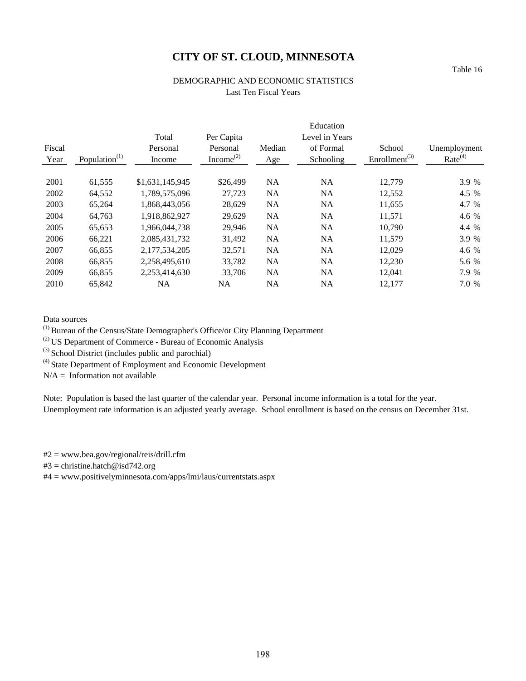# DEMOGRAPHIC AND ECONOMIC STATISTICS Last Ten Fiscal Years

|        |                  |                 |                                    |           | Education      |                           |                     |
|--------|------------------|-----------------|------------------------------------|-----------|----------------|---------------------------|---------------------|
|        |                  | Total           | Per Capita                         |           | Level in Years |                           |                     |
| Fiscal |                  | Personal        | Personal                           | Median    | of Formal      | School                    | Unemployment        |
| Year   | Population $(1)$ | Income          | Income <sup><math>(2)</math></sup> | Age       | Schooling      | Enrollment <sup>(3)</sup> | Rate <sup>(4)</sup> |
| 2001   | 61,555           | \$1,631,145,945 | \$26,499                           | <b>NA</b> | <b>NA</b>      | 12.779                    | 3.9 %               |
| 2002   | 64,552           | 1,789,575,096   | 27,723                             | <b>NA</b> | NA             | 12,552                    | 4.5 %               |
| 2003   | 65,264           | 1,868,443,056   | 28,629                             | <b>NA</b> | NA             | 11,655                    | 4.7 %               |
| 2004   | 64,763           | 1,918,862,927   | 29,629                             | <b>NA</b> | NA             | 11,571                    | 4.6 %               |
| 2005   | 65,653           | 1.966.044.738   | 29,946                             | <b>NA</b> | <b>NA</b>      | 10,790                    | 4.4 %               |
| 2006   | 66,221           | 2,085,431,732   | 31,492                             | <b>NA</b> | NA             | 11,579                    | 3.9 %               |
| 2007   | 66.855           | 2.177.534.205   | 32,571                             | NA.       | <b>NA</b>      | 12.029                    | 4.6 %               |
| 2008   | 66,855           | 2,258,495,610   | 33,782                             | NA        | <b>NA</b>      | 12,230                    | 5.6 %               |
| 2009   | 66,855           | 2,253,414,630   | 33,706                             | NA        | <b>NA</b>      | 12,041                    | 7.9 %               |
| 2010   | 65,842           | <b>NA</b>       | <b>NA</b>                          | NA        | NA             | 12,177                    | 7.0 %               |

Data sources

(1) Bureau of the Census/State Demographer's Office/or City Planning Department

(2) US Department of Commerce - Bureau of Economic Analysis

 $^{(3)}$  School District (includes public and parochial)

 $(4)$  State Department of Employment and Economic Development

 $N/A =$  Information not available

Note: Population is based the last quarter of the calendar year. Personal income information is a total for the year. Unemployment rate information is an adjusted yearly average. School enrollment is based on the census on December 31st.

#2 = www.bea.gov/regional/reis/drill.cfm

#3 = christine.hatch@isd742.org

#4 = www.positivelyminnesota.com/apps/lmi/laus/currentstats.aspx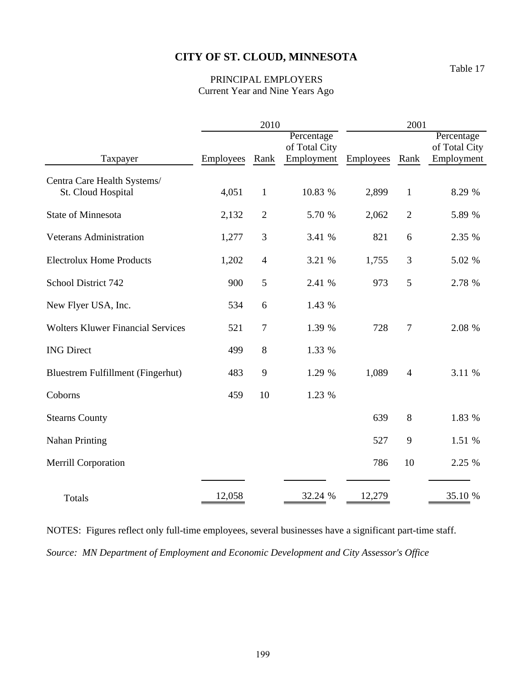# PRINCIPAL EMPLOYERS Current Year and Nine Years Ago

|                                                   |           | 2010           |               | 2001      |                |               |  |
|---------------------------------------------------|-----------|----------------|---------------|-----------|----------------|---------------|--|
|                                                   |           |                | Percentage    |           |                | Percentage    |  |
|                                                   |           |                | of Total City |           |                | of Total City |  |
| Taxpayer                                          | Employees | Rank           | Employment    | Employees | Rank           | Employment    |  |
| Centra Care Health Systems/<br>St. Cloud Hospital | 4,051     | $\mathbf{1}$   | 10.83 %       | 2,899     | $\mathbf{1}$   | 8.29 %        |  |
| <b>State of Minnesota</b>                         | 2,132     | $\overline{2}$ | 5.70 %        | 2,062     | $\overline{2}$ | 5.89 %        |  |
| <b>Veterans Administration</b>                    | 1,277     | 3              | 3.41 %        | 821       | 6              | 2.35 %        |  |
| <b>Electrolux Home Products</b>                   | 1,202     | $\overline{4}$ | 3.21 %        | 1,755     | 3              | 5.02 %        |  |
| School District 742                               | 900       | 5              | 2.41 %        | 973       | 5              | 2.78 %        |  |
| New Flyer USA, Inc.                               | 534       | 6              | 1.43 %        |           |                |               |  |
| <b>Wolters Kluwer Financial Services</b>          | 521       | $\overline{7}$ | 1.39 %        | 728       | $\overline{7}$ | 2.08 %        |  |
| <b>ING Direct</b>                                 | 499       | 8              | 1.33 %        |           |                |               |  |
| Bluestrem Fulfillment (Fingerhut)                 | 483       | 9              | 1.29 %        | 1,089     | $\overline{4}$ | 3.11 %        |  |
| Coborns                                           | 459       | 10             | 1.23 %        |           |                |               |  |
| <b>Stearns County</b>                             |           |                |               | 639       | 8              | 1.83 %        |  |
| <b>Nahan Printing</b>                             |           |                |               | 527       | 9              | 1.51 %        |  |
| <b>Merrill Corporation</b>                        |           |                |               | 786       | 10             | 2.25 %        |  |
| <b>Totals</b>                                     | 12,058    |                | 32.24 %       | 12,279    |                | 35.10 %       |  |

NOTES: Figures reflect only full-time employees, several businesses have a significant part-time staff. *Source: MN Department of Employment and Economic Development and City Assessor's Office*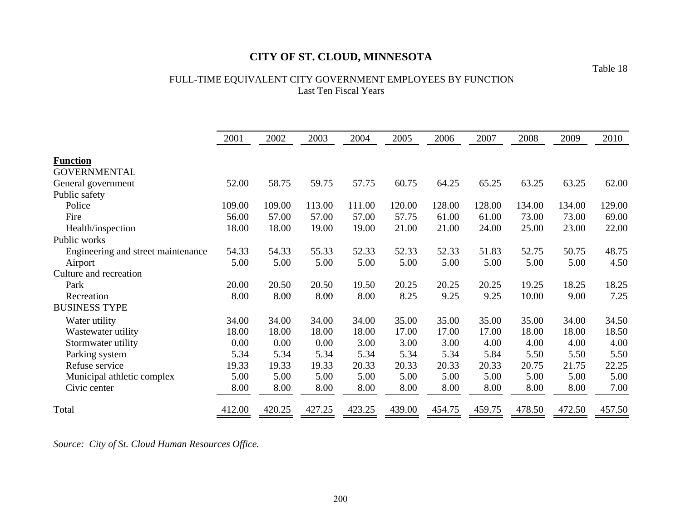# FULL-TIME EQUIVALENT CITY GOVERNMENT EMPLOYEES BY FUNCTION Last Ten Fiscal Years

|                                    | 2001   | 2002   | 2003   | 2004   | 2005   | 2006   | 2007   | 2008   | 2009   | 2010   |
|------------------------------------|--------|--------|--------|--------|--------|--------|--------|--------|--------|--------|
| <b>Function</b>                    |        |        |        |        |        |        |        |        |        |        |
| <b>GOVERNMENTAL</b>                |        |        |        |        |        |        |        |        |        |        |
| General government                 | 52.00  | 58.75  | 59.75  | 57.75  | 60.75  | 64.25  | 65.25  | 63.25  | 63.25  | 62.00  |
| Public safety                      |        |        |        |        |        |        |        |        |        |        |
| Police                             | 109.00 | 109.00 | 113.00 | 111.00 | 120.00 | 128.00 | 128.00 | 134.00 | 134.00 | 129.00 |
| Fire                               | 56.00  | 57.00  | 57.00  | 57.00  | 57.75  | 61.00  | 61.00  | 73.00  | 73.00  | 69.00  |
| Health/inspection                  | 18.00  | 18.00  | 19.00  | 19.00  | 21.00  | 21.00  | 24.00  | 25.00  | 23.00  | 22.00  |
| Public works                       |        |        |        |        |        |        |        |        |        |        |
| Engineering and street maintenance | 54.33  | 54.33  | 55.33  | 52.33  | 52.33  | 52.33  | 51.83  | 52.75  | 50.75  | 48.75  |
| Airport                            | 5.00   | 5.00   | 5.00   | 5.00   | 5.00   | 5.00   | 5.00   | 5.00   | 5.00   | 4.50   |
| Culture and recreation             |        |        |        |        |        |        |        |        |        |        |
| Park                               | 20.00  | 20.50  | 20.50  | 19.50  | 20.25  | 20.25  | 20.25  | 19.25  | 18.25  | 18.25  |
| Recreation                         | 8.00   | 8.00   | 8.00   | 8.00   | 8.25   | 9.25   | 9.25   | 10.00  | 9.00   | 7.25   |
| <b>BUSINESS TYPE</b>               |        |        |        |        |        |        |        |        |        |        |
| Water utility                      | 34.00  | 34.00  | 34.00  | 34.00  | 35.00  | 35.00  | 35.00  | 35.00  | 34.00  | 34.50  |
| Wastewater utility                 | 18.00  | 18.00  | 18.00  | 18.00  | 17.00  | 17.00  | 17.00  | 18.00  | 18.00  | 18.50  |
| Stormwater utility                 | 0.00   | 0.00   | 0.00   | 3.00   | 3.00   | 3.00   | 4.00   | 4.00   | 4.00   | 4.00   |
| Parking system                     | 5.34   | 5.34   | 5.34   | 5.34   | 5.34   | 5.34   | 5.84   | 5.50   | 5.50   | 5.50   |
| Refuse service                     | 19.33  | 19.33  | 19.33  | 20.33  | 20.33  | 20.33  | 20.33  | 20.75  | 21.75  | 22.25  |
| Municipal athletic complex         | 5.00   | 5.00   | 5.00   | 5.00   | 5.00   | 5.00   | 5.00   | 5.00   | 5.00   | 5.00   |
| Civic center                       | 8.00   | 8.00   | 8.00   | 8.00   | 8.00   | 8.00   | 8.00   | 8.00   | 8.00   | 7.00   |
| Total                              | 412.00 | 420.25 | 427.25 | 423.25 | 439.00 | 454.75 | 459.75 | 478.50 | 472.50 | 457.50 |

*Source: City of St. Cloud Human Resources Office.*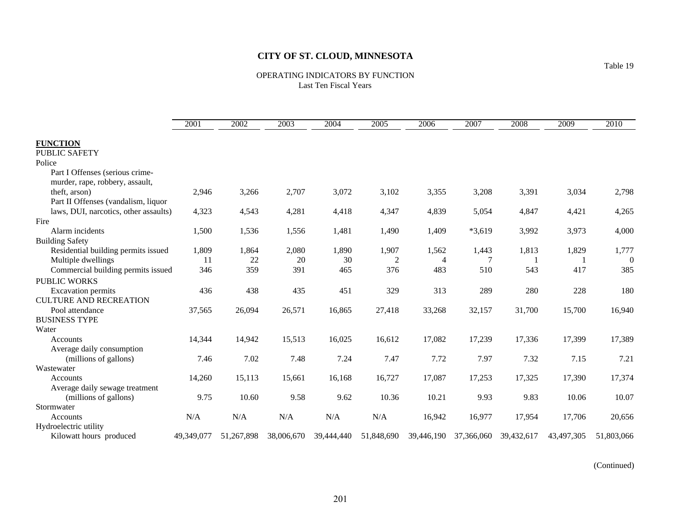OPERATING INDICATORS BY FUNCTION Last Ten Fiscal Years

|                                       | 2001       | 2002       | 2003       | 2004       | 2005       | 2006       | 2007       | 2008       | 2009       | 2010       |
|---------------------------------------|------------|------------|------------|------------|------------|------------|------------|------------|------------|------------|
| <b>FUNCTION</b>                       |            |            |            |            |            |            |            |            |            |            |
| <b>PUBLIC SAFETY</b>                  |            |            |            |            |            |            |            |            |            |            |
| Police                                |            |            |            |            |            |            |            |            |            |            |
| Part I Offenses (serious crime-       |            |            |            |            |            |            |            |            |            |            |
| murder, rape, robbery, assault,       |            |            |            |            |            |            |            |            |            |            |
| theft, arson)                         | 2,946      | 3,266      | 2,707      | 3,072      | 3,102      | 3,355      | 3,208      | 3,391      | 3,034      | 2,798      |
| Part II Offenses (vandalism, liquor   |            |            |            |            |            |            |            |            |            |            |
| laws, DUI, narcotics, other assaults) | 4,323      | 4,543      | 4,281      | 4,418      | 4,347      | 4,839      | 5,054      | 4,847      | 4,421      | 4,265      |
| Fire                                  |            |            |            |            |            |            |            |            |            |            |
| Alarm incidents                       | 1,500      | 1,536      | 1,556      | 1,481      | 1,490      | 1,409      | $*3,619$   | 3,992      | 3,973      | 4,000      |
| <b>Building Safety</b>                |            |            |            |            |            |            |            |            |            |            |
| Residential building permits issued   | 1,809      | 1,864      | 2,080      | 1,890      | 1,907      | 1,562      | 1,443      | 1,813      | 1,829      | 1,777      |
| Multiple dwellings                    | 11         | 22         | 20         | 30         | 2          | 4          |            |            |            | $\theta$   |
| Commercial building permits issued    | 346        | 359        | 391        | 465        | 376        | 483        | 510        | 543        | 417        | 385        |
| <b>PUBLIC WORKS</b>                   |            |            |            |            |            |            |            |            |            |            |
| <b>Excavation</b> permits             | 436        | 438        | 435        | 451        | 329        | 313        | 289        | 280        | 228        | 180        |
| <b>CULTURE AND RECREATION</b>         |            |            |            |            |            |            |            |            |            |            |
| Pool attendance                       | 37,565     | 26,094     | 26,571     | 16,865     | 27,418     | 33,268     | 32,157     | 31,700     | 15,700     | 16,940     |
| <b>BUSINESS TYPE</b>                  |            |            |            |            |            |            |            |            |            |            |
| Water                                 |            |            |            |            |            |            |            |            |            |            |
| Accounts                              | 14,344     | 14,942     | 15,513     | 16,025     | 16,612     | 17,082     | 17,239     | 17,336     | 17,399     | 17,389     |
| Average daily consumption             |            |            |            |            |            |            |            |            |            |            |
| (millions of gallons)                 | 7.46       | 7.02       | 7.48       | 7.24       | 7.47       | 7.72       | 7.97       | 7.32       | 7.15       | 7.21       |
| Wastewater                            |            |            |            |            |            |            |            |            |            |            |
| <b>Accounts</b>                       | 14,260     | 15,113     | 15,661     | 16,168     | 16,727     | 17,087     | 17,253     | 17,325     | 17,390     | 17,374     |
| Average daily sewage treatment        |            |            |            |            |            |            |            |            |            |            |
| (millions of gallons)                 | 9.75       | 10.60      | 9.58       | 9.62       | 10.36      | 10.21      | 9.93       | 9.83       | 10.06      | 10.07      |
| Stormwater                            |            |            |            |            |            |            |            |            |            |            |
| Accounts                              | N/A        | N/A        | N/A        | N/A        | N/A        | 16,942     | 16,977     | 17,954     | 17,706     | 20,656     |
| Hydroelectric utility                 |            |            |            |            |            |            |            |            |            |            |
| Kilowatt hours produced               | 49,349,077 | 51,267,898 | 38,006,670 | 39,444,440 | 51,848,690 | 39,446,190 | 37,366,060 | 39,432,617 | 43,497,305 | 51,803,066 |

(Continued)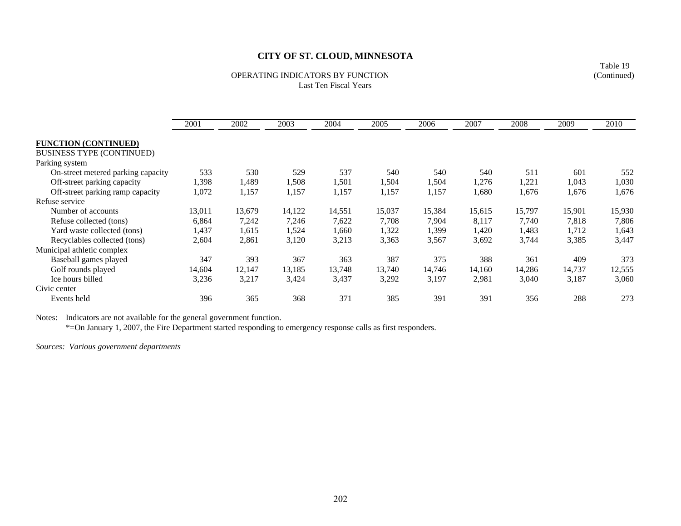#### OPERATING INDICATORS BY FUNCTIONLast Ten Fiscal Years

2001 2002 2003 2004 2005 2006 2007 2008 2009 2010**FUNCTION (CONTINUED)** BUSINESS TYPE (CONTINUED) Parking system On-street metered parking capacity 533 530 529 537 540 540 540 511 601 552 Off-street parking capacity 1,398 1,489 1,508 1,501 1,504 1,504 1,276 1,221 1,043 1,030 Off-street parking ramp capacity 1,072 1,157 1,157 1,157 1,157 1,157 1,680 1,676 1,676 1,676 Refuse serviceNumber of accounts 13,011 13,679 14,122 14,551 15,037 15,384 15,615 15,797 15,901 15,930 Refuse collected (tons) 6,864 7,242 7,246 7,622 7,708 7,904 8,117 7,740 7,818 7,806 Yard waste collected (tons)  $1,437$   $1,615$   $1,524$   $1,660$   $1,322$   $1,399$   $1,420$   $1,483$   $1,712$   $1,643$ Recyclables collected (tons) 2,604 2,861 3,120 3,213 3,363 3,567 3,692 3,744 3,385 3,447 Municipal athletic complex Baseball games played 347 393 367 363 387 375 388 361 409 373 Golf rounds played 14,604 12,147 13,185 13,748 13,740 14,746 14,160 14,286 14,737 12,555 Ice hours billed 3,236 3,217 3,424 3,437 3,292 3,197 2,981 3,040 3,187 3,060 Civic centerEvents held 396 365 368 371 385 391 391 356 288 273

Notes: Indicators are not available for the general government function.

\*=On January 1, 2007, the Fire Department started responding to emergency response calls as first responders.

*Sources: Various government departments*

Table 19 (Continued)